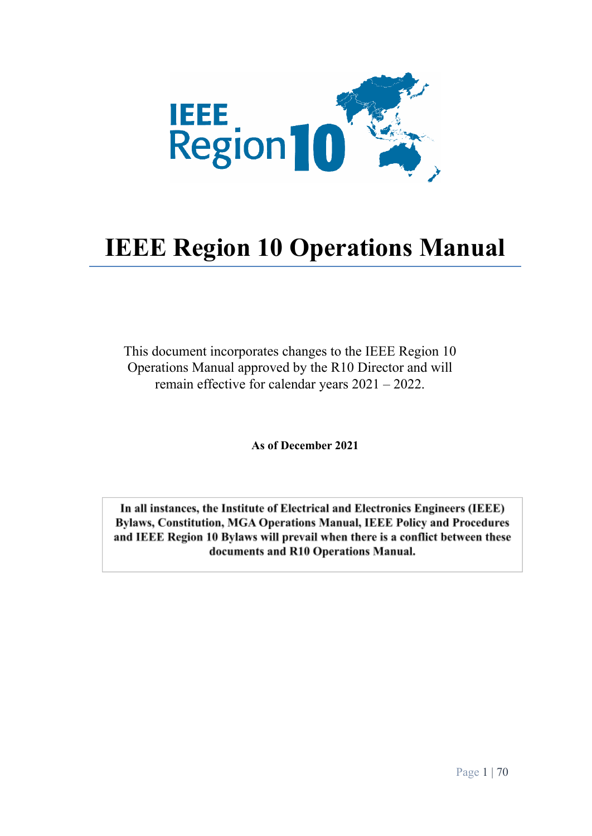

# **IEEE Region 10 Operations Manual**

This document incorporates changes to the IEEE Region 10 Operations Manual approved by the R10 Director and will remain effective for calendar years 2021 – 2022.

**As of December 2021**

In all instances, the Institute of Electrical and Electronics Engineers (IEEE) Bylaws, Constitution, MGA Operations Manual, IEEE Policy and Procedures and IEEE Region 10 Bylaws will prevail when there is a conflict between these documents and R10 Operations Manual.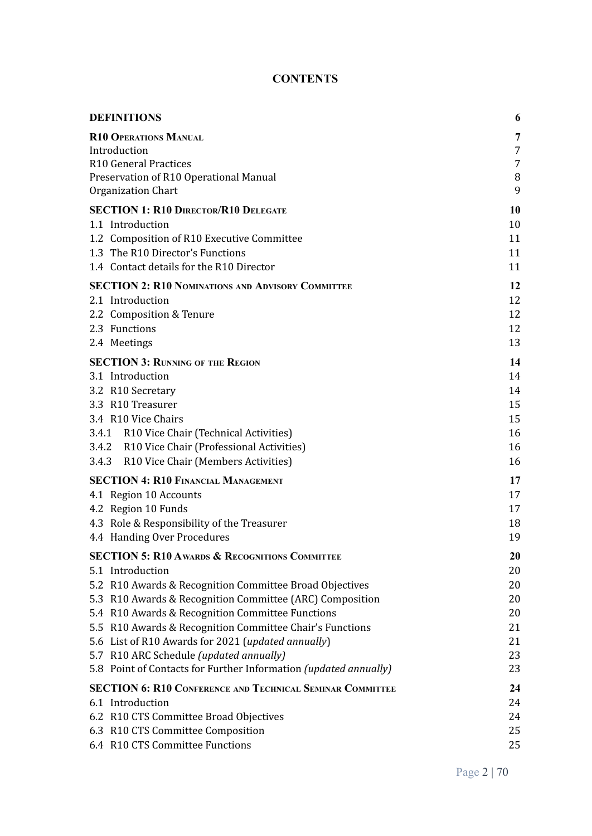# **CONTENTS**

| <b>DEFINITIONS</b>                                                                                                  | 6        |
|---------------------------------------------------------------------------------------------------------------------|----------|
| <b>R10 OPERATIONS MANUAL</b>                                                                                        | 7        |
| Introduction                                                                                                        | 7        |
| R10 General Practices                                                                                               | 7        |
| Preservation of R10 Operational Manual                                                                              | $\, 8$   |
| Organization Chart                                                                                                  | 9        |
| <b>SECTION 1: R10 DIRECTOR/R10 DELEGATE</b>                                                                         | 10       |
| 1.1 Introduction                                                                                                    | 10       |
| 1.2 Composition of R10 Executive Committee                                                                          | 11       |
| 1.3 The R10 Director's Functions<br>1.4 Contact details for the R10 Director                                        | 11       |
|                                                                                                                     | 11       |
| <b>SECTION 2: R10 NOMINATIONS AND ADVISORY COMMITTEE</b>                                                            | 12       |
| 2.1 Introduction                                                                                                    | 12<br>12 |
| 2.2 Composition & Tenure<br>2.3 Functions                                                                           | 12       |
| 2.4 Meetings                                                                                                        | 13       |
| <b>SECTION 3: RUNNING OF THE REGION</b>                                                                             | 14       |
| 3.1 Introduction                                                                                                    | 14       |
| 3.2 R10 Secretary                                                                                                   | 14       |
| 3.3 R10 Treasurer                                                                                                   | 15       |
| 3.4 R10 Vice Chairs                                                                                                 | 15       |
| 3.4.1 R10 Vice Chair (Technical Activities)                                                                         | 16       |
| 3.4.2 R10 Vice Chair (Professional Activities)                                                                      | 16       |
| 3.4.3 R10 Vice Chair (Members Activities)                                                                           | 16       |
| <b>SECTION 4: R10 FINANCIAL MANAGEMENT</b>                                                                          | 17       |
| 4.1 Region 10 Accounts                                                                                              | 17       |
| 4.2 Region 10 Funds                                                                                                 | 17       |
| 4.3 Role & Responsibility of the Treasurer                                                                          | 18       |
| 4.4 Handing Over Procedures                                                                                         | 19       |
| <b>SECTION 5: R10 AWARDS &amp; RECOGNITIONS COMMITTEE</b>                                                           | 20       |
| 5.1 Introduction                                                                                                    | 20       |
| 5.2 R10 Awards & Recognition Committee Broad Objectives<br>5.3 R10 Awards & Recognition Committee (ARC) Composition | 20<br>20 |
| 5.4 R10 Awards & Recognition Committee Functions                                                                    | 20       |
| 5.5 R10 Awards & Recognition Committee Chair's Functions                                                            | 21       |
| 5.6 List of R10 Awards for 2021 (updated annually)                                                                  | 21       |
| 5.7 R10 ARC Schedule (updated annually)                                                                             | 23       |
| 5.8 Point of Contacts for Further Information (updated annually)                                                    | 23       |
| <b>SECTION 6: R10 CONFERENCE AND TECHNICAL SEMINAR COMMITTEE</b>                                                    | 24       |
| 6.1 Introduction                                                                                                    | 24       |
| 6.2 R10 CTS Committee Broad Objectives                                                                              | 24       |
| 6.3 R10 CTS Committee Composition                                                                                   | 25       |
| 6.4 R10 CTS Committee Functions                                                                                     | 25       |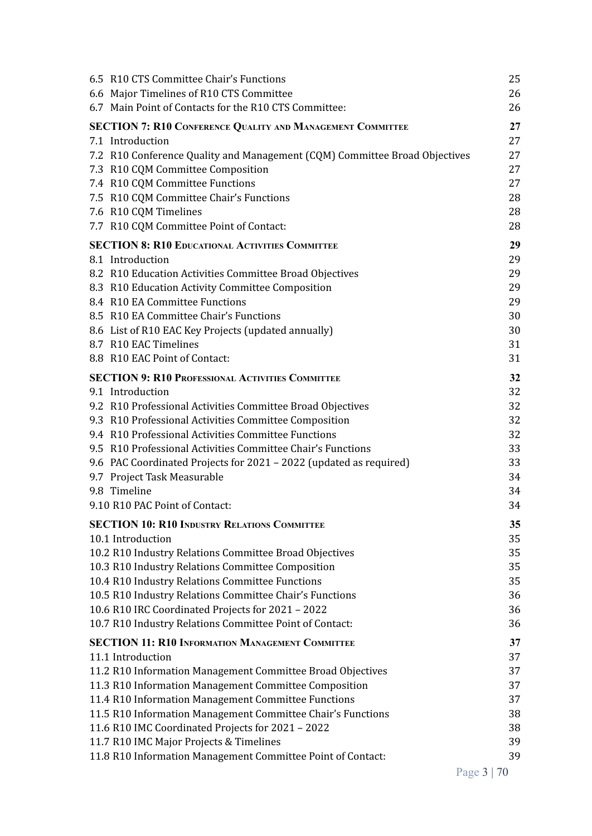| 6.5 R10 CTS Committee Chair's Functions                                    | 25 |
|----------------------------------------------------------------------------|----|
| 6.6 Major Timelines of R10 CTS Committee                                   | 26 |
| 6.7 Main Point of Contacts for the R10 CTS Committee:                      | 26 |
| <b>SECTION 7: R10 CONFERENCE QUALITY AND MANAGEMENT COMMITTEE</b>          | 27 |
| 7.1 Introduction                                                           | 27 |
| 7.2 R10 Conference Quality and Management (CQM) Committee Broad Objectives | 27 |
| 7.3 R10 CQM Committee Composition                                          | 27 |
| 7.4 R10 CQM Committee Functions                                            | 27 |
| 7.5 R10 CQM Committee Chair's Functions                                    | 28 |
| 7.6 R10 CQM Timelines                                                      | 28 |
| 7.7 R10 CQM Committee Point of Contact:                                    | 28 |
| <b>SECTION 8: R10 EDUCATIONAL ACTIVITIES COMMITTEE</b>                     | 29 |
| 8.1 Introduction                                                           | 29 |
| 8.2 R10 Education Activities Committee Broad Objectives                    | 29 |
| 8.3 R10 Education Activity Committee Composition                           | 29 |
| 8.4 R10 EA Committee Functions                                             | 29 |
| 8.5 R10 EA Committee Chair's Functions                                     | 30 |
| 8.6 List of R10 EAC Key Projects (updated annually)                        | 30 |
| 8.7 R10 EAC Timelines                                                      | 31 |
| 8.8 R10 EAC Point of Contact:                                              | 31 |
| <b>SECTION 9: R10 PROFESSIONAL ACTIVITIES COMMITTEE</b>                    | 32 |
| 9.1 Introduction                                                           | 32 |
| 9.2 R10 Professional Activities Committee Broad Objectives                 | 32 |
| 9.3 R10 Professional Activities Committee Composition                      | 32 |
| 9.4 R10 Professional Activities Committee Functions                        | 32 |
| 9.5 R10 Professional Activities Committee Chair's Functions                | 33 |
| 9.6 PAC Coordinated Projects for 2021 - 2022 (updated as required)         | 33 |
| 9.7 Project Task Measurable                                                | 34 |
| 9.8 Timeline                                                               | 34 |
| 9.10 R10 PAC Point of Contact:                                             | 34 |
| <b>SECTION 10: R10 INDUSTRY RELATIONS COMMITTEE</b>                        | 35 |
| 10.1 Introduction                                                          | 35 |
| 10.2 R10 Industry Relations Committee Broad Objectives                     | 35 |
| 10.3 R10 Industry Relations Committee Composition                          | 35 |
| 10.4 R10 Industry Relations Committee Functions                            | 35 |
| 10.5 R10 Industry Relations Committee Chair's Functions                    | 36 |
| 10.6 R10 IRC Coordinated Projects for 2021 - 2022                          | 36 |
| 10.7 R10 Industry Relations Committee Point of Contact:                    | 36 |
| <b>SECTION 11: R10 INFORMATION MANAGEMENT COMMITTEE</b>                    | 37 |
| 11.1 Introduction                                                          | 37 |
| 11.2 R10 Information Management Committee Broad Objectives                 | 37 |
| 11.3 R10 Information Management Committee Composition                      | 37 |
| 11.4 R10 Information Management Committee Functions                        | 37 |
| 11.5 R10 Information Management Committee Chair's Functions                | 38 |
| 11.6 R10 IMC Coordinated Projects for 2021 - 2022                          | 38 |
| 11.7 R10 IMC Major Projects & Timelines                                    | 39 |
| 11.8 R10 Information Management Committee Point of Contact:                | 39 |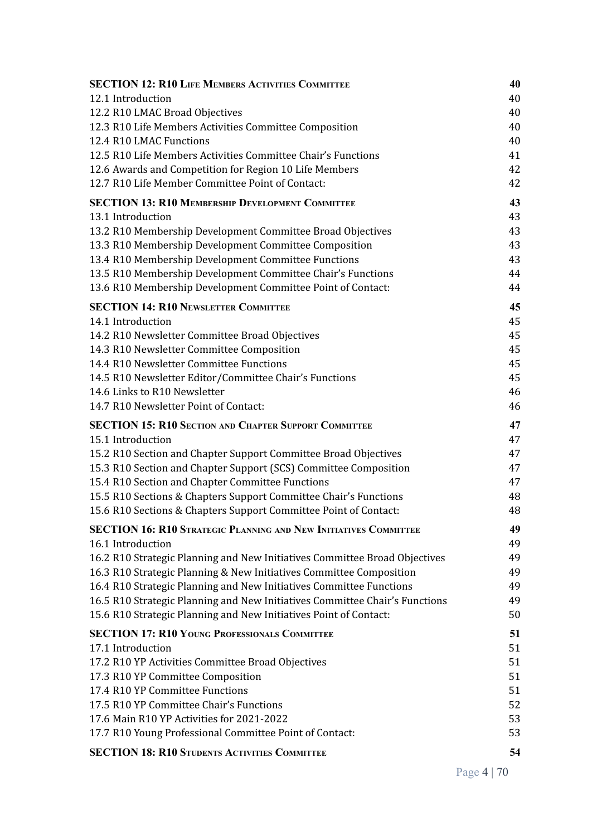| <b>SECTION 12: R10 LIFE MEMBERS ACTIVITIES COMMITTEE</b>                    | 40       |
|-----------------------------------------------------------------------------|----------|
| 12.1 Introduction                                                           | 40       |
| 12.2 R10 LMAC Broad Objectives                                              | 40       |
| 12.3 R10 Life Members Activities Committee Composition                      | 40       |
| 12.4 R10 LMAC Functions                                                     | 40       |
| 12.5 R10 Life Members Activities Committee Chair's Functions                | 41       |
| 12.6 Awards and Competition for Region 10 Life Members                      | 42       |
| 12.7 R10 Life Member Committee Point of Contact:                            | 42       |
| <b>SECTION 13: R10 MEMBERSHIP DEVELOPMENT COMMITTEE</b>                     | 43       |
| 13.1 Introduction                                                           | 43       |
| 13.2 R10 Membership Development Committee Broad Objectives                  | 43       |
| 13.3 R10 Membership Development Committee Composition                       | 43       |
| 13.4 R10 Membership Development Committee Functions                         | 43       |
| 13.5 R10 Membership Development Committee Chair's Functions                 | 44       |
| 13.6 R10 Membership Development Committee Point of Contact:                 | 44       |
| <b>SECTION 14: R10 NEWSLETTER COMMITTEE</b>                                 | 45       |
| 14.1 Introduction                                                           | 45       |
| 14.2 R10 Newsletter Committee Broad Objectives                              | 45       |
| 14.3 R10 Newsletter Committee Composition                                   | 45       |
| 14.4 R10 Newsletter Committee Functions                                     | 45       |
| 14.5 R10 Newsletter Editor/Committee Chair's Functions                      | 45       |
| 14.6 Links to R10 Newsletter                                                | 46       |
| 14.7 R10 Newsletter Point of Contact:                                       | 46       |
| <b>SECTION 15: R10 SECTION AND CHAPTER SUPPORT COMMITTEE</b>                | 47       |
| 15.1 Introduction                                                           | 47       |
| 15.2 R10 Section and Chapter Support Committee Broad Objectives             | 47       |
| 15.3 R10 Section and Chapter Support (SCS) Committee Composition            | 47       |
| 15.4 R10 Section and Chapter Committee Functions                            | 47       |
| 15.5 R10 Sections & Chapters Support Committee Chair's Functions            | 48       |
| 15.6 R10 Sections & Chapters Support Committee Point of Contact:            | 48       |
| SECTION 16: R10 STRATEGIC PLANNING AND NEW INITIATIVES COMMITTEE            | 49       |
| 16.1 Introduction                                                           | 49       |
| 16.2 R10 Strategic Planning and New Initiatives Committee Broad Objectives  | 49       |
| 16.3 R10 Strategic Planning & New Initiatives Committee Composition         | 49       |
| 16.4 R10 Strategic Planning and New Initiatives Committee Functions         | 49       |
| 16.5 R10 Strategic Planning and New Initiatives Committee Chair's Functions | 49       |
| 15.6 R10 Strategic Planning and New Initiatives Point of Contact:           | 50       |
|                                                                             |          |
| <b>SECTION 17: R10 YOUNG PROFESSIONALS COMMITTEE</b>                        | 51       |
| 17.1 Introduction                                                           | 51       |
| 17.2 R10 YP Activities Committee Broad Objectives                           | 51       |
| 17.3 R10 YP Committee Composition                                           | 51       |
| 17.4 R10 YP Committee Functions<br>17.5 R10 YP Committee Chair's Functions  | 51<br>52 |
| 17.6 Main R10 YP Activities for 2021-2022                                   | 53       |
| 17.7 R10 Young Professional Committee Point of Contact:                     | 53       |
|                                                                             |          |
| <b>SECTION 18: R10 STUDENTS ACTIVITIES COMMITTEE</b>                        | 54       |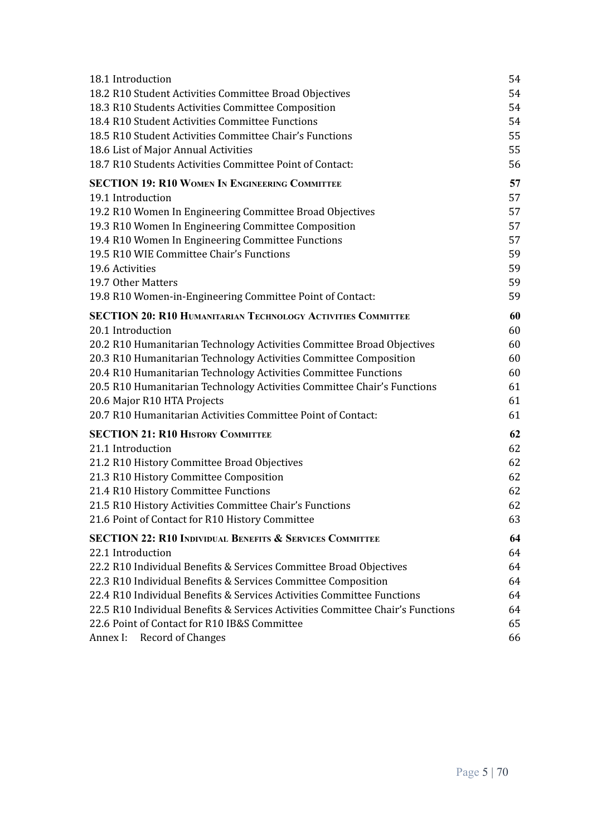| 18.1 Introduction                                                              | 54 |
|--------------------------------------------------------------------------------|----|
| 18.2 R10 Student Activities Committee Broad Objectives                         | 54 |
| 18.3 R10 Students Activities Committee Composition                             | 54 |
| 18.4 R10 Student Activities Committee Functions                                | 54 |
| 18.5 R10 Student Activities Committee Chair's Functions                        | 55 |
| 18.6 List of Major Annual Activities                                           | 55 |
| 18.7 R10 Students Activities Committee Point of Contact:                       | 56 |
| <b>SECTION 19: R10 WOMEN IN ENGINEERING COMMITTEE</b>                          | 57 |
| 19.1 Introduction                                                              | 57 |
| 19.2 R10 Women In Engineering Committee Broad Objectives                       | 57 |
| 19.3 R10 Women In Engineering Committee Composition                            | 57 |
| 19.4 R10 Women In Engineering Committee Functions                              | 57 |
| 19.5 R10 WIE Committee Chair's Functions                                       | 59 |
| 19.6 Activities                                                                | 59 |
| 19.7 Other Matters                                                             | 59 |
| 19.8 R10 Women-in-Engineering Committee Point of Contact:                      | 59 |
| <b>SECTION 20: R10 HUMANITARIAN TECHNOLOGY ACTIVITIES COMMITTEE</b>            | 60 |
| 20.1 Introduction                                                              | 60 |
| 20.2 R10 Humanitarian Technology Activities Committee Broad Objectives         | 60 |
| 20.3 R10 Humanitarian Technology Activities Committee Composition              | 60 |
| 20.4 R10 Humanitarian Technology Activities Committee Functions                | 60 |
| 20.5 R10 Humanitarian Technology Activities Committee Chair's Functions        | 61 |
| 20.6 Major R10 HTA Projects                                                    | 61 |
| 20.7 R10 Humanitarian Activities Committee Point of Contact:                   | 61 |
| <b>SECTION 21: R10 HISTORY COMMITTEE</b>                                       | 62 |
| 21.1 Introduction                                                              | 62 |
| 21.2 R10 History Committee Broad Objectives                                    | 62 |
| 21.3 R10 History Committee Composition                                         | 62 |
| 21.4 R10 History Committee Functions                                           | 62 |
| 21.5 R10 History Activities Committee Chair's Functions                        | 62 |
| 21.6 Point of Contact for R10 History Committee                                | 63 |
| <b>SECTION 22: R10 INDIVIDUAL BENEFITS &amp; SERVICES COMMITTEE</b>            | 64 |
| 22.1 Introduction                                                              | 64 |
| 22.2 R10 Individual Benefits & Services Committee Broad Objectives             | 64 |
| 22.3 R10 Individual Benefits & Services Committee Composition                  | 64 |
| 22.4 R10 Individual Benefits & Services Activities Committee Functions         | 64 |
| 22.5 R10 Individual Benefits & Services Activities Committee Chair's Functions | 64 |
| 22.6 Point of Contact for R10 IB&S Committee                                   | 65 |
| <b>Record of Changes</b><br>Annex I:                                           | 66 |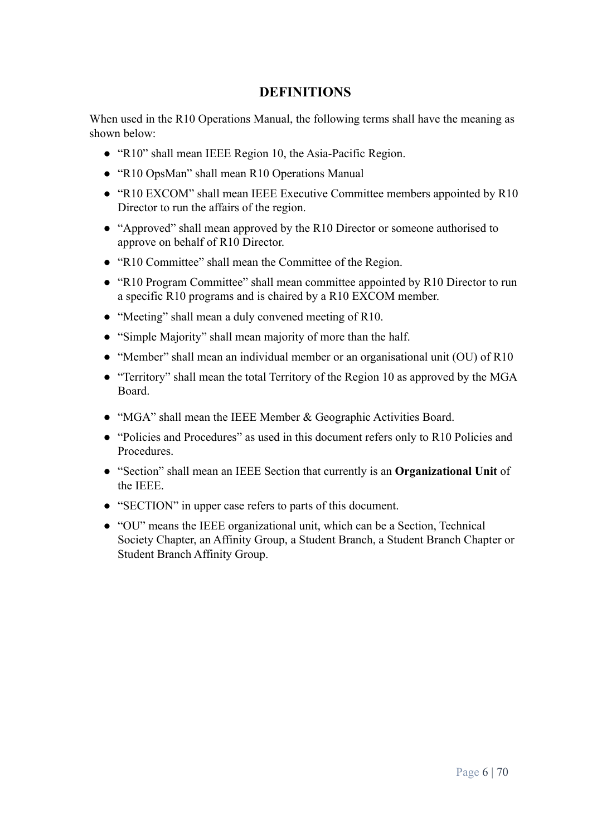# **DEFINITIONS**

<span id="page-5-0"></span>When used in the R10 Operations Manual, the following terms shall have the meaning as shown below:

- "R10" shall mean IEEE Region 10, the Asia-Pacific Region.
- "R10 OpsMan" shall mean R10 Operations Manual
- "R10 EXCOM" shall mean IEEE Executive Committee members appointed by R10 Director to run the affairs of the region.
- "Approved" shall mean approved by the R10 Director or someone authorised to approve on behalf of R10 Director.
- "R10 Committee" shall mean the Committee of the Region.
- "R10 Program Committee" shall mean committee appointed by R10 Director to run a specific R10 programs and is chaired by a R10 EXCOM member.
- "Meeting" shall mean a duly convened meeting of R10.
- "Simple Majority" shall mean majority of more than the half.
- "Member" shall mean an individual member or an organisational unit (OU) of R10
- "Territory" shall mean the total Territory of the Region 10 as approved by the MGA Board.
- "MGA" shall mean the IEEE Member & Geographic Activities Board.
- "Policies and Procedures" as used in this document refers only to R10 Policies and Procedures.
- "Section" shall mean an IEEE Section that currently is an **Organizational Unit** of the IEEE.
- "SECTION" in upper case refers to parts of this document.
- "OU" means the IEEE organizational unit, which can be a Section, Technical Society Chapter, an Affinity Group, a Student Branch, a Student Branch Chapter or Student Branch Affinity Group.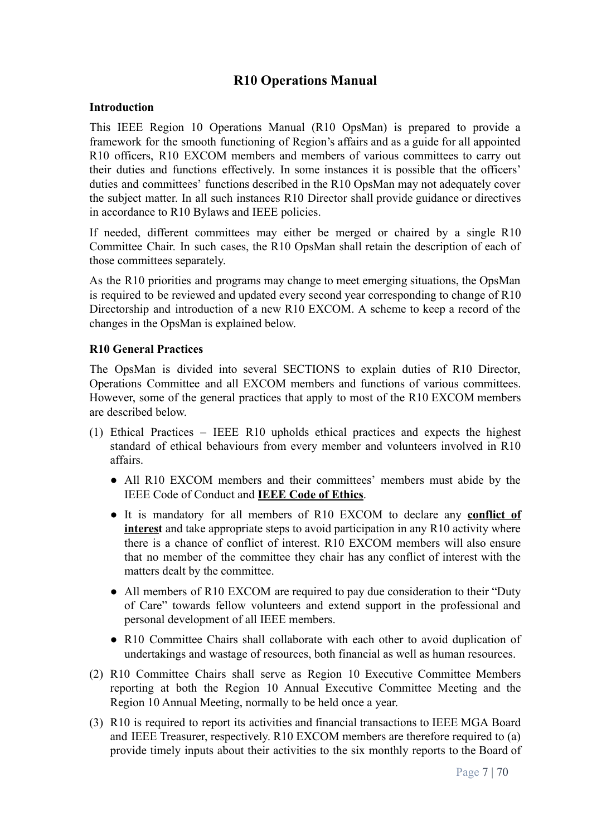# **R10 Operations Manual**

#### <span id="page-6-1"></span><span id="page-6-0"></span>**Introduction**

This IEEE Region 10 Operations Manual (R10 OpsMan) is prepared to provide a framework for the smooth functioning of Region's affairs and as a guide for all appointed R10 officers, R10 EXCOM members and members of various committees to carry out their duties and functions effectively. In some instances it is possible that the officers' duties and committees' functions described in the R10 OpsMan may not adequately cover the subject matter. In all such instances R10 Director shall provide guidance or directives in accordance to R10 Bylaws and IEEE policies.

If needed, different committees may either be merged or chaired by a single R10 Committee Chair. In such cases, the R10 OpsMan shall retain the description of each of those committees separately.

As the R10 priorities and programs may change to meet emerging situations, the OpsMan is required to be reviewed and updated every second year corresponding to change of R10 Directorship and introduction of a new R10 EXCOM. A scheme to keep a record of the changes in the OpsMan is explained below.

#### <span id="page-6-2"></span>**R10 General Practices**

The OpsMan is divided into several SECTIONS to explain duties of R10 Director, Operations Committee and all EXCOM members and functions of various committees. However, some of the general practices that apply to most of the R10 EXCOM members are described below.

- (1) Ethical Practices IEEE R10 upholds ethical practices and expects the highest standard of ethical behaviours from every member and volunteers involved in R10 affairs.
	- All R10 EXCOM members and their committees' members must abide by the IEEE Code of Conduct and **[IEEE Code of Ethics](https://www.ieee.org/about/corporate/governance/p7-8.html)**.
	- It is mandatory for all members of R10 EXCOM to declare any **[conflict](https://www.ieee.org/about/compliance/conflict-of-interest/index.html) of [interest](https://www.ieee.org/about/compliance/conflict-of-interest/index.html)** and take appropriate steps to avoid participation in any R10 activity where there is a chance of conflict of interest. R10 EXCOM members will also ensure that no member of the committee they chair has any conflict of interest with the matters dealt by the committee.
	- All members of R10 EXCOM are required to pay due consideration to their "Duty of Care" towards fellow volunteers and extend support in the professional and personal development of all IEEE members.
	- R10 Committee Chairs shall collaborate with each other to avoid duplication of undertakings and wastage of resources, both financial as well as human resources.
- (2) R10 Committee Chairs shall serve as Region 10 Executive Committee Members reporting at both the Region 10 Annual Executive Committee Meeting and the Region 10 Annual Meeting, normally to be held once a year.
- (3) R10 is required to report its activities and financial transactions to IEEE MGA Board and IEEE Treasurer, respectively. R10 EXCOM members are therefore required to (a) provide timely inputs about their activities to the six monthly reports to the Board of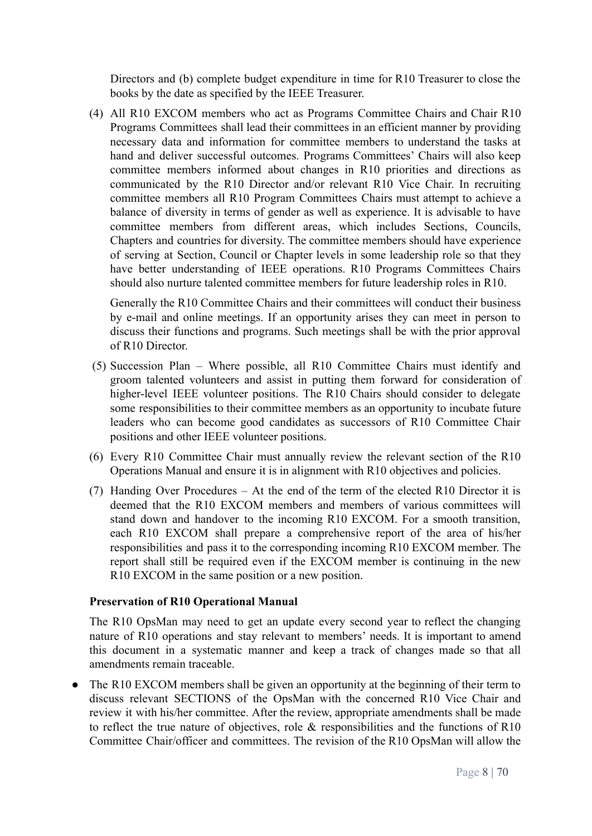Directors and (b) complete budget expenditure in time for R10 Treasurer to close the books by the date as specified by the IEEE Treasurer.

(4) All R10 EXCOM members who act as Programs Committee Chairs and Chair R10 Programs Committees shall lead their committees in an efficient manner by providing necessary data and information for committee members to understand the tasks at hand and deliver successful outcomes. Programs Committees' Chairs will also keep committee members informed about changes in R10 priorities and directions as communicated by the R10 Director and/or relevant R10 Vice Chair. In recruiting committee members all R10 Program Committees Chairs must attempt to achieve a balance of diversity in terms of gender as well as experience. It is advisable to have committee members from different areas, which includes Sections, Councils, Chapters and countries for diversity. The committee members should have experience of serving at Section, Council or Chapter levels in some leadership role so that they have better understanding of IEEE operations. R10 Programs Committees Chairs should also nurture talented committee members for future leadership roles in R10.

Generally the R10 Committee Chairs and their committees will conduct their business by e-mail and online meetings. If an opportunity arises they can meet in person to discuss their functions and programs. Such meetings shall be with the prior approval of R10 Director.

- (5) Succession Plan Where possible, all R10 Committee Chairs must identify and groom talented volunteers and assist in putting them forward for consideration of higher-level IEEE volunteer positions. The R10 Chairs should consider to delegate some responsibilities to their committee members as an opportunity to incubate future leaders who can become good candidates as successors of R10 Committee Chair positions and other IEEE volunteer positions.
- (6) Every R10 Committee Chair must annually review the relevant section of the R10 Operations Manual and ensure it is in alignment with R10 objectives and policies.
- (7) Handing Over Procedures At the end of the term of the elected R10 Director it is deemed that the R10 EXCOM members and members of various committees will stand down and handover to the incoming R10 EXCOM. For a smooth transition, each R10 EXCOM shall prepare a comprehensive report of the area of his/her responsibilities and pass it to the corresponding incoming R10 EXCOM member. The report shall still be required even if the EXCOM member is continuing in the new R10 EXCOM in the same position or a new position.

#### <span id="page-7-0"></span>**Preservation of R10 Operational Manual**

The R10 OpsMan may need to get an update every second year to reflect the changing nature of R10 operations and stay relevant to members' needs. It is important to amend this document in a systematic manner and keep a track of changes made so that all amendments remain traceable.

• The R10 EXCOM members shall be given an opportunity at the beginning of their term to discuss relevant SECTIONS of the OpsMan with the concerned R10 Vice Chair and review it with his/her committee. After the review, appropriate amendments shall be made to reflect the true nature of objectives, role & responsibilities and the functions of R10 Committee Chair/officer and committees. The revision of the R10 OpsMan will allow the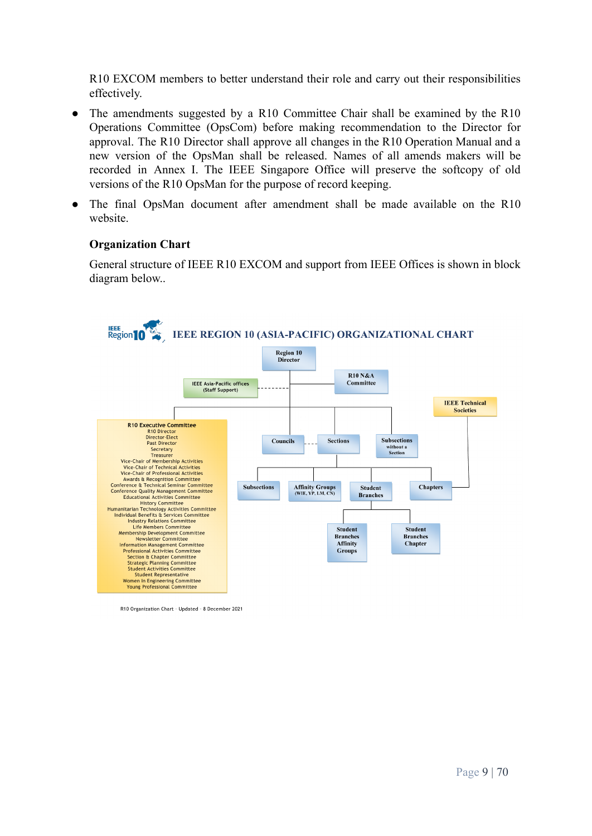R10 EXCOM members to better understand their role and carry out their responsibilities effectively.

- The amendments suggested by a R10 Committee Chair shall be examined by the R10 Operations Committee (OpsCom) before making recommendation to the Director for approval. The R10 Director shall approve all changes in the R10 Operation Manual and a new version of the OpsMan shall be released. Names of all amends makers will be recorded in Annex I. The IEEE Singapore Office will preserve the softcopy of old versions of the R10 OpsMan for the purpose of record keeping.
- The final OpsMan document after amendment shall be made available on the R10 website.

#### <span id="page-8-0"></span>**Organization Chart**

General structure of IEEE R10 EXCOM and support from IEEE Offices is shown in block diagram below..



R10 Organization Chart - Updated - 8 December 2021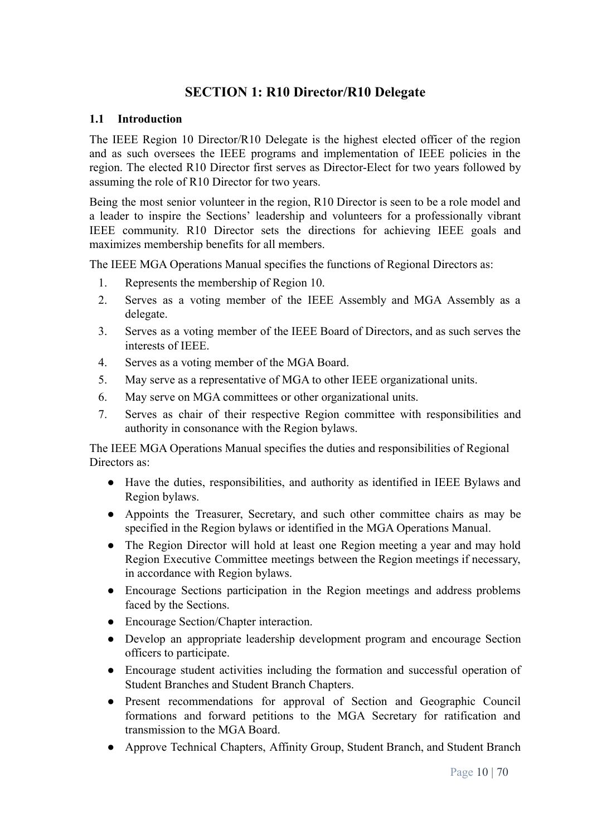# **SECTION 1: R10 Director/R10 Delegate**

#### <span id="page-9-1"></span><span id="page-9-0"></span>**1.1 Introduction**

The IEEE Region 10 Director/R10 Delegate is the highest elected officer of the region and as such oversees the IEEE programs and implementation of IEEE policies in the region. The elected R10 Director first serves as Director-Elect for two years followed by assuming the role of R10 Director for two years.

Being the most senior volunteer in the region, R10 Director is seen to be a role model and a leader to inspire the Sections' leadership and volunteers for a professionally vibrant IEEE community. R10 Director sets the directions for achieving IEEE goals and maximizes membership benefits for all members.

The IEEE MGA Operations Manual specifies the functions of Regional Directors as:

- 1. Represents the membership of Region 10.
- 2. Serves as a voting member of the IEEE Assembly and MGA Assembly as a delegate.
- 3. Serves as a voting member of the IEEE Board of Directors, and as such serves the interests of IEEE.
- 4. Serves as a voting member of the MGA Board.
- 5. May serve as a representative of MGA to other IEEE organizational units.
- 6. May serve on MGA committees or other organizational units.
- 7. Serves as chair of their respective Region committee with responsibilities and authority in consonance with the Region bylaws.

The IEEE MGA Operations Manual specifies the duties and responsibilities of Regional Directors as:

- Have the duties, responsibilities, and authority as identified in IEEE Bylaws and Region bylaws.
- Appoints the Treasurer, Secretary, and such other committee chairs as may be specified in the Region bylaws or identified in the MGA Operations Manual.
- The Region Director will hold at least one Region meeting a year and may hold Region Executive Committee meetings between the Region meetings if necessary, in accordance with Region bylaws.
- Encourage Sections participation in the Region meetings and address problems faced by the Sections.
- Encourage Section/Chapter interaction.
- Develop an appropriate leadership development program and encourage Section officers to participate.
- Encourage student activities including the formation and successful operation of Student Branches and Student Branch Chapters.
- Present recommendations for approval of Section and Geographic Council formations and forward petitions to the MGA Secretary for ratification and transmission to the MGA Board.
- Approve Technical Chapters, Affinity Group, Student Branch, and Student Branch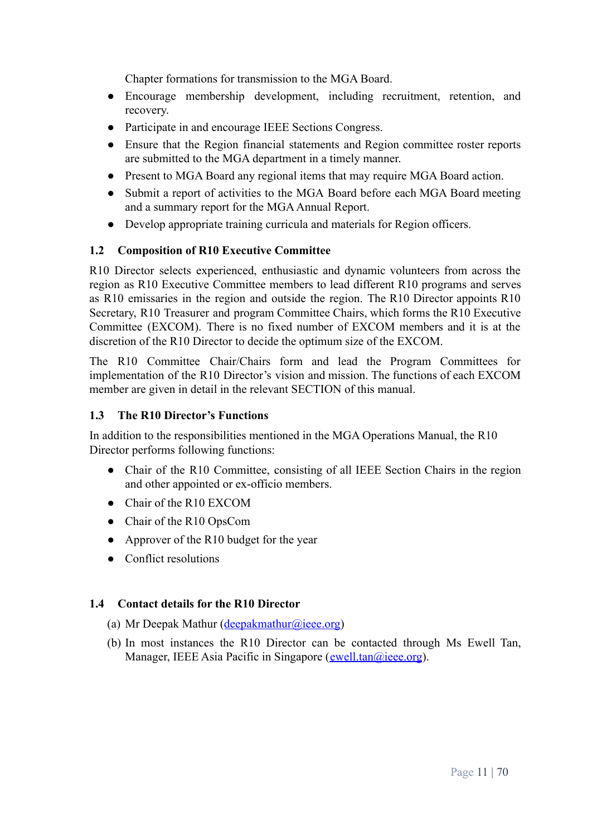Chapter formations for transmission to the MGA Board.

- Encourage membership development, including recruitment, retention, and recovery.
- Participate in and encourage IEEE Sections Congress.
- Ensure that the Region financial statements and Region committee roster reports are submitted to the MGA department in a timely manner.
- Present to MGA Board any regional items that may require MGA Board action.
- Submit a report of activities to the MGA Board before each MGA Board meeting and a summary report for the MGA Annual Report.
- Develop appropriate training curricula and materials for Region officers.

#### <span id="page-10-0"></span>**1.2 Composition of R10 Executive Committee**

R10 Director selects experienced, enthusiastic and dynamic volunteers from across the region as R10 Executive Committee members to lead different R10 programs and serves as R10 emissaries in the region and outside the region. The R10 Director appoints R10 Secretary, R10 Treasurer and program Committee Chairs, which forms the R10 Executive Committee (EXCOM). There is no fixed number of EXCOM members and it is at the discretion of the R10 Director to decide the optimum size of the EXCOM.

The R10 Committee Chair/Chairs form and lead the Program Committees for implementation of the R10 Director's vision and mission. The functions of each EXCOM member are given in detail in the relevant SECTION of this manual.

#### <span id="page-10-1"></span>**1.3 The R10 Director's Functions**

In addition to the responsibilities mentioned in the MGA Operations Manual, the R10 Director performs following functions:

- Chair of the R10 Committee, consisting of all IEEE Section Chairs in the region and other appointed or ex-officio members.
- Chair of the R10 EXCOM
- Chair of the R10 OpsCom
- Approver of the R10 budget for the year
- Conflict resolutions

#### <span id="page-10-2"></span>**1.4 Contact details for the R10 Director**

- (a) Mr Deepak Mathur ([deepakmathur@ieee.org\)](mailto:deepakmathur@ieee.org)
- (b) In most instances the R10 Director can be contacted through Ms Ewell Tan, Manager, IEEE Asia Pacific in Singapore ([ewell.tan@ieee.org](mailto:ewell.tan@ieee.org)).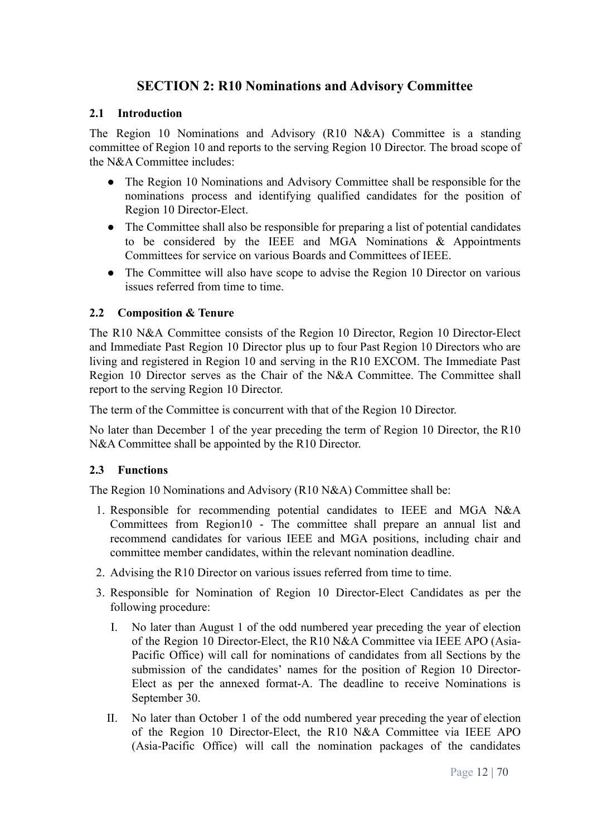# **SECTION 2: R10 Nominations and Advisory Committee**

#### <span id="page-11-1"></span><span id="page-11-0"></span>**2.1 Introduction**

The Region 10 Nominations and Advisory (R10 N&A) Committee is a standing committee of Region 10 and reports to the serving Region 10 Director. The broad scope of the N&A Committee includes:

- The Region 10 Nominations and Advisory Committee shall be responsible for the nominations process and identifying qualified candidates for the position of Region 10 Director-Elect.
- The Committee shall also be responsible for preparing a list of potential candidates to be considered by the IEEE and MGA Nominations  $\&$  Appointments Committees for service on various Boards and Committees of IEEE.
- The Committee will also have scope to advise the Region 10 Director on various issues referred from time to time.

## <span id="page-11-2"></span>**2.2 Composition & Tenure**

The R10 N&A Committee consists of the Region 10 Director, Region 10 Director-Elect and Immediate Past Region 10 Director plus up to four Past Region 10 Directors who are living and registered in Region 10 and serving in the R10 EXCOM. The Immediate Past Region 10 Director serves as the Chair of the N&A Committee. The Committee shall report to the serving Region 10 Director.

The term of the Committee is concurrent with that of the Region 10 Director.

No later than December 1 of the year preceding the term of Region 10 Director, the R10 N&A Committee shall be appointed by the R10 Director.

#### <span id="page-11-3"></span>**2.3 Functions**

The Region 10 Nominations and Advisory (R10 N&A) Committee shall be:

- 1. Responsible for recommending potential candidates to IEEE and MGA N&A Committees from Region10 - The committee shall prepare an annual list and recommend candidates for various IEEE and MGA positions, including chair and committee member candidates, within the relevant nomination deadline.
- 2. Advising the R10 Director on various issues referred from time to time.
- 3. Responsible for Nomination of Region 10 Director-Elect Candidates as per the following procedure:
	- I. No later than August 1 of the odd numbered year preceding the year of election of the Region 10 Director-Elect, the R10 N&A Committee via IEEE APO (Asia-Pacific Office) will call for nominations of candidates from all Sections by the submission of the candidates' names for the position of Region 10 Director-Elect as per the annexed format-A. The deadline to receive Nominations is September 30.
	- II. No later than October 1 of the odd numbered year preceding the year of election of the Region 10 Director-Elect, the R10 N&A Committee via IEEE APO (Asia-Pacific Office) will call the nomination packages of the candidates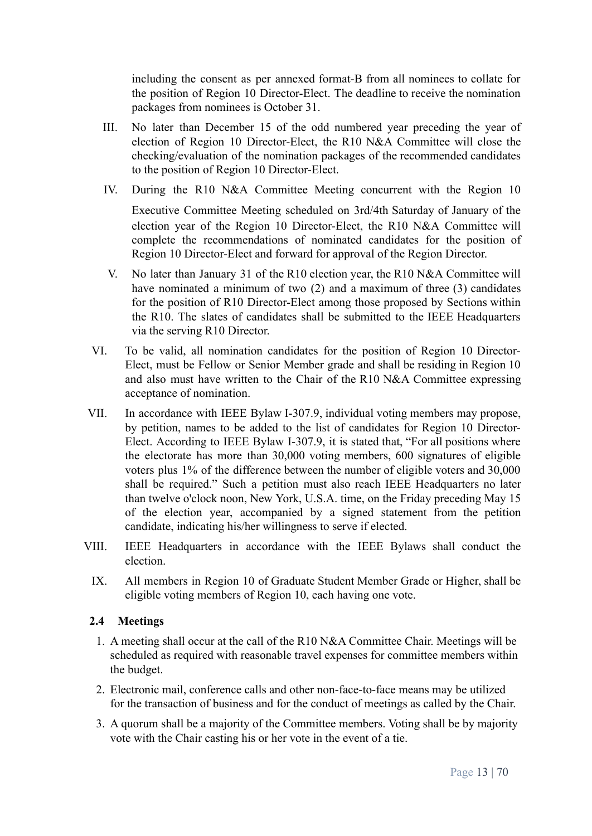including the consent as per annexed format-B from all nominees to collate for the position of Region 10 Director-Elect. The deadline to receive the nomination packages from nominees is October 31.

- III. No later than December 15 of the odd numbered year preceding the year of election of Region 10 Director-Elect, the R10 N&A Committee will close the checking/evaluation of the nomination packages of the recommended candidates to the position of Region 10 Director-Elect.
- IV. During the R10 N&A Committee Meeting concurrent with the Region 10

Executive Committee Meeting scheduled on 3rd/4th Saturday of January of the election year of the Region 10 Director-Elect, the R10 N&A Committee will complete the recommendations of nominated candidates for the position of Region 10 Director-Elect and forward for approval of the Region Director.

- V. No later than January 31 of the R10 election year, the R10 N&A Committee will have nominated a minimum of two (2) and a maximum of three (3) candidates for the position of R10 Director-Elect among those proposed by Sections within the R10. The slates of candidates shall be submitted to the IEEE Headquarters via the serving R10 Director.
- VI. To be valid, all nomination candidates for the position of Region 10 Director-Elect, must be Fellow or Senior Member grade and shall be residing in Region 10 and also must have written to the Chair of the R10 N&A Committee expressing acceptance of nomination.
- VII. In accordance with IEEE Bylaw I-307.9, individual voting members may propose, by petition, names to be added to the list of candidates for Region 10 Director-Elect. According to IEEE Bylaw I-307.9, it is stated that, "For all positions where the electorate has more than 30,000 voting members, 600 signatures of eligible voters plus 1% of the difference between the number of eligible voters and 30,000 shall be required." Such a petition must also reach IEEE Headquarters no later than twelve o'clock noon, New York, U.S.A. time, on the Friday preceding May 15 of the election year, accompanied by a signed statement from the petition candidate, indicating his/her willingness to serve if elected.
- VIII. IEEE Headquarters in accordance with the IEEE Bylaws shall conduct the election.
	- IX. All members in Region 10 of Graduate Student Member Grade or Higher, shall be eligible voting members of Region 10, each having one vote.

#### <span id="page-12-0"></span>**2.4 Meetings**

- 1. A meeting shall occur at the call of the R10 N&A Committee Chair. Meetings will be scheduled as required with reasonable travel expenses for committee members within the budget.
- 2. Electronic mail, conference calls and other non-face-to-face means may be utilized for the transaction of business and for the conduct of meetings as called by the Chair.
- 3. A quorum shall be a majority of the Committee members. Voting shall be by majority vote with the Chair casting his or her vote in the event of a tie.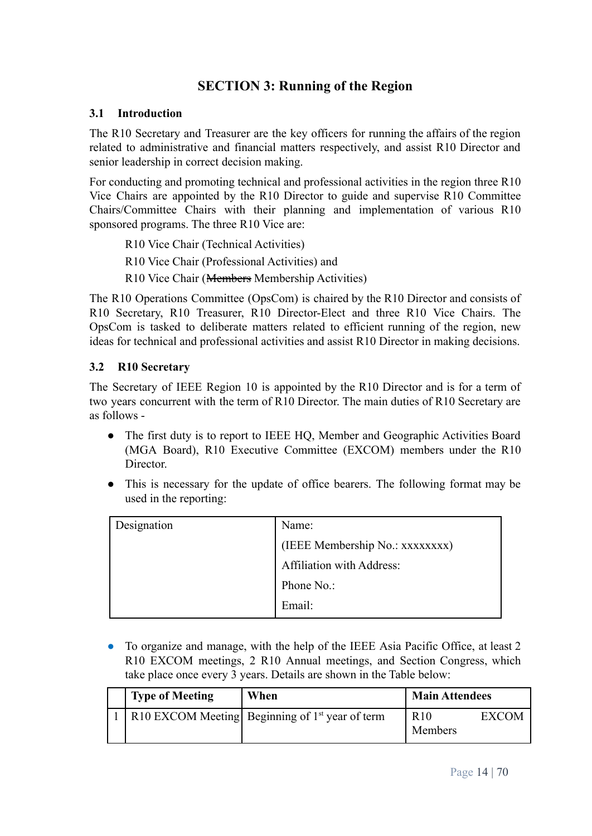# **SECTION 3: Running of the Region**

#### <span id="page-13-1"></span><span id="page-13-0"></span>**3.1 Introduction**

The R10 Secretary and Treasurer are the key officers for running the affairs of the region related to administrative and financial matters respectively, and assist R10 Director and senior leadership in correct decision making.

For conducting and promoting technical and professional activities in the region three R10 Vice Chairs are appointed by the R10 Director to guide and supervise R10 Committee Chairs/Committee Chairs with their planning and implementation of various R10 sponsored programs. The three R10 Vice are:

R10 Vice Chair (Technical Activities)

R10 Vice Chair (Professional Activities) and

R10 Vice Chair (Members Membership Activities)

The R10 Operations Committee (OpsCom) is chaired by the R10 Director and consists of R10 Secretary, R10 Treasurer, R10 Director-Elect and three R10 Vice Chairs. The OpsCom is tasked to deliberate matters related to efficient running of the region, new ideas for technical and professional activities and assist R10 Director in making decisions.

## <span id="page-13-2"></span>**3.2 R10 Secretary**

The Secretary of IEEE Region 10 is appointed by the R10 Director and is for a term of two years concurrent with the term of R10 Director. The main duties of R10 Secretary are as follows -

- The first duty is to report to IEEE HQ, Member and Geographic Activities Board (MGA Board), R10 Executive Committee (EXCOM) members under the R10 Director.
- This is necessary for the update of office bearers. The following format may be used in the reporting:

| Designation | Name:                           |
|-------------|---------------------------------|
|             | (IEEE Membership No.: xxxxxxxx) |
|             | Affiliation with Address:       |
|             | Phone No.:                      |
|             | Email:                          |

● To organize and manage, with the help of the IEEE Asia Pacific Office, at least 2 R10 EXCOM meetings, 2 R10 Annual meetings, and Section Congress, which take place once every 3 years. Details are shown in the Table below:

| <b>Type of Meeting</b> | When                                              | <b>Main Attendees</b>      |       |
|------------------------|---------------------------------------------------|----------------------------|-------|
|                        | R10 EXCOM Meeting Beginning of $1st$ year of term | R <sub>10</sub><br>Members | EXCOM |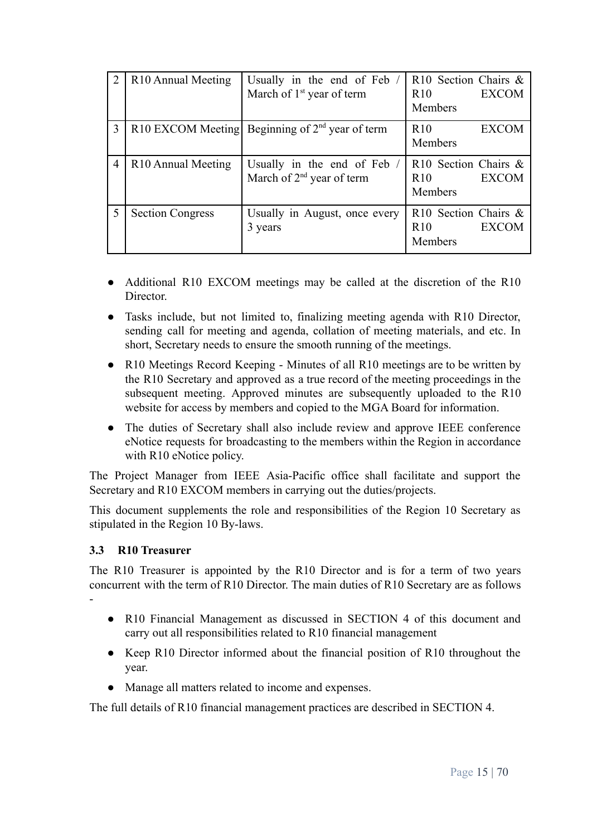|   | R <sub>10</sub> Annual Meeting | Usually in the end of Feb /<br>March of 1 <sup>st</sup> year of term | R <sub>10</sub> Section Chairs &<br><b>EXCOM</b><br>R10<br>Members |
|---|--------------------------------|----------------------------------------------------------------------|--------------------------------------------------------------------|
| 3 |                                | R10 EXCOM Meeting Beginning of $2nd$ year of term                    | R <sub>10</sub><br><b>EXCOM</b><br>Members                         |
| 4 | R <sub>10</sub> Annual Meeting | Usually in the end of Feb /<br>March of $2nd$ year of term           | R10 Section Chairs &<br><b>EXCOM</b><br>R <sub>10</sub><br>Members |
|   | <b>Section Congress</b>        | Usually in August, once every<br>3 years                             | R10 Section Chairs &<br><b>EXCOM</b><br>R10<br>Members             |

- Additional R10 EXCOM meetings may be called at the discretion of the R10 Director.
- Tasks include, but not limited to, finalizing meeting agenda with R10 Director, sending call for meeting and agenda, collation of meeting materials, and etc. In short, Secretary needs to ensure the smooth running of the meetings.
- R10 Meetings Record Keeping Minutes of all R10 meetings are to be written by the R10 Secretary and approved as a true record of the meeting proceedings in the subsequent meeting. Approved minutes are subsequently uploaded to the R10 website for access by members and copied to the MGA Board for information.
- The duties of Secretary shall also include review and approve IEEE conference eNotice requests for broadcasting to the members within the Region in accordance with R<sub>10</sub> eNotice policy.

The Project Manager from IEEE Asia-Pacific office shall facilitate and support the Secretary and R10 EXCOM members in carrying out the duties/projects.

This document supplements the role and responsibilities of the Region 10 Secretary as stipulated in the Region 10 By-laws.

# <span id="page-14-0"></span>**3.3 R10 Treasurer**

-

The R10 Treasurer is appointed by the R10 Director and is for a term of two years concurrent with the term of R10 Director. The main duties of R10 Secretary are as follows

- R10 Financial Management as discussed in SECTION 4 of this document and carry out all responsibilities related to R10 financial management
- Keep R10 Director informed about the financial position of R10 throughout the year.
- Manage all matters related to income and expenses.

The full details of R10 financial management practices are described in SECTION 4.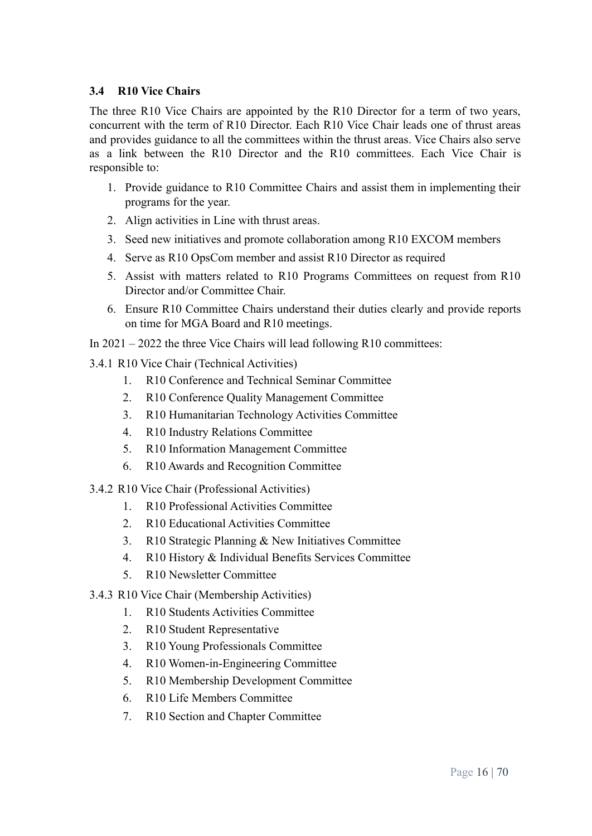## <span id="page-15-0"></span>**3.4 R10 Vice Chairs**

The three R10 Vice Chairs are appointed by the R10 Director for a term of two years, concurrent with the term of R10 Director. Each R10 Vice Chair leads one of thrust areas and provides guidance to all the committees within the thrust areas. Vice Chairs also serve as a link between the R10 Director and the R10 committees. Each Vice Chair is responsible to:

- 1. Provide guidance to R10 Committee Chairs and assist them in implementing their programs for the year.
- 2. Align activities in Line with thrust areas.
- 3. Seed new initiatives and promote collaboration among R10 EXCOM members
- 4. Serve as R10 OpsCom member and assist R10 Director as required
- 5. Assist with matters related to R10 Programs Committees on request from R10 Director and/or Committee Chair.
- 6. Ensure R10 Committee Chairs understand their duties clearly and provide reports on time for MGA Board and R10 meetings.
- In 2021 2022 the three Vice Chairs will lead following R10 committees:
- <span id="page-15-1"></span>3.4.1 R10 Vice Chair (Technical Activities)
	- 1. R10 Conference and Technical Seminar Committee
	- 2. R10 Conference Quality Management Committee
	- 3. R10 Humanitarian Technology Activities Committee
	- 4. R10 Industry Relations Committee
	- 5. R10 Information Management Committee
	- 6. R10 Awards and Recognition Committee
- <span id="page-15-2"></span>3.4.2 R10 Vice Chair (Professional Activities)
	- 1. R10 Professional Activities Committee
	- 2. R10 Educational Activities Committee
	- 3. R10 Strategic Planning & New Initiatives Committee
	- 4. R10 History & Individual Benefits Services Committee
	- 5. R10 Newsletter Committee
- <span id="page-15-3"></span>3.4.3 R10 Vice Chair (Membership Activities)
	- 1. R10 Students Activities Committee
	- 2. R10 Student Representative
	- 3. R10 Young Professionals Committee
	- 4. R10 Women-in-Engineering Committee
	- 5. R10 Membership Development Committee
	- 6. R10 Life Members Committee
	- 7. R10 Section and Chapter Committee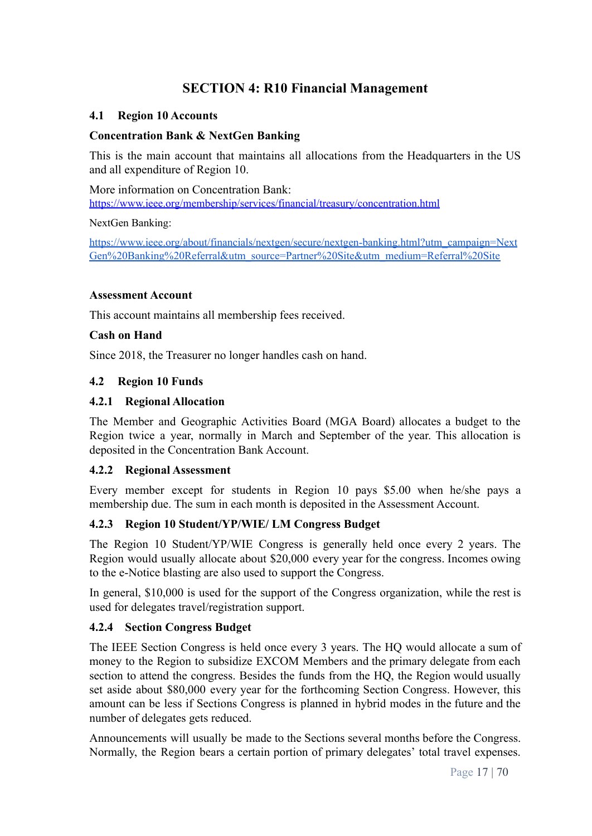# **SECTION 4: R10 Financial Management**

#### <span id="page-16-1"></span><span id="page-16-0"></span>**4.1 Region 10 Accounts**

#### **Concentration Bank & NextGen Banking**

This is the main account that maintains all allocations from the Headquarters in the US and all expenditure of Region 10.

More information on Concentration Bank: <https://www.ieee.org/membership/services/financial/treasury/concentration.html>

NextGen Banking:

[https://www.ieee.org/about/financials/nextgen/secure/nextgen-banking.html?utm\\_campaign=Next](https://www.ieee.org/about/financials/nextgen/secure/nextgen-banking.html?utm_campaign=NextGen%20Banking%20Referral&utm_source=Partner%20Site&utm_medium=Referral%20Site) [Gen%20Banking%20Referral&utm\\_source=Partner%20Site&utm\\_medium=Referral%20Site](https://www.ieee.org/about/financials/nextgen/secure/nextgen-banking.html?utm_campaign=NextGen%20Banking%20Referral&utm_source=Partner%20Site&utm_medium=Referral%20Site)

#### **Assessment Account**

This account maintains all membership fees received.

#### **Cash on Hand**

Since 2018, the Treasurer no longer handles cash on hand.

#### <span id="page-16-2"></span>**4.2 Region 10 Funds**

#### **4.2.1 Regional Allocation**

The Member and Geographic Activities Board (MGA Board) allocates a budget to the Region twice a year, normally in March and September of the year. This allocation is deposited in the Concentration Bank Account.

#### **4.2.2 Regional Assessment**

Every member except for students in Region 10 pays \$5.00 when he/she pays a membership due. The sum in each month is deposited in the Assessment Account.

#### **4.2.3 Region 10 Student/YP/WIE/ LM Congress Budget**

The Region 10 Student/YP/WIE Congress is generally held once every 2 years. The Region would usually allocate about \$20,000 every year for the congress. Incomes owing to the e-Notice blasting are also used to support the Congress.

In general, \$10,000 is used for the support of the Congress organization, while the rest is used for delegates travel/registration support.

#### **4.2.4 Section Congress Budget**

The IEEE Section Congress is held once every 3 years. The HQ would allocate a sum of money to the Region to subsidize EXCOM Members and the primary delegate from each section to attend the congress. Besides the funds from the HQ, the Region would usually set aside about \$80,000 every year for the forthcoming Section Congress. However, this amount can be less if Sections Congress is planned in hybrid modes in the future and the number of delegates gets reduced.

Announcements will usually be made to the Sections several months before the Congress. Normally, the Region bears a certain portion of primary delegates' total travel expenses.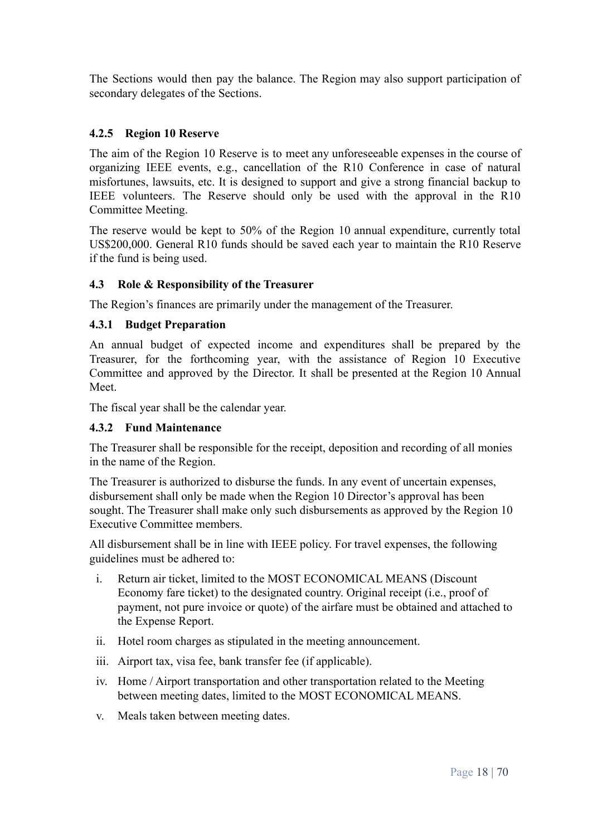The Sections would then pay the balance. The Region may also support participation of secondary delegates of the Sections.

## **4.2.5 Region 10 Reserve**

The aim of the Region 10 Reserve is to meet any unforeseeable expenses in the course of organizing IEEE events, e.g., cancellation of the R10 Conference in case of natural misfortunes, lawsuits, etc. It is designed to support and give a strong financial backup to IEEE volunteers. The Reserve should only be used with the approval in the R10 Committee Meeting.

The reserve would be kept to 50% of the Region 10 annual expenditure, currently total US\$200,000. General R10 funds should be saved each year to maintain the R10 Reserve if the fund is being used.

## <span id="page-17-0"></span>**4.3 Role & Responsibility of the Treasurer**

The Region's finances are primarily under the management of the Treasurer.

#### **4.3.1 Budget Preparation**

An annual budget of expected income and expenditures shall be prepared by the Treasurer, for the forthcoming year, with the assistance of Region 10 Executive Committee and approved by the Director. It shall be presented at the Region 10 Annual **Meet**.

The fiscal year shall be the calendar year.

#### **4.3.2 Fund Maintenance**

The Treasurer shall be responsible for the receipt, deposition and recording of all monies in the name of the Region.

The Treasurer is authorized to disburse the funds. In any event of uncertain expenses, disbursement shall only be made when the Region 10 Director's approval has been sought. The Treasurer shall make only such disbursements as approved by the Region 10 Executive Committee members.

All disbursement shall be in line with IEEE policy. For travel expenses, the following guidelines must be adhered to:

- i. Return air ticket, limited to the MOST ECONOMICAL MEANS (Discount Economy fare ticket) to the designated country. Original receipt (i.e., proof of payment, not pure invoice or quote) of the airfare must be obtained and attached to the Expense Report.
- ii. Hotel room charges as stipulated in the meeting announcement.
- iii. Airport tax, visa fee, bank transfer fee (if applicable).
- iv. Home / Airport transportation and other transportation related to the Meeting between meeting dates, limited to the MOST ECONOMICAL MEANS.
- v. Meals taken between meeting dates.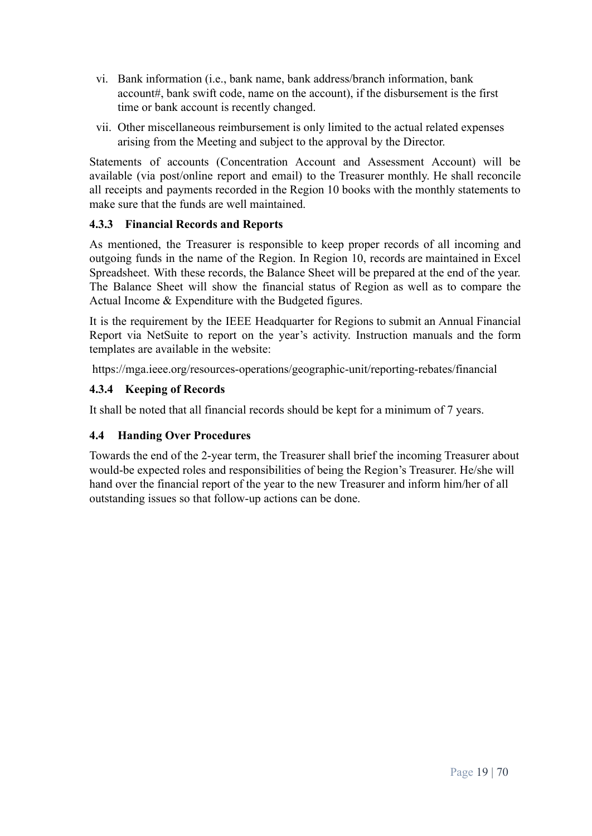- vi. Bank information (i.e., bank name, bank address/branch information, bank account#, bank swift code, name on the account), if the disbursement is the first time or bank account is recently changed.
- vii. Other miscellaneous reimbursement is only limited to the actual related expenses arising from the Meeting and subject to the approval by the Director.

Statements of accounts (Concentration Account and Assessment Account) will be available (via post/online report and email) to the Treasurer monthly. He shall reconcile all receipts and payments recorded in the Region 10 books with the monthly statements to make sure that the funds are well maintained.

## **4.3.3 Financial Records and Reports**

As mentioned, the Treasurer is responsible to keep proper records of all incoming and outgoing funds in the name of the Region. In Region 10, records are maintained in Excel Spreadsheet. With these records, the Balance Sheet will be prepared at the end of the year. The Balance Sheet will show the financial status of Region as well as to compare the Actual Income & Expenditure with the Budgeted figures.

It is the requirement by the IEEE Headquarter for Regions to submit an Annual Financial Report via NetSuite to report on the year's activity. Instruction manuals and the form templates are available in the website:

https://mga.ieee.org/resources-operations/geographic-unit/reporting-rebates/financial

# **4.3.4 Keeping of Records**

It shall be noted that all financial records should be kept for a minimum of 7 years.

# <span id="page-18-0"></span>**4.4 Handing Over Procedures**

Towards the end of the 2-year term, the Treasurer shall brief the incoming Treasurer about would-be expected roles and responsibilities of being the Region's Treasurer. He/she will hand over the financial report of the year to the new Treasurer and inform him/her of all outstanding issues so that follow-up actions can be done.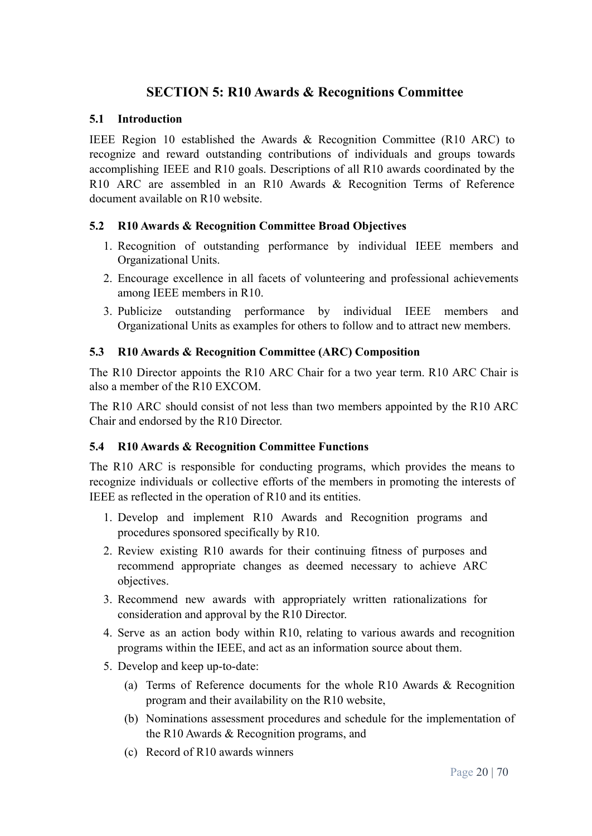# **SECTION 5: R10 Awards & Recognitions Committee**

## <span id="page-19-1"></span><span id="page-19-0"></span>**5.1 Introduction**

IEEE Region 10 established the Awards & Recognition Committee (R10 ARC) to recognize and reward outstanding contributions of individuals and groups towards accomplishing IEEE and R10 goals. Descriptions of all R10 awards coordinated by the R10 ARC are assembled in an R10 Awards & Recognition Terms of Reference document available on R10 website.

# <span id="page-19-2"></span>**5.2 R10 Awards & Recognition Committee Broad Objectives**

- 1. Recognition of outstanding performance by individual IEEE members and Organizational Units.
- 2. Encourage excellence in all facets of volunteering and professional achievements among IEEE members in R10.
- 3. Publicize outstanding performance by individual IEEE members and Organizational Units as examples for others to follow and to attract new members.

# <span id="page-19-3"></span>**5.3 R10 Awards & Recognition Committee (ARC) Composition**

The R10 Director appoints the R10 ARC Chair for a two year term. R10 ARC Chair is also a member of the R10 EXCOM.

The R10 ARC should consist of not less than two members appointed by the R10 ARC Chair and endorsed by the R10 Director.

# <span id="page-19-4"></span>**5.4 R10 Awards & Recognition Committee Functions**

The R10 ARC is responsible for conducting programs, which provides the means to recognize individuals or collective efforts of the members in promoting the interests of IEEE as reflected in the operation of R10 and its entities.

- 1. Develop and implement R10 Awards and Recognition programs and procedures sponsored specifically by R10.
- 2. Review existing R10 awards for their continuing fitness of purposes and recommend appropriate changes as deemed necessary to achieve ARC objectives.
- 3. Recommend new awards with appropriately written rationalizations for consideration and approval by the R10 Director.
- 4. Serve as an action body within R10, relating to various awards and recognition programs within the IEEE, and act as an information source about them.
- 5. Develop and keep up-to-date:
	- (a) Terms of Reference documents for the whole R10 Awards & Recognition program and their availability on the R10 website,
	- (b) Nominations assessment procedures and schedule for the implementation of the R10 Awards & Recognition programs, and
	- (c) Record of R10 awards winners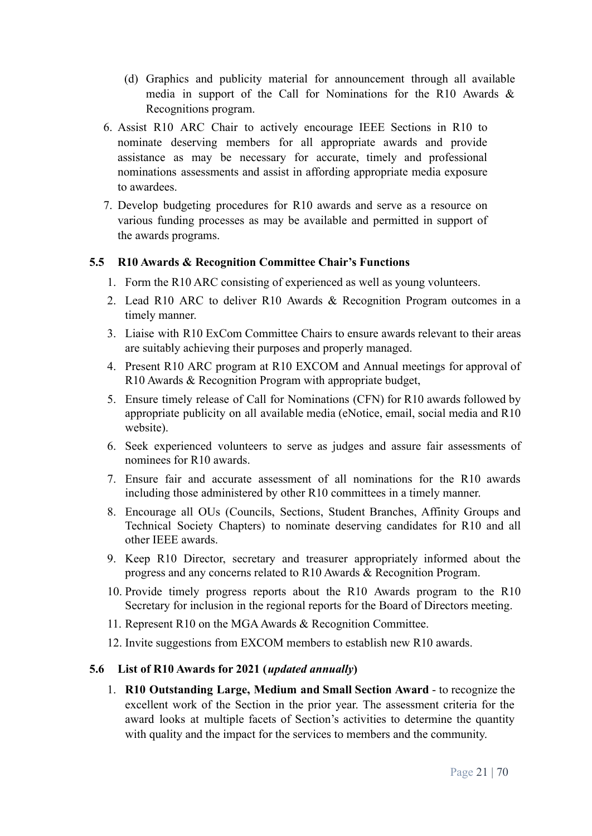- (d) Graphics and publicity material for announcement through all available media in support of the Call for Nominations for the R10 Awards & Recognitions program.
- 6. Assist R10 ARC Chair to actively encourage IEEE Sections in R10 to nominate deserving members for all appropriate awards and provide assistance as may be necessary for accurate, timely and professional nominations assessments and assist in affording appropriate media exposure to awardees.
- 7. Develop budgeting procedures for R10 awards and serve as a resource on various funding processes as may be available and permitted in support of the awards programs.

#### <span id="page-20-0"></span>**5.5 R10 Awards & Recognition Committee Chair's Functions**

- 1. Form the R10 ARC consisting of experienced as well as young volunteers.
- 2. Lead R10 ARC to deliver R10 Awards & Recognition Program outcomes in a timely manner.
- 3. Liaise with R10 ExCom Committee Chairs to ensure awards relevant to their areas are suitably achieving their purposes and properly managed.
- 4. Present R10 ARC program at R10 EXCOM and Annual meetings for approval of R10 Awards & Recognition Program with appropriate budget,
- 5. Ensure timely release of Call for Nominations (CFN) for R10 awards followed by appropriate publicity on all available media (eNotice, email, social media and R10 website).
- 6. Seek experienced volunteers to serve as judges and assure fair assessments of nominees for R10 awards.
- 7. Ensure fair and accurate assessment of all nominations for the R10 awards including those administered by other R10 committees in a timely manner.
- 8. Encourage all OUs (Councils, Sections, Student Branches, Affinity Groups and Technical Society Chapters) to nominate deserving candidates for R10 and all other IEEE awards.
- 9. Keep R10 Director, secretary and treasurer appropriately informed about the progress and any concerns related to R10 Awards & Recognition Program.
- 10. Provide timely progress reports about the R10 Awards program to the R10 Secretary for inclusion in the regional reports for the Board of Directors meeting.
- 11. Represent R10 on the MGA Awards & Recognition Committee.
- 12. Invite suggestions from EXCOM members to establish new R10 awards.

#### <span id="page-20-1"></span>**5.6 List of R10 Awards for 2021 (***updated annually***)**

1. **R10 Outstanding Large, Medium and Small Section Award** - to recognize the excellent work of the Section in the prior year. The assessment criteria for the award looks at multiple facets of Section's activities to determine the quantity with quality and the impact for the services to members and the community.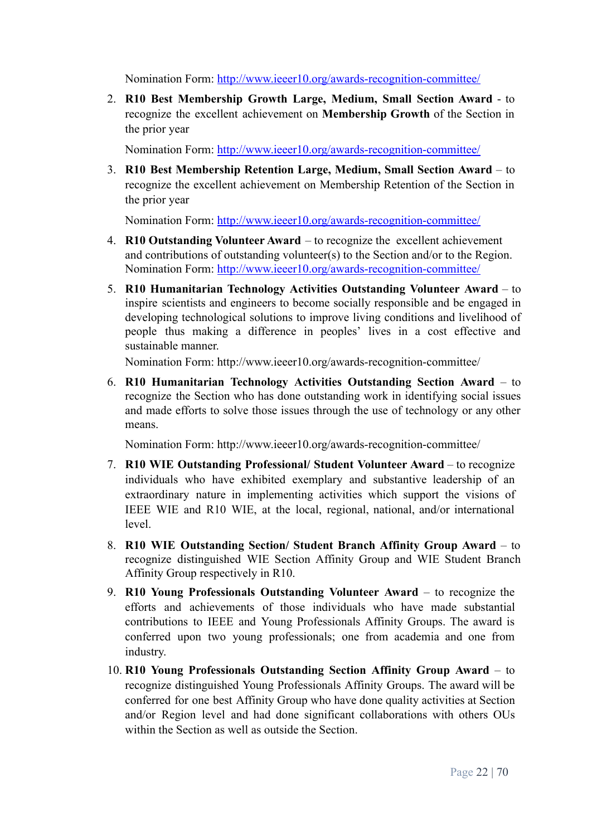Nomination Form: <http://www.ieeer10.org/awards-recognition-committee/>

2. **R10 Best Membership Growth Large, Medium, Small Section Award** - to recognize the excellent achievement on **Membership Growth** of the Section in the prior year

Nomination Form: <http://www.ieeer10.org/awards-recognition-committee/>

3. **R10 Best Membership Retention Large, Medium, Small Section Award** – to recognize the excellent achievement on Membership Retention of the Section in the prior year

Nomination Form: <http://www.ieeer10.org/awards-recognition-committee/>

- 4. **R10 Outstanding Volunteer Award** to recognize the excellent achievement and contributions of outstanding volunteer(s) to the Section and/or to the Region. Nomination Form: <http://www.ieeer10.org/awards-recognition-committee/>
- 5. **R10 Humanitarian Technology Activities Outstanding Volunteer Award** to inspire scientists and engineers to become socially responsible and be engaged in developing technological solutions to improve living conditions and livelihood of people thus making a difference in peoples' lives in a cost effective and sustainable manner.

Nomination Form: <http://www.ieeer10.org/awards-recognition-committee/>

6. **R10 Humanitarian Technology Activities Outstanding Section Award** – to recognize the Section who has done outstanding work in identifying social issues and made efforts to solve those issues through the use of technology or any other means.

Nomination Form: <http://www.ieeer10.org/awards-recognition-committee/>

- 7. **R10 WIE Outstanding Professional/ Student Volunteer Award** to recognize individuals who have exhibited exemplary and substantive leadership of an extraordinary nature in implementing activities which support the visions of IEEE WIE and R10 WIE, at the local, regional, national, and/or international level.
- 8. **R10 WIE Outstanding Section/ Student Branch Affinity Group Award** to recognize distinguished WIE Section Affinity Group and WIE Student Branch Affinity Group respectively in R10.
- 9. **R10 Young Professionals Outstanding Volunteer Award** to recognize the efforts and achievements of those individuals who have made substantial contributions to IEEE and Young Professionals Affinity Groups. The award is conferred upon two young professionals; one from academia and one from industry.
- 10. **R10 Young Professionals Outstanding Section Affinity Group Award** to recognize distinguished Young Professionals Affinity Groups. The award will be conferred for one best Affinity Group who have done quality activities at Section and/or Region level and had done significant collaborations with others OUs within the Section as well as outside the Section.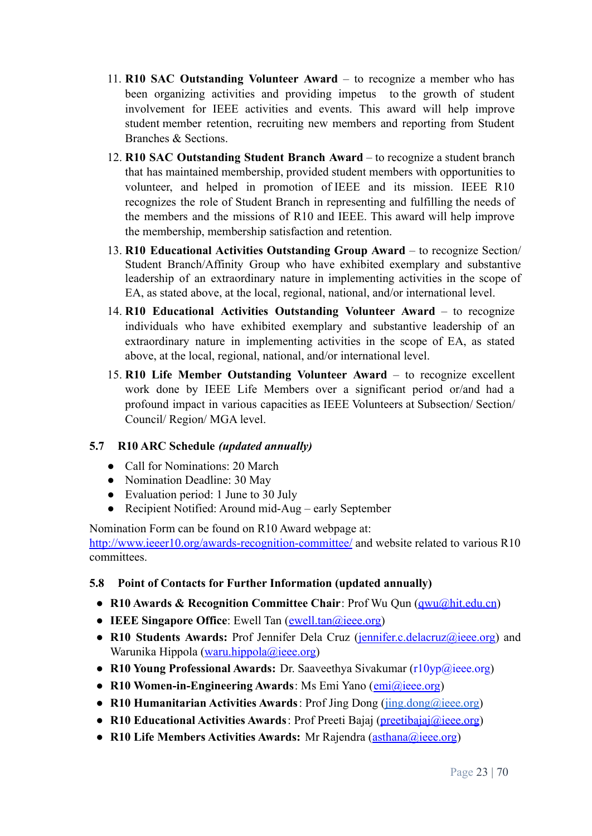- 11. **R10 SAC Outstanding Volunteer Award** to recognize a member who has been organizing activities and providing impetus to the growth of student involvement for IEEE activities and events. This award will help improve student member retention, recruiting new members and reporting from Student Branches & Sections.
- 12. **R10 SAC Outstanding Student Branch Award** to recognize a student branch that has maintained membership, provided student members with opportunities to volunteer, and helped in promotion of IEEE and its mission. IEEE R10 recognizes the role of Student Branch in representing and fulfilling the needs of the members and the missions of R10 and IEEE. This award will help improve the membership, membership satisfaction and retention.
- 13. **R10 Educational Activities Outstanding Group Award** to recognize Section/ Student Branch/Affinity Group who have exhibited exemplary and substantive leadership of an extraordinary nature in implementing activities in the scope of EA, as stated above, at the local, regional, national, and/or international level.
- 14. **R10 Educational Activities Outstanding Volunteer Award** to recognize individuals who have exhibited exemplary and substantive leadership of an extraordinary nature in implementing activities in the scope of EA, as stated above, at the local, regional, national, and/or international level.
- 15. **R10 Life Member Outstanding Volunteer Award** to recognize excellent work done by IEEE Life Members over a significant period or/and had a profound impact in various capacities as IEEE Volunteers at Subsection/ Section/ Council/ Region/ MGA level.

# <span id="page-22-0"></span>**5.7 R10 ARC Schedule** *(updated annually)*

- Call for Nominations: 20 March
- Nomination Deadline: 30 May
- Evaluation period: 1 June to 30 July
- Recipient Notified: Around mid-Aug early September

Nomination Form can be found on R10 Award webpage at:

<http://www.ieeer10.org/awards-recognition-committee/> and website related to various R10 committees.

# <span id="page-22-1"></span>**5.8 Point of Contacts for Further Information (updated annually)**

- **R10 Awards & Recognition Committee Chair**: Prof Wu Qun (*gwu@hit.edu.cn*)
- **IEEE Singapore Office**: Ewell Tan ([ewell.tan@ieee.org\)](mailto:ewell.tan@ieee.org)
- **R10 Students Awards:** Prof Jennifer Dela Cruz ([jennifer.c.delacruz@ieee.org\)](mailto:jennifer.c.delacruz@ieee.org) and Warunika Hippola ([waru.hippola@ieee.org](mailto:waru.hippola@ieee.org))
- **R10 Young Professional Awards:** Dr. Saaveethya Sivakumar ([r10yp@ieee.org\)](mailto:r10yp@ieee.org)
- **R10 Women-in-Engineering Awards**: Ms Emi Yano ([emi@ieee.org](mailto:emi@ieee.org))
- **R10 Humanitarian Activities Awards**: Prof Jing Dong ([jing.dong@ieee.org\)](mailto:jing.dong@ieee.org)
- **R10 Educational Activities Awards**: Prof Preeti Bajaj [\(preetibajaj@ieee.org\)](mailto:preetibajaj@ieee.org)
- **● R10 Life Members Activities Awards:** Mr Rajendra ([asthana@ieee.org](mailto:asthana@ieee.org))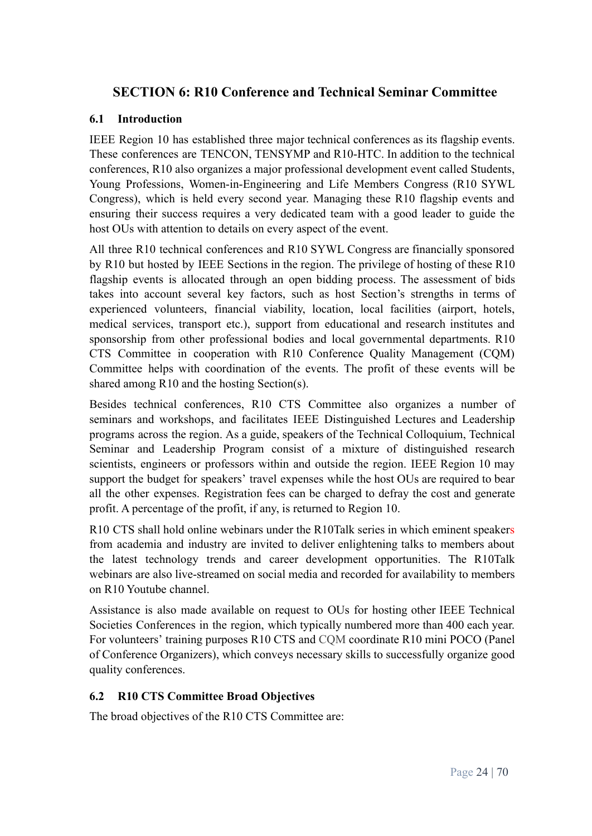# <span id="page-23-0"></span>**SECTION 6: R10 Conference and Technical Seminar Committee**

## <span id="page-23-1"></span>**6.1 Introduction**

IEEE Region 10 has established three major technical conferences as its flagship events. These conferences are TENCON, TENSYMP and R10-HTC. In addition to the technical conferences, R10 also organizes a major professional development event called Students, Young Professions, Women-in-Engineering and Life Members Congress (R10 SYWL Congress), which is held every second year. Managing these R10 flagship events and ensuring their success requires a very dedicated team with a good leader to guide the host OUs with attention to details on every aspect of the event.

All three R10 technical conferences and R10 SYWL Congress are financially sponsored by R10 but hosted by IEEE Sections in the region. The privilege of hosting of these R10 flagship events is allocated through an open bidding process. The assessment of bids takes into account several key factors, such as host Section's strengths in terms of experienced volunteers, financial viability, location, local facilities (airport, hotels, medical services, transport etc.), support from educational and research institutes and sponsorship from other professional bodies and local governmental departments. R10 CTS Committee in cooperation with R10 Conference Quality Management (CQM) Committee helps with coordination of the events. The profit of these events will be shared among R10 and the hosting Section(s).

Besides technical conferences, R10 CTS Committee also organizes a number of seminars and workshops, and facilitates IEEE Distinguished Lectures and Leadership programs across the region. As a guide, speakers of the Technical Colloquium, Technical Seminar and Leadership Program consist of a mixture of distinguished research scientists, engineers or professors within and outside the region. IEEE Region 10 may support the budget for speakers' travel expenses while the host OUs are required to bear all the other expenses. Registration fees can be charged to defray the cost and generate profit. A percentage of the profit, if any, is returned to Region 10.

R10 CTS shall hold online webinars under the R10Talk series in which eminent speakers from academia and industry are invited to deliver enlightening talks to members about the latest technology trends and career development opportunities. The R10Talk webinars are also live-streamed on social media and recorded for availability to members on R10 Youtube channel.

Assistance is also made available on request to OUs for hosting other IEEE Technical Societies Conferences in the region, which typically numbered more than 400 each year. For volunteers' training purposes R10 CTS and CQM coordinate R10 mini POCO (Panel of Conference Organizers), which conveys necessary skills to successfully organize good quality conferences.

# <span id="page-23-2"></span>**6.2 R10 CTS Committee Broad Objectives**

The broad objectives of the R10 CTS Committee are: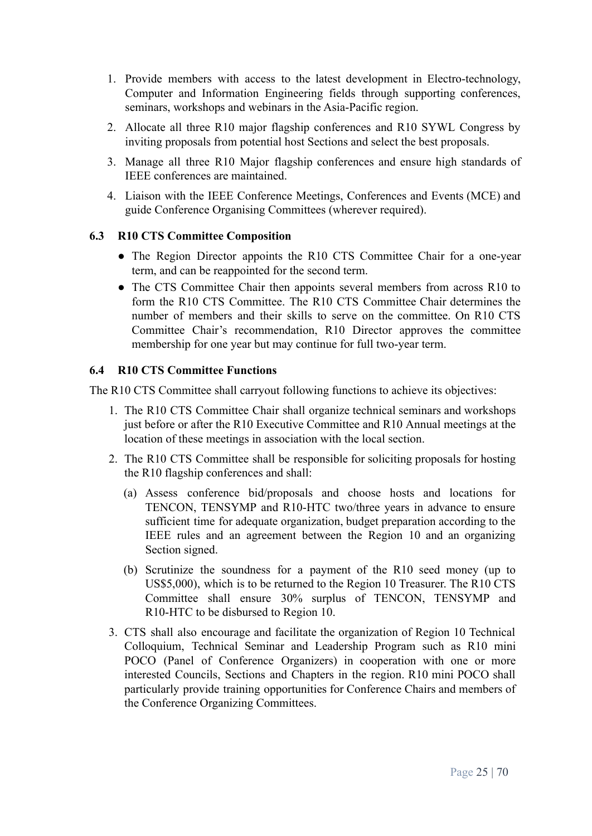- 1. Provide members with access to the latest development in Electro-technology, Computer and Information Engineering fields through supporting conferences, seminars, workshops and webinars in the Asia-Pacific region.
- 2. Allocate all three R10 major flagship conferences and R10 SYWL Congress by inviting proposals from potential host Sections and select the best proposals.
- 3. Manage all three R10 Major flagship conferences and ensure high standards of IEEE conferences are maintained.
- 4. Liaison with the IEEE Conference Meetings, Conferences and Events (MCE) and guide Conference Organising Committees (wherever required).

#### <span id="page-24-0"></span>**6.3 R10 CTS Committee Composition**

- The Region Director appoints the R10 CTS Committee Chair for a one-year term, and can be reappointed for the second term.
- The CTS Committee Chair then appoints several members from across R10 to form the R10 CTS Committee. The R10 CTS Committee Chair determines the number of members and their skills to serve on the committee. On R10 CTS Committee Chair's recommendation, R10 Director approves the committee membership for one year but may continue for full two-year term.

#### <span id="page-24-1"></span>**6.4 R10 CTS Committee Functions**

The R10 CTS Committee shall carryout following functions to achieve its objectives:

- 1. The R10 CTS Committee Chair shall organize technical seminars and workshops just before or after the R10 Executive Committee and R10 Annual meetings at the location of these meetings in association with the local section.
- 2. The R10 CTS Committee shall be responsible for soliciting proposals for hosting the R10 flagship conferences and shall:
	- (a) Assess conference bid/proposals and choose hosts and locations for TENCON, TENSYMP and R10-HTC two/three years in advance to ensure sufficient time for adequate organization, budget preparation according to the IEEE rules and an agreement between the Region 10 and an organizing Section signed.
	- (b) Scrutinize the soundness for a payment of the R10 seed money (up to US\$5,000), which is to be returned to the Region 10 Treasurer. The R10 CTS Committee shall ensure 30% surplus of TENCON, TENSYMP and R10-HTC to be disbursed to Region 10.
- 3. CTS shall also encourage and facilitate the organization of Region 10 Technical Colloquium, Technical Seminar and Leadership Program such as R10 mini POCO (Panel of Conference Organizers) in cooperation with one or more interested Councils, Sections and Chapters in the region. R10 mini POCO shall particularly provide training opportunities for Conference Chairs and members of the Conference Organizing Committees.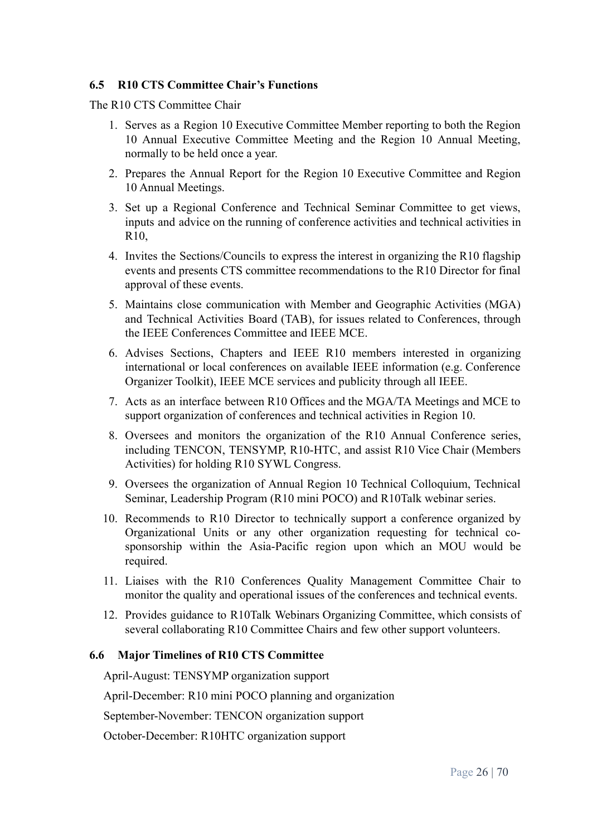#### <span id="page-25-0"></span>**6.5 R10 CTS Committee Chair's Functions**

The R10 CTS Committee Chair

- 1. Serves as a Region 10 Executive Committee Member reporting to both the Region 10 Annual Executive Committee Meeting and the Region 10 Annual Meeting, normally to be held once a year.
- 2. Prepares the Annual Report for the Region 10 Executive Committee and Region 10 Annual Meetings.
- 3. Set up a Regional Conference and Technical Seminar Committee to get views, inputs and advice on the running of conference activities and technical activities in  $R10$
- 4. Invites the Sections/Councils to express the interest in organizing the R10 flagship events and presents CTS committee recommendations to the R10 Director for final approval of these events.
- 5. Maintains close communication with Member and Geographic Activities (MGA) and Technical Activities Board (TAB), for issues related to Conferences, through the IEEE Conferences Committee and IEEE MCE.
- 6. Advises Sections, Chapters and IEEE R10 members interested in organizing international or local conferences on available IEEE information (e.g. Conference Organizer Toolkit), IEEE MCE services and publicity through all IEEE.
- 7. Acts as an interface between R10 Offices and the MGA/TA Meetings and MCE to support organization of conferences and technical activities in Region 10.
- 8. Oversees and monitors the organization of the R10 Annual Conference series, including TENCON, TENSYMP, R10-HTC, and assist R10 Vice Chair (Members Activities) for holding R10 SYWL Congress.
- 9. Oversees the organization of Annual Region 10 Technical Colloquium, Technical Seminar, Leadership Program (R10 mini POCO) and R10Talk webinar series.
- 10. Recommends to R10 Director to technically support a conference organized by Organizational Units or any other organization requesting for technical cosponsorship within the Asia-Pacific region upon which an MOU would be required.
- 11. Liaises with the R10 Conferences Quality Management Committee Chair to monitor the quality and operational issues of the conferences and technical events.
- 12. Provides guidance to R10Talk Webinars Organizing Committee, which consists of several collaborating R10 Committee Chairs and few other support volunteers.

#### <span id="page-25-1"></span>**6.6 Major Timelines of R10 CTS Committee**

April-August: TENSYMP organization support

April-December: R10 mini POCO planning and organization

September-November: TENCON organization support

October-December: R10HTC organization support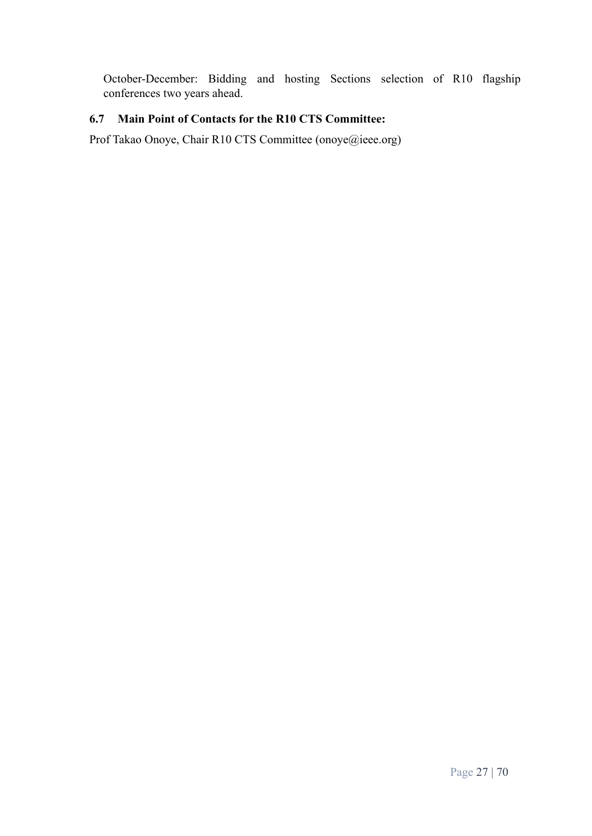October-December: Bidding and hosting Sections selection of R10 flagship conferences two years ahead.

# <span id="page-26-0"></span>**6.7 Main Point of Contacts for the R10 CTS Committee:**

Prof Takao Onoye, Chair R10 CTS Committee (onoye@ieee.org)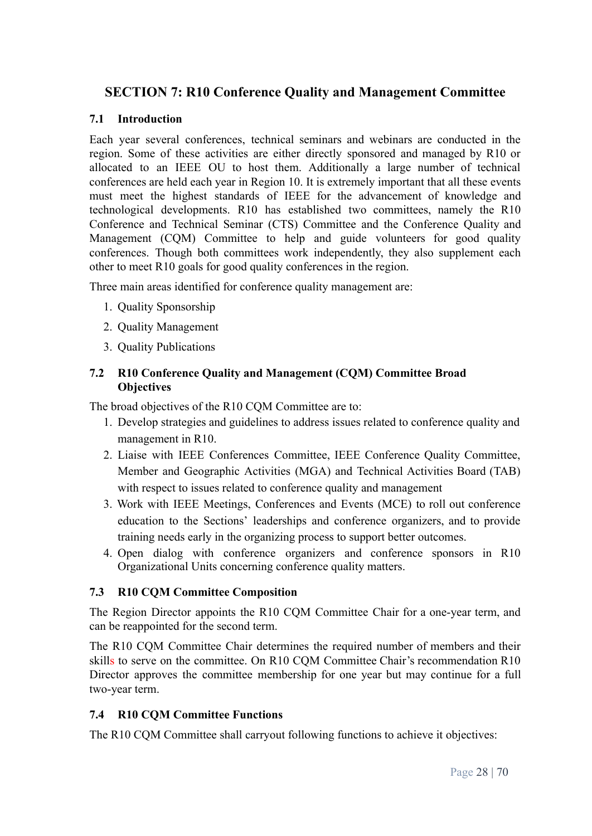# <span id="page-27-0"></span>**SECTION 7: R10 Conference Quality and Management Committee**

#### <span id="page-27-1"></span>**7.1 Introduction**

Each year several conferences, technical seminars and webinars are conducted in the region. Some of these activities are either directly sponsored and managed by R10 or allocated to an IEEE OU to host them. Additionally a large number of technical conferences are held each year in Region 10. It is extremely important that all these events must meet the highest standards of IEEE for the advancement of knowledge and technological developments. R10 has established two committees, namely the R10 Conference and Technical Seminar (CTS) Committee and the Conference Quality and Management (CQM) Committee to help and guide volunteers for good quality conferences. Though both committees work independently, they also supplement each other to meet R10 goals for good quality conferences in the region.

Three main areas identified for conference quality management are:

- 1. Quality Sponsorship
- 2. Quality Management
- 3. Quality Publications

## <span id="page-27-2"></span>**7.2 R10 Conference Quality and Management (CQM) Committee Broad Objectives**

The broad objectives of the R10 CQM Committee are to:

- 1. Develop strategies and guidelines to address issues related to conference quality and management in R10.
- 2. Liaise with IEEE Conferences Committee, IEEE Conference Quality Committee, Member and Geographic Activities (MGA) and Technical Activities Board (TAB) with respect to issues related to conference quality and management
- 3. Work with IEEE Meetings, Conferences and Events (MCE) to roll out conference education to the Sections' leaderships and conference organizers, and to provide training needs early in the organizing process to support better outcomes.
- 4. Open dialog with conference organizers and conference sponsors in R10 Organizational Units concerning conference quality matters.

#### <span id="page-27-3"></span>**7.3 R10 CQM Committee Composition**

The Region Director appoints the R10 CQM Committee Chair for a one-year term, and can be reappointed for the second term.

The R10 CQM Committee Chair determines the required number of members and their skills to serve on the committee. On R10 CQM Committee Chair's recommendation R10 Director approves the committee membership for one year but may continue for a full two-year term.

#### <span id="page-27-4"></span>**7.4 R10 CQM Committee Functions**

The R10 CQM Committee shall carryout following functions to achieve it objectives: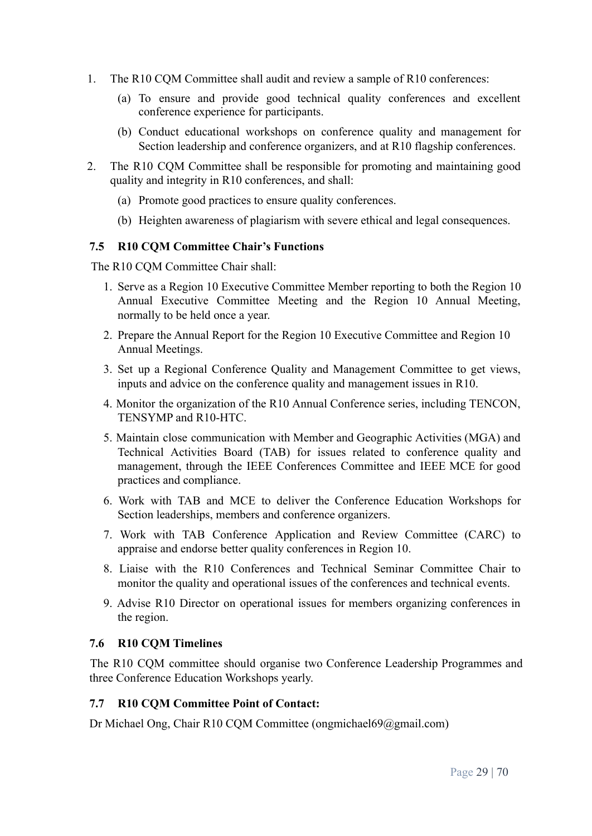- 1. The R10 CQM Committee shall audit and review a sample of R10 conferences:
	- (a) To ensure and provide good technical quality conferences and excellent conference experience for participants.
	- (b) Conduct educational workshops on conference quality and management for Section leadership and conference organizers, and at R10 flagship conferences.
- 2. The R10 CQM Committee shall be responsible for promoting and maintaining good quality and integrity in R10 conferences, and shall:
	- (a) Promote good practices to ensure quality conferences.
	- (b) Heighten awareness of plagiarism with severe ethical and legal consequences.

#### <span id="page-28-0"></span>**7.5 R10 CQM Committee Chair's Functions**

The R10 COM Committee Chair shall:

- 1. Serve as a Region 10 Executive Committee Member reporting to both the Region 10 Annual Executive Committee Meeting and the Region 10 Annual Meeting, normally to be held once a year.
- 2. Prepare the Annual Report for the Region 10 Executive Committee and Region 10 Annual Meetings.
- 3. Set up a Regional Conference Quality and Management Committee to get views, inputs and advice on the conference quality and management issues in R10.
- 4. Monitor the organization of the R10 Annual Conference series, including TENCON, TENSYMP and R10-HTC.
- 5. Maintain close communication with Member and Geographic Activities (MGA) and Technical Activities Board (TAB) for issues related to conference quality and management, through the IEEE Conferences Committee and IEEE MCE for good practices and compliance.
- 6. Work with TAB and MCE to deliver the Conference Education Workshops for Section leaderships, members and conference organizers.
- 7. Work with TAB Conference Application and Review Committee (CARC) to appraise and endorse better quality conferences in Region 10.
- 8. Liaise with the R10 Conferences and Technical Seminar Committee Chair to monitor the quality and operational issues of the conferences and technical events.
- 9. Advise R10 Director on operational issues for members organizing conferences in the region.

#### <span id="page-28-1"></span>**7.6 R10 CQM Timelines**

The R10 CQM committee should organise two Conference Leadership Programmes and three Conference Education Workshops yearly.

#### <span id="page-28-2"></span>**7.7 R10 CQM Committee Point of Contact:**

Dr Michael Ong, Chair R10 CQM Committee (ongmichael69@gmail.com)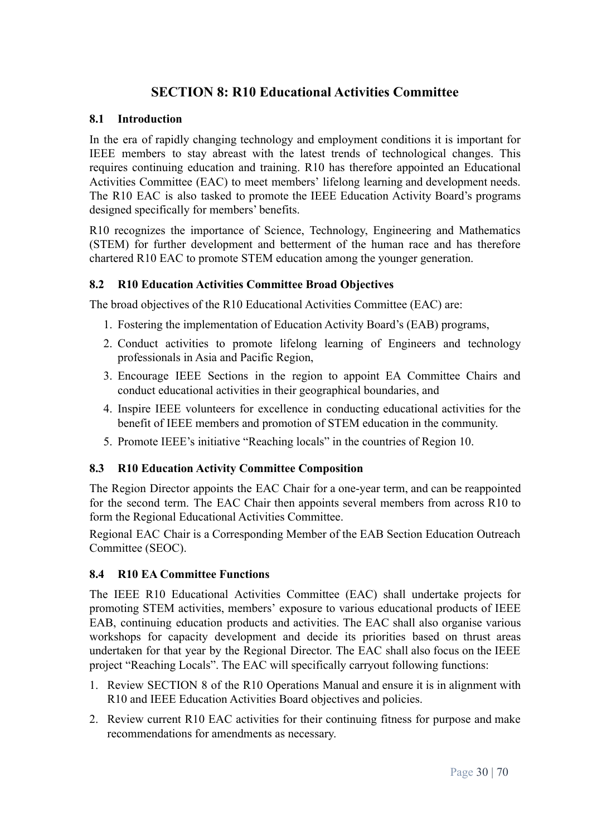# **SECTION 8: R10 Educational Activities Committee**

#### <span id="page-29-1"></span><span id="page-29-0"></span>**8.1 Introduction**

In the era of rapidly changing technology and employment conditions it is important for IEEE members to stay abreast with the latest trends of technological changes. This requires continuing education and training. R10 has therefore appointed an Educational Activities Committee (EAC) to meet members' lifelong learning and development needs. The R10 EAC is also tasked to promote the IEEE Education Activity Board's programs designed specifically for members' benefits.

R10 recognizes the importance of Science, Technology, Engineering and Mathematics (STEM) for further development and betterment of the human race and has therefore chartered R10 EAC to promote STEM education among the younger generation.

#### <span id="page-29-2"></span>**8.2 R10 Education Activities Committee Broad Objectives**

The broad objectives of the R10 Educational Activities Committee (EAC) are:

- 1. Fostering the implementation of Education Activity Board's (EAB) programs,
- 2. Conduct activities to promote lifelong learning of Engineers and technology professionals in Asia and Pacific Region,
- 3. Encourage IEEE Sections in the region to appoint EA Committee Chairs and conduct educational activities in their geographical boundaries, and
- 4. Inspire IEEE volunteers for excellence in conducting educational activities for the benefit of IEEE members and promotion of STEM education in the community.
- 5. Promote IEEE's initiative "Reaching locals" in the countries of Region 10.

#### <span id="page-29-3"></span>**8.3 R10 Education Activity Committee Composition**

The Region Director appoints the EAC Chair for a one-year term, and can be reappointed for the second term. The EAC Chair then appoints several members from across R10 to form the Regional Educational Activities Committee.

Regional EAC Chair is a Corresponding Member of the EAB Section Education Outreach Committee (SEOC).

#### <span id="page-29-4"></span>**8.4 R10 EA Committee Functions**

The IEEE R10 Educational Activities Committee (EAC) shall undertake projects for promoting STEM activities, members' exposure to various educational products of IEEE EAB, continuing education products and activities. The EAC shall also organise various workshops for capacity development and decide its priorities based on thrust areas undertaken for that year by the Regional Director. The EAC shall also focus on the IEEE project "Reaching Locals". The EAC will specifically carryout following functions:

- 1. Review SECTION 8 of the R10 Operations Manual and ensure it is in alignment with R10 and IEEE Education Activities Board objectives and policies.
- 2. Review current R10 EAC activities for their continuing fitness for purpose and make recommendations for amendments as necessary.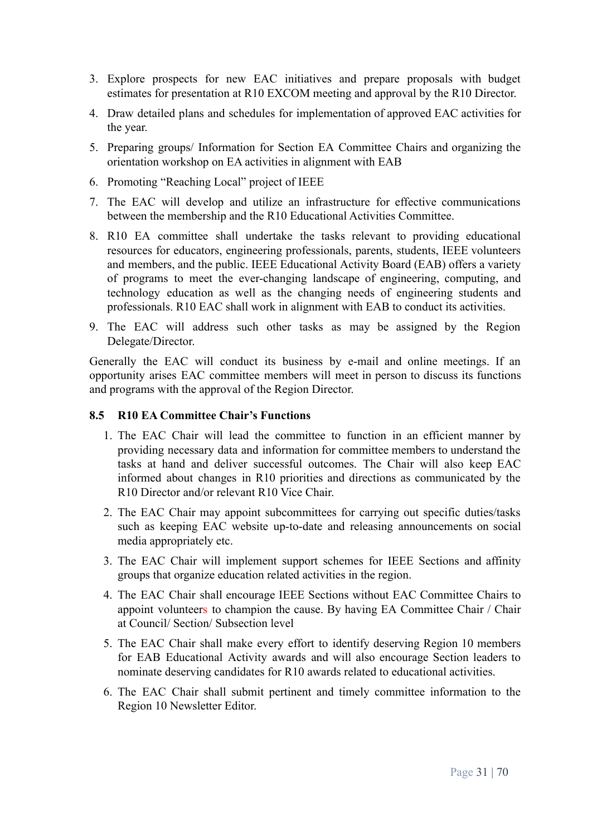- 3. Explore prospects for new EAC initiatives and prepare proposals with budget estimates for presentation at R10 EXCOM meeting and approval by the R10 Director.
- 4. Draw detailed plans and schedules for implementation of approved EAC activities for the year.
- 5. Preparing groups/ Information for Section EA Committee Chairs and organizing the orientation workshop on EA activities in alignment with EAB
- 6. Promoting "Reaching Local" project of IEEE
- 7. The EAC will develop and utilize an infrastructure for effective communications between the membership and the R10 Educational Activities Committee.
- 8. R10 EA committee shall undertake the tasks relevant to providing educational resources for educators, engineering professionals, parents, students, IEEE volunteers and members, and the public. IEEE Educational Activity Board (EAB) offers a variety of programs to meet the ever-changing landscape of engineering, computing, and technology education as well as the changing needs of engineering students and professionals. R10 EAC shall work in alignment with EAB to conduct its activities.
- 9. The EAC will address such other tasks as may be assigned by the Region Delegate/Director.

Generally the EAC will conduct its business by e-mail and online meetings. If an opportunity arises EAC committee members will meet in person to discuss its functions and programs with the approval of the Region Director.

#### <span id="page-30-0"></span>**8.5 R10 EA Committee Chair's Functions**

- 1. The EAC Chair will lead the committee to function in an efficient manner by providing necessary data and information for committee members to understand the tasks at hand and deliver successful outcomes. The Chair will also keep EAC informed about changes in R10 priorities and directions as communicated by the R10 Director and/or relevant R10 Vice Chair.
- 2. The EAC Chair may appoint subcommittees for carrying out specific duties/tasks such as keeping EAC website up-to-date and releasing announcements on social media appropriately etc.
- 3. The EAC Chair will implement support schemes for IEEE Sections and affinity groups that organize education related activities in the region.
- 4. The EAC Chair shall encourage IEEE Sections without EAC Committee Chairs to appoint volunteers to champion the cause. By having EA Committee Chair / Chair at Council/ Section/ Subsection level
- 5. The EAC Chair shall make every effort to identify deserving Region 10 members for EAB Educational Activity awards and will also encourage Section leaders to nominate deserving candidates for R10 awards related to educational activities.
- 6. The EAC Chair shall submit pertinent and timely committee information to the Region 10 Newsletter Editor.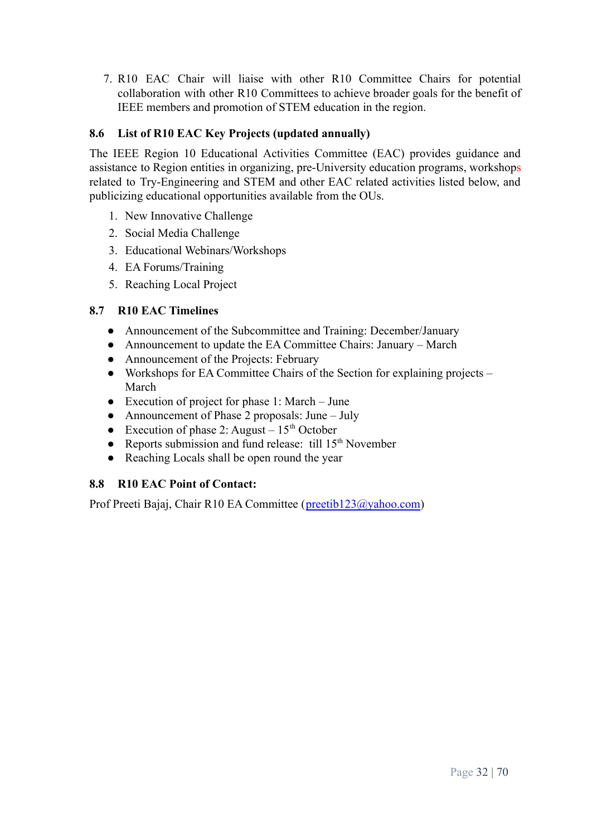7. R10 EAC Chair will liaise with other R10 Committee Chairs for potential collaboration with other R10 Committees to achieve broader goals for the benefit of IEEE members and promotion of STEM education in the region.

# <span id="page-31-0"></span>**8.6 List of R10 EAC Key Projects (updated annually)**

The IEEE Region 10 Educational Activities Committee (EAC) provides guidance and assistance to Region entities in organizing, pre-University education programs, workshops related to Try-Engineering and STEM and other EAC related activities listed below, and publicizing educational opportunities available from the OUs.

- 1. New Innovative Challenge
- 2. Social Media Challenge
- 3. Educational Webinars/Workshops
- 4. EA Forums/Training
- 5. Reaching Local Project

# <span id="page-31-1"></span>**8.7 R10 EAC Timelines**

- Announcement of the Subcommittee and Training: December/January
- Announcement to update the EA Committee Chairs: January March
- Announcement of the Projects: February
- Workshops for EA Committee Chairs of the Section for explaining projects March
- Execution of project for phase 1: March June
- Announcement of Phase 2 proposals: June July
- Execution of phase 2: August  $-15<sup>th</sup>$  October
- Reports submission and fund release: till  $15<sup>th</sup>$  November
- Reaching Locals shall be open round the year

# <span id="page-31-2"></span>**8.8 R10 EAC Point of Contact:**

Prof Preeti Bajaj, Chair R10 EA Committee ([preetib123@yahoo.com](mailto:preetib123@yahoo.com))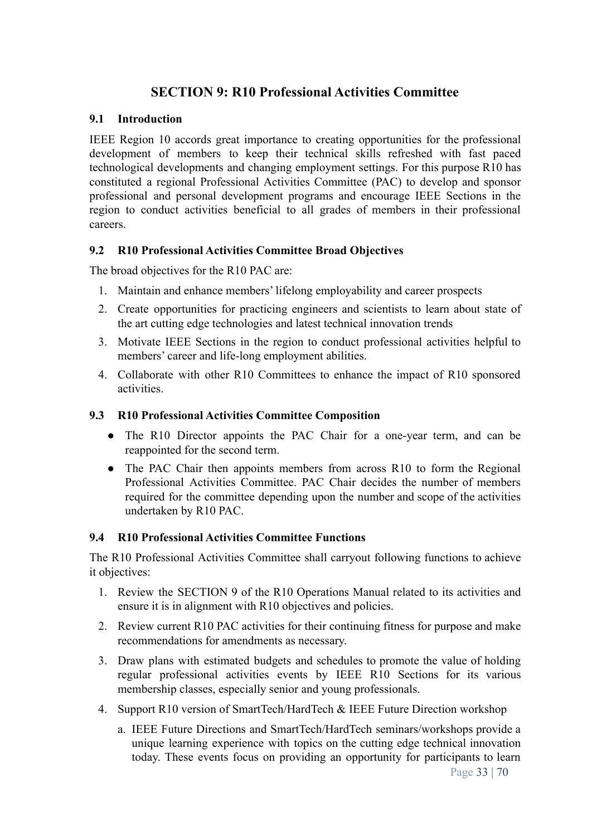# **SECTION 9: R10 Professional Activities Committee**

#### <span id="page-32-1"></span><span id="page-32-0"></span>**9.1 Introduction**

IEEE Region 10 accords great importance to creating opportunities for the professional development of members to keep their technical skills refreshed with fast paced technological developments and changing employment settings. For this purpose R10 has constituted a regional Professional Activities Committee (PAC) to develop and sponsor professional and personal development programs and encourage IEEE Sections in the region to conduct activities beneficial to all grades of members in their professional careers.

#### <span id="page-32-2"></span>**9.2 R10 Professional Activities Committee Broad Objectives**

The broad objectives for the R10 PAC are:

- 1. Maintain and enhance members' lifelong employability and career prospects
- 2. Create opportunities for practicing engineers and scientists to learn about state of the art cutting edge technologies and latest technical innovation trends
- 3. Motivate IEEE Sections in the region to conduct professional activities helpful to members' career and life-long employment abilities.
- 4. Collaborate with other R10 Committees to enhance the impact of R10 sponsored activities.

#### <span id="page-32-3"></span>**9.3 R10 Professional Activities Committee Composition**

- The R10 Director appoints the PAC Chair for a one-year term, and can be reappointed for the second term.
- The PAC Chair then appoints members from across R10 to form the Regional Professional Activities Committee. PAC Chair decides the number of members required for the committee depending upon the number and scope of the activities undertaken by R10 PAC.

#### <span id="page-32-4"></span>**9.4 R10 Professional Activities Committee Functions**

The R10 Professional Activities Committee shall carryout following functions to achieve it objectives:

- 1. Review the SECTION 9 of the R10 Operations Manual related to its activities and ensure it is in alignment with R10 objectives and policies.
- 2. Review current R10 PAC activities for their continuing fitness for purpose and make recommendations for amendments as necessary.
- 3. Draw plans with estimated budgets and schedules to promote the value of holding regular professional activities events by IEEE R10 Sections for its various membership classes, especially senior and young professionals.
- 4. Support R10 version of SmartTech/HardTech & IEEE Future Direction workshop
	- a. IEEE Future Directions and SmartTech/HardTech seminars/workshops provide a unique learning experience with topics on the cutting edge technical innovation today. These events focus on providing an opportunity for participants to learn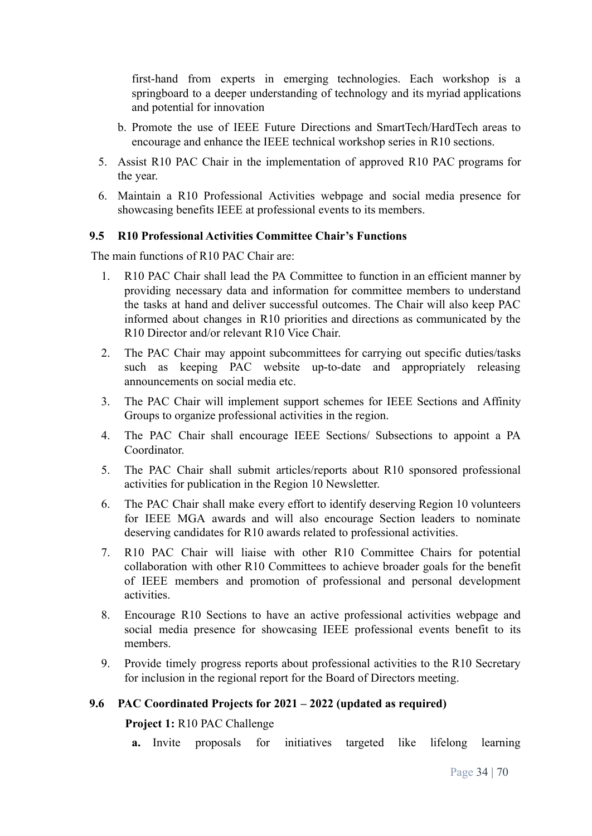first-hand from experts in emerging technologies. Each workshop is a springboard to a deeper understanding of technology and its myriad applications and potential for innovation

- b. Promote the use of IEEE Future Directions and SmartTech/HardTech areas to encourage and enhance the IEEE technical workshop series in R10 sections.
- 5. Assist R10 PAC Chair in the implementation of approved R10 PAC programs for the year.
- 6. Maintain a R10 Professional Activities webpage and social media presence for showcasing benefits IEEE at professional events to its members.

#### <span id="page-33-0"></span>**9.5 R10 Professional Activities Committee Chair's Functions**

The main functions of R10 PAC Chair are:

- 1. R10 PAC Chair shall lead the PA Committee to function in an efficient manner by providing necessary data and information for committee members to understand the tasks at hand and deliver successful outcomes. The Chair will also keep PAC informed about changes in R10 priorities and directions as communicated by the R10 Director and/or relevant R10 Vice Chair.
- 2. The PAC Chair may appoint subcommittees for carrying out specific duties/tasks such as keeping PAC website up-to-date and appropriately releasing announcements on social media etc.
- 3. The PAC Chair will implement support schemes for IEEE Sections and Affinity Groups to organize professional activities in the region.
- 4. The PAC Chair shall encourage IEEE Sections/ Subsections to appoint a PA Coordinator.
- 5. The PAC Chair shall submit articles/reports about R10 sponsored professional activities for publication in the Region 10 Newsletter.
- 6. The PAC Chair shall make every effort to identify deserving Region 10 volunteers for IEEE MGA awards and will also encourage Section leaders to nominate deserving candidates for R10 awards related to professional activities.
- 7. R10 PAC Chair will liaise with other R10 Committee Chairs for potential collaboration with other R10 Committees to achieve broader goals for the benefit of IEEE members and promotion of professional and personal development activities.
- 8. Encourage R10 Sections to have an active professional activities webpage and social media presence for showcasing IEEE professional events benefit to its members.
- 9. Provide timely progress reports about professional activities to the R10 Secretary for inclusion in the regional report for the Board of Directors meeting.

#### <span id="page-33-1"></span>**9.6 PAC Coordinated Projects for 2021 – 2022 (updated as required)**

#### **Project 1:** R10 PAC Challenge

**a.** Invite proposals for initiatives targeted like lifelong learning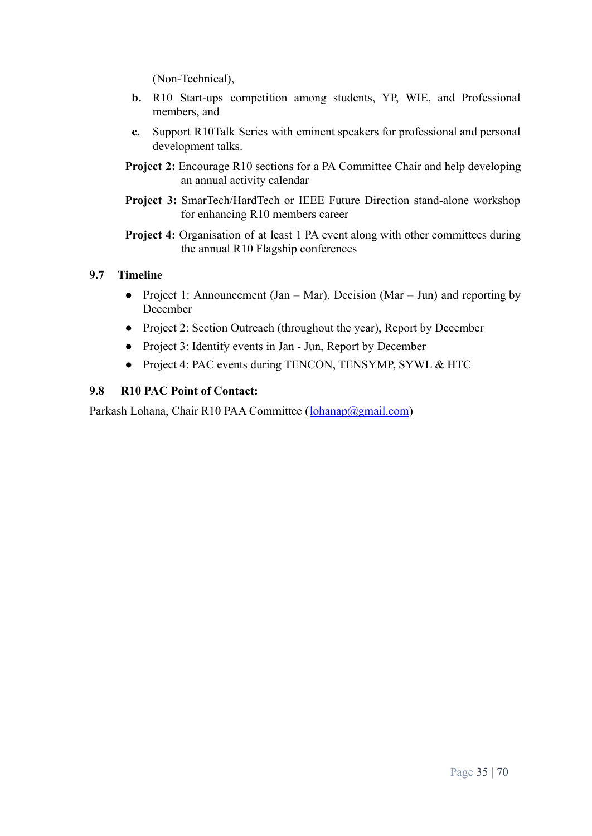(Non-Technical),

- **b.** R10 Start-ups competition among students, YP, WIE, and Professional members, and
- **c.** Support R10Talk Series with eminent speakers for professional and personal development talks.
- **Project 2:** Encourage R10 sections for a PA Committee Chair and help developing an annual activity calendar
- **Project 3:** SmarTech/HardTech or IEEE Future Direction stand-alone workshop for enhancing R10 members career
- **Project 4:** Organisation of at least 1 PA event along with other committees during the annual R10 Flagship conferences

## <span id="page-34-0"></span>**9.7 Timeline**

- **●** Project 1: Announcement (Jan Mar), Decision (Mar Jun) and reporting by December
- **●** Project 2: Section Outreach (throughout the year), Report by December
- **●** Project 3: Identify events in Jan Jun, Report by December
- **●** Project 4: PAC events during TENCON, TENSYMP, SYWL & HTC

#### <span id="page-34-1"></span>**9.8 R10 PAC Point of Contact:**

Parkash Lohana, Chair R10 PAA Committee ([lohanap@gmail.com\)](mailto:lohanap@gmail.com)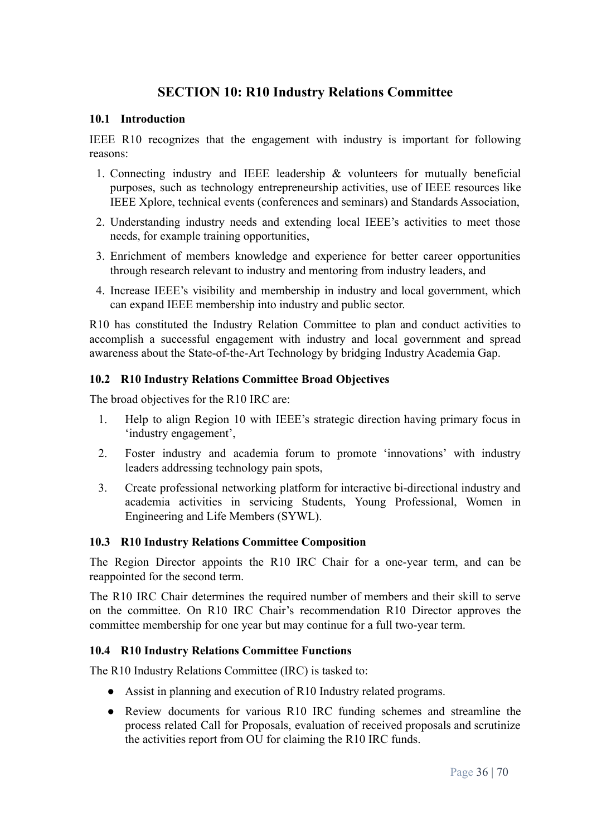# **SECTION 10: R10 Industry Relations Committee**

#### <span id="page-35-1"></span><span id="page-35-0"></span>**10.1 Introduction**

IEEE R10 recognizes that the engagement with industry is important for following reasons:

- 1. Connecting industry and IEEE leadership & volunteers for mutually beneficial purposes, such as technology entrepreneurship activities, use of IEEE resources like IEEE Xplore, technical events (conferences and seminars) and Standards Association,
- 2. Understanding industry needs and extending local IEEE's activities to meet those needs, for example training opportunities,
- 3. Enrichment of members knowledge and experience for better career opportunities through research relevant to industry and mentoring from industry leaders, and
- 4. Increase IEEE's visibility and membership in industry and local government, which can expand IEEE membership into industry and public sector.

R10 has constituted the Industry Relation Committee to plan and conduct activities to accomplish a successful engagement with industry and local government and spread awareness about the State-of-the-Art Technology by bridging Industry Academia Gap.

#### <span id="page-35-2"></span>**10.2 R10 Industry Relations Committee Broad Objectives**

The broad objectives for the R10 IRC are:

- 1. Help to align Region 10 with IEEE's strategic direction having primary focus in 'industry engagement',
- 2. Foster industry and academia forum to promote 'innovations' with industry leaders addressing technology pain spots,
- 3. Create professional networking platform for interactive bi-directional industry and academia activities in servicing Students, Young Professional, Women in Engineering and Life Members (SYWL).

## <span id="page-35-3"></span>**10.3 R10 Industry Relations Committee Composition**

The Region Director appoints the R10 IRC Chair for a one-year term, and can be reappointed for the second term.

The R10 IRC Chair determines the required number of members and their skill to serve on the committee. On R10 IRC Chair's recommendation R10 Director approves the committee membership for one year but may continue for a full two-year term.

#### <span id="page-35-4"></span>**10.4 R10 Industry Relations Committee Functions**

The R10 Industry Relations Committee (IRC) is tasked to:

- Assist in planning and execution of R10 Industry related programs.
- Review documents for various R10 IRC funding schemes and streamline the process related Call for Proposals, evaluation of received proposals and scrutinize the activities report from OU for claiming the R10 IRC funds.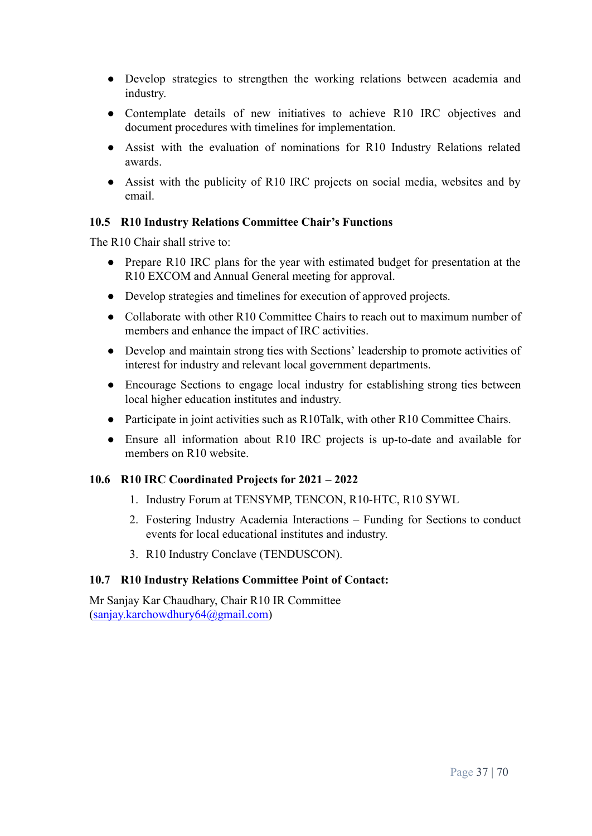- Develop strategies to strengthen the working relations between academia and industry.
- Contemplate details of new initiatives to achieve R10 IRC objectives and document procedures with timelines for implementation.
- Assist with the evaluation of nominations for R10 Industry Relations related awards.
- Assist with the publicity of R10 IRC projects on social media, websites and by email.

#### <span id="page-36-0"></span>**10.5 R10 Industry Relations Committee Chair's Functions**

The R<sub>10</sub> Chair shall strive to:

- Prepare R10 IRC plans for the year with estimated budget for presentation at the R10 EXCOM and Annual General meeting for approval.
- Develop strategies and timelines for execution of approved projects.
- Collaborate with other R10 Committee Chairs to reach out to maximum number of members and enhance the impact of IRC activities.
- Develop and maintain strong ties with Sections' leadership to promote activities of interest for industry and relevant local government departments.
- Encourage Sections to engage local industry for establishing strong ties between local higher education institutes and industry.
- Participate in joint activities such as R10Talk, with other R10 Committee Chairs.
- Ensure all information about R10 IRC projects is up-to-date and available for members on R10 website.

# <span id="page-36-1"></span>**10.6 R10 IRC Coordinated Projects for 2021 – 2022**

- 1. Industry Forum at TENSYMP, TENCON, R10-HTC, R10 SYWL
- 2. Fostering Industry Academia Interactions Funding for Sections to conduct events for local educational institutes and industry.
- 3. R10 Industry Conclave (TENDUSCON).

#### <span id="page-36-2"></span>**10.7 R10 Industry Relations Committee Point of Contact:**

Mr Sanjay Kar Chaudhary, Chair R10 IR Committee ([sanjay.karchowdhury64@gmail.com](mailto:sanjay.karchowdhury64@gmail.com))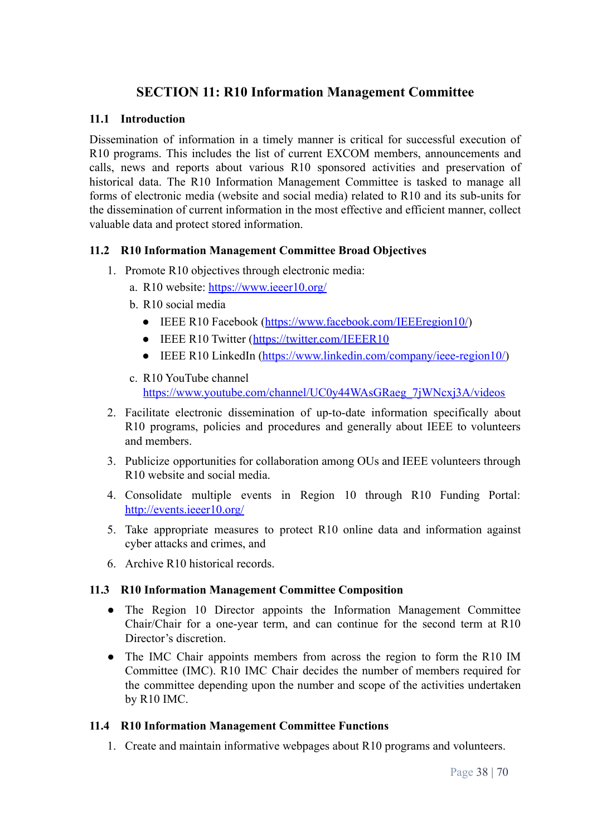# **SECTION 11: R10 Information Management Committee**

#### <span id="page-37-1"></span><span id="page-37-0"></span>**11.1 Introduction**

Dissemination of information in a timely manner is critical for successful execution of R10 programs. This includes the list of current EXCOM members, announcements and calls, news and reports about various R10 sponsored activities and preservation of historical data. The R10 Information Management Committee is tasked to manage all forms of electronic media (website and social media) related to R10 and its sub-units for the dissemination of current information in the most effective and efficient manner, collect valuable data and protect stored information.

#### <span id="page-37-2"></span>**11.2 R10 Information Management Committee Broad Objectives**

- 1. Promote R10 objectives through electronic media:
	- a. R10 website: <https://www.ieeer10.org/>
	- b. R10 social media
		- IEEE R10 Facebook (<https://www.facebook.com/IEEEregion10/>)
		- IEEE R10 Twitter (<https://twitter.com/IEEER10>
		- IEEE R10 LinkedIn [\(https://www.linkedin.com/company/ieee-region10/\)](https://www.linkedin.com/company/ieee-region10/)
	- c. R10 YouTube channel [https://www.youtube.com/channel/UC0y44WAsGRaeg\\_7jWNcxj3A/videos](https://www.youtube.com/channel/UC0y44WAsGRaeg_7jWNcxj3A/videos)
- 2. Facilitate electronic dissemination of up-to-date information specifically about R10 programs, policies and procedures and generally about IEEE to volunteers and members.
- 3. Publicize opportunities for collaboration among OUs and IEEE volunteers through R10 website and social media.
- 4. Consolidate multiple events in Region 10 through R10 Funding Portal: <http://events.ieeer10.org/>
- 5. Take appropriate measures to protect R10 online data and information against cyber attacks and crimes, and
- 6. Archive R10 historical records.

#### <span id="page-37-3"></span>**11.3 R10 Information Management Committee Composition**

- The Region 10 Director appoints the Information Management Committee Chair/Chair for a one-year term, and can continue for the second term at R10 Director's discretion.
- The IMC Chair appoints members from across the region to form the R10 IM Committee (IMC). R10 IMC Chair decides the number of members required for the committee depending upon the number and scope of the activities undertaken by R10 IMC.

#### <span id="page-37-4"></span>**11.4 R10 Information Management Committee Functions**

1. Create and maintain informative webpages about R10 programs and volunteers.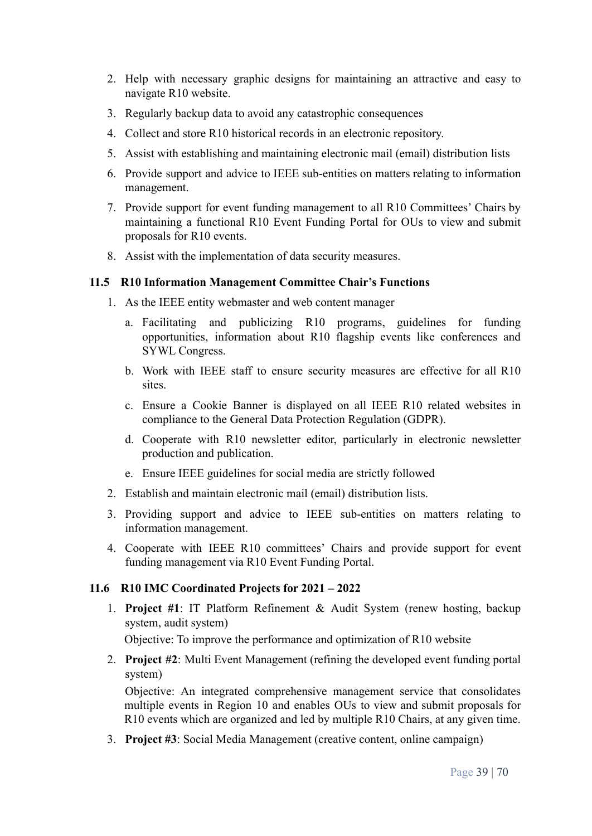- 2. Help with necessary graphic designs for maintaining an attractive and easy to navigate R10 website.
- 3. Regularly backup data to avoid any catastrophic consequences
- 4. Collect and store R10 historical records in an electronic repository.
- 5. Assist with establishing and maintaining electronic mail (email) distribution lists
- 6. Provide support and advice to IEEE sub-entities on matters relating to information management.
- 7. Provide support for event funding management to all R10 Committees' Chairs by maintaining a functional R10 Event Funding Portal for OUs to view and submit proposals for R10 events.
- 8. Assist with the implementation of data security measures.

#### <span id="page-38-0"></span>**11.5 R10 Information Management Committee Chair's Functions**

- 1. As the IEEE entity webmaster and web content manager
	- a. Facilitating and publicizing R10 programs, guidelines for funding opportunities, information about R10 flagship events like conferences and SYWL Congress.
	- b. Work with IEEE staff to ensure security measures are effective for all R10 sites.
	- c. Ensure a Cookie Banner is displayed on all IEEE R10 related websites in compliance to the General Data Protection Regulation (GDPR).
	- d. Cooperate with R10 newsletter editor, particularly in electronic newsletter production and publication.
	- e. Ensure IEEE guidelines for social media are strictly followed
- 2. Establish and maintain electronic mail (email) distribution lists.
- 3. Providing support and advice to IEEE sub-entities on matters relating to information management.
- 4. Cooperate with IEEE R10 committees' Chairs and provide support for event funding management via R10 Event Funding Portal.

#### <span id="page-38-1"></span>**11.6 R10 IMC Coordinated Projects for 2021 – 2022**

1. **Project #1**: IT Platform Refinement & Audit System (renew hosting, backup system, audit system)

Objective: To improve the performance and optimization of R10 website

2. **Project #2**: Multi Event Management (refining the developed event funding portal system)

Objective: An integrated comprehensive management service that consolidates multiple events in Region 10 and enables OUs to view and submit proposals for R10 events which are organized and led by multiple R10 Chairs, at any given time.

3. **Project #3**: Social Media Management (creative content, online campaign)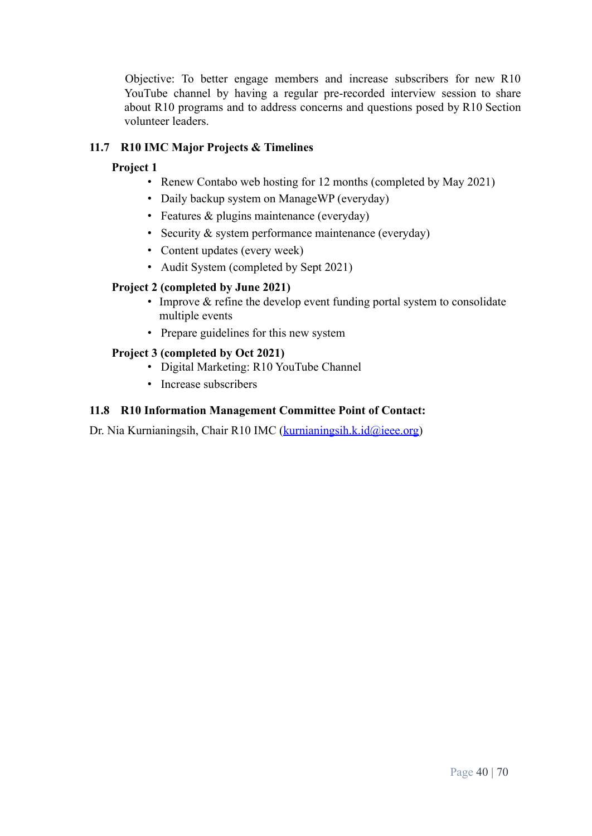Objective: To better engage members and increase subscribers for new R10 YouTube channel by having a regular pre-recorded interview session to share about R10 programs and to address concerns and questions posed by R10 Section volunteer leaders.

# <span id="page-39-0"></span>**11.7 R10 IMC Major Projects & Timelines**

# **Project 1**

- Renew Contabo web hosting for 12 months (completed by May 2021)
- Daily backup system on ManageWP (everyday)
- Features & plugins maintenance (everyday)
- Security & system performance maintenance (everyday)
- Content updates (every week)
- Audit System (completed by Sept 2021)

# **Project 2 (completed by June 2021)**

- Improve & refine the develop event funding portal system to consolidate multiple events
- Prepare guidelines for this new system

# **Project 3 (completed by Oct 2021)**

- Digital Marketing: R10 YouTube Channel
- Increase subscribers

# <span id="page-39-1"></span>**11.8 R10 Information Management Committee Point of Contact:**

Dr. Nia Kurnianingsih, Chair R10 IMC [\(kurnianingsih.k.id@ieee.org\)](mailto:kurnianingsih.k.id@ieee.org)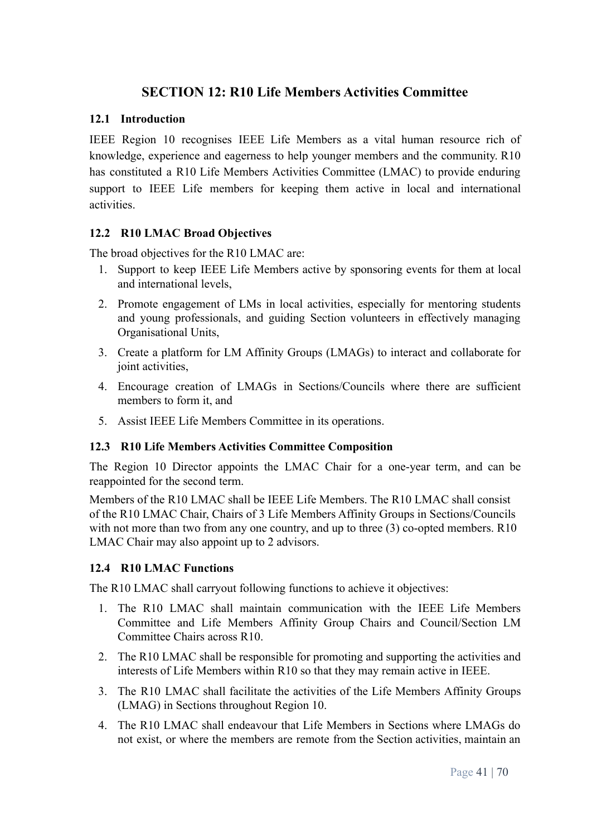# **SECTION 12: R10 Life Members Activities Committee**

## <span id="page-40-1"></span><span id="page-40-0"></span>**12.1 Introduction**

IEEE Region 10 recognises IEEE Life Members as a vital human resource rich of knowledge, experience and eagerness to help younger members and the community. R10 has constituted a R10 Life Members Activities Committee (LMAC) to provide enduring support to IEEE Life members for keeping them active in local and international activities.

## <span id="page-40-2"></span>**12.2 R10 LMAC Broad Objectives**

The broad objectives for the R10 LMAC are:

- 1. Support to keep IEEE Life Members active by sponsoring events for them at local and international levels,
- 2. Promote engagement of LMs in local activities, especially for mentoring students and young professionals, and guiding Section volunteers in effectively managing Organisational Units,
- 3. Create a platform for LM Affinity Groups (LMAGs) to interact and collaborate for joint activities,
- 4. Encourage creation of LMAGs in Sections/Councils where there are sufficient members to form it, and
- 5. Assist IEEE Life Members Committee in its operations.

#### <span id="page-40-3"></span>**12.3 R10 Life Members Activities Committee Composition**

The Region 10 Director appoints the LMAC Chair for a one-year term, and can be reappointed for the second term.

Members of the R10 LMAC shall be IEEE Life Members. The R10 LMAC shall consist of the R10 LMAC Chair, Chairs of 3 Life Members Affinity Groups in Sections/Councils with not more than two from any one country, and up to three (3) co-opted members. R10 LMAC Chair may also appoint up to 2 advisors.

#### <span id="page-40-4"></span>**12.4 R10 LMAC Functions**

The R10 LMAC shall carryout following functions to achieve it objectives:

- 1. The R10 LMAC shall maintain communication with the IEEE Life Members Committee and Life Members Affinity Group Chairs and Council/Section LM Committee Chairs across R10.
- 2. The R10 LMAC shall be responsible for promoting and supporting the activities and interests of Life Members within R10 so that they may remain active in IEEE.
- 3. The R10 LMAC shall facilitate the activities of the Life Members Affinity Groups (LMAG) in Sections throughout Region 10.
- 4. The R10 LMAC shall endeavour that Life Members in Sections where LMAGs do not exist, or where the members are remote from the Section activities, maintain an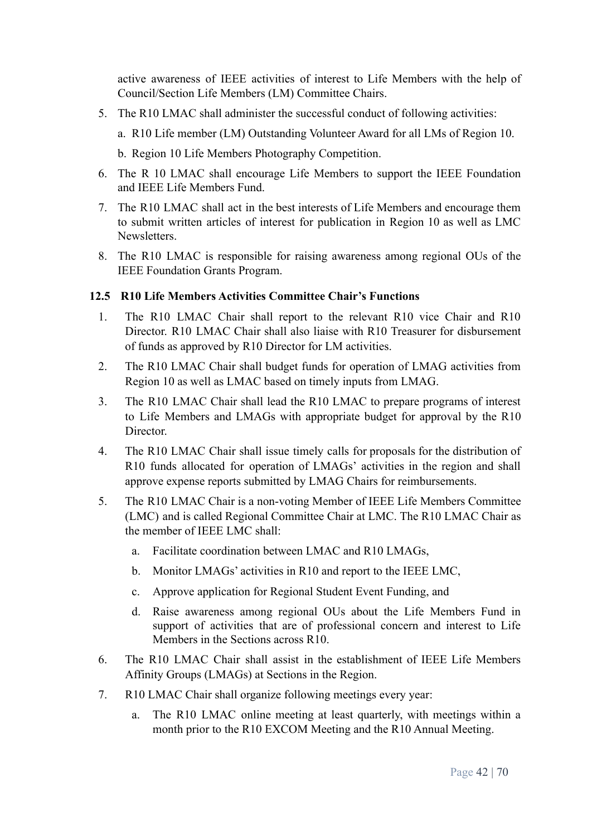active awareness of IEEE activities of interest to Life Members with the help of Council/Section Life Members (LM) Committee Chairs.

5. The R10 LMAC shall administer the successful conduct of following activities:

a. R10 Life member (LM) Outstanding Volunteer Award for all LMs of Region 10.

b. Region 10 Life Members Photography Competition.

- 6. The R 10 LMAC shall encourage Life Members to support the IEEE Foundation and IEEE Life Members Fund.
- 7. The R10 LMAC shall act in the best interests of Life Members and encourage them to submit written articles of interest for publication in Region 10 as well as LMC **Newsletters**
- 8. The R10 LMAC is responsible for raising awareness among regional OUs of the IEEE Foundation Grants Program.

## <span id="page-41-0"></span>**12.5 R10 Life Members Activities Committee Chair's Functions**

- 1. The R10 LMAC Chair shall report to the relevant R10 vice Chair and R10 Director. R10 LMAC Chair shall also liaise with R10 Treasurer for disbursement of funds as approved by R10 Director for LM activities.
- 2. The R10 LMAC Chair shall budget funds for operation of LMAG activities from Region 10 as well as LMAC based on timely inputs from LMAG.
- 3. The R10 LMAC Chair shall lead the R10 LMAC to prepare programs of interest to Life Members and LMAGs with appropriate budget for approval by the R10 **Director**
- 4. The R10 LMAC Chair shall issue timely calls for proposals for the distribution of R10 funds allocated for operation of LMAGs' activities in the region and shall approve expense reports submitted by LMAG Chairs for reimbursements.
- 5. The R10 LMAC Chair is a non-voting Member of IEEE Life Members Committee (LMC) and is called Regional Committee Chair at LMC. The R10 LMAC Chair as the member of IEEE LMC shall:
	- a. Facilitate coordination between LMAC and R10 LMAGs,
	- b. Monitor LMAGs' activities in R10 and report to the IEEE LMC,
	- c. Approve application for Regional Student Event Funding, and
	- d. Raise awareness among regional OUs about the Life Members Fund in support of activities that are of professional concern and interest to Life Members in the Sections across R10.
- 6. The R10 LMAC Chair shall assist in the establishment of IEEE Life Members Affinity Groups (LMAGs) at Sections in the Region.
- 7. R10 LMAC Chair shall organize following meetings every year:
	- a. The R10 LMAC online meeting at least quarterly, with meetings within a month prior to the R10 EXCOM Meeting and the R10 Annual Meeting.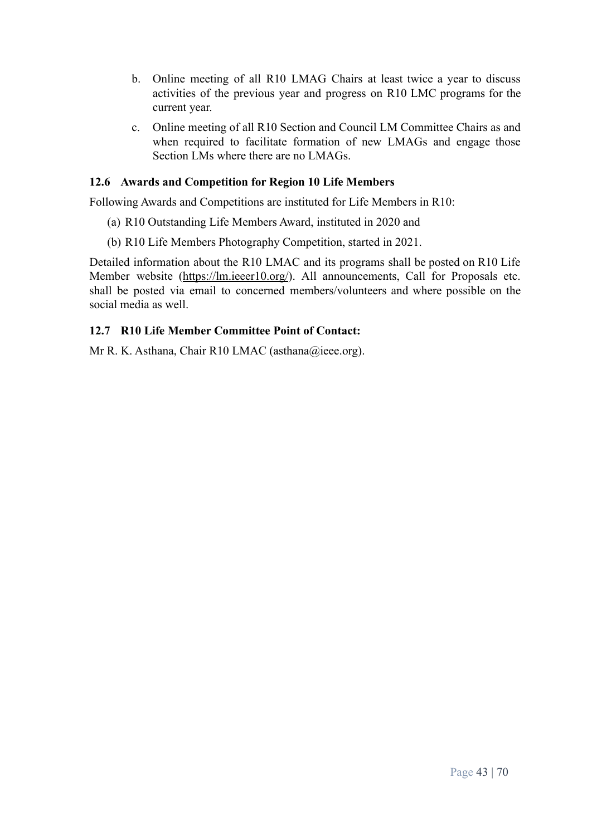- b. Online meeting of all R10 LMAG Chairs at least twice a year to discuss activities of the previous year and progress on R10 LMC programs for the current year.
- c. Online meeting of all R10 Section and Council LM Committee Chairs as and when required to facilitate formation of new LMAGs and engage those Section LMs where there are no LMAGs.

#### <span id="page-42-0"></span>**12.6 Awards and Competition for Region 10 Life Members**

Following Awards and Competitions are instituted for Life Members in R10:

- (a) R10 Outstanding Life Members Award, instituted in 2020 and
- (b) R10 Life Members Photography Competition, started in 2021.

Detailed information about the R10 LMAC and its programs shall be posted on R10 Life Member website [\(https://lm.ieeer10.org/](https://lm.ieeer10.org/)). All announcements, Call for Proposals etc. shall be posted via email to concerned members/volunteers and where possible on the social media as well.

#### <span id="page-42-1"></span>**12.7 R10 Life Member Committee Point of Contact:**

Mr R. K. Asthana, Chair R10 LMAC (asthana@ieee.org).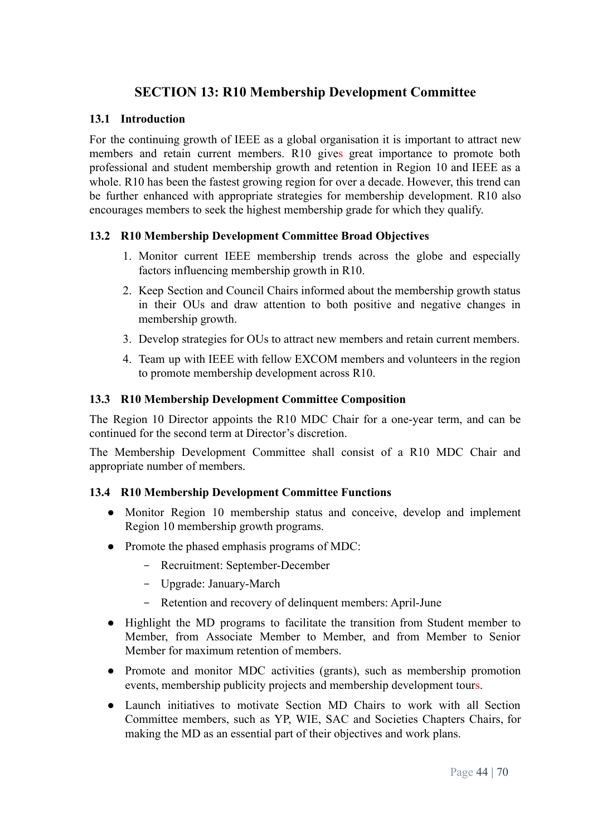# **SECTION 13: R10 Membership Development Committee**

#### <span id="page-43-1"></span><span id="page-43-0"></span>**13.1 Introduction**

For the continuing growth of IEEE as a global organisation it is important to attract new members and retain current members. R10 gives great importance to promote both professional and student membership growth and retention in Region 10 and IEEE as a whole. R10 has been the fastest growing region for over a decade. However, this trend can be further enhanced with appropriate strategies for membership development. R10 also encourages members to seek the highest membership grade for which they qualify.

#### <span id="page-43-2"></span>**13.2 R10 Membership Development Committee Broad Objectives**

- 1. Monitor current IEEE membership trends across the globe and especially factors influencing membership growth in R10.
- 2. Keep Section and Council Chairs informed about the membership growth status in their OUs and draw attention to both positive and negative changes in membership growth.
- 3. Develop strategies for OUs to attract new members and retain current members.
- 4. Team up with IEEE with fellow EXCOM members and volunteers in the region to promote membership development across R10.

#### <span id="page-43-3"></span>**13.3 R10 Membership Development Committee Composition**

The Region 10 Director appoints the R10 MDC Chair for a one-year term, and can be continued for the second term at Director's discretion.

The Membership Development Committee shall consist of a R10 MDC Chair and appropriate number of members.

#### <span id="page-43-4"></span>**13.4 R10 Membership Development Committee Functions**

- Monitor Region 10 membership status and conceive, develop and implement Region 10 membership growth programs.
- Promote the phased emphasis programs of MDC:
	- Recruitment: September-December
	- Upgrade: January-March
	- Retention and recovery of delinquent members: April-June
- Highlight the MD programs to facilitate the transition from Student member to Member, from Associate Member to Member, and from Member to Senior Member for maximum retention of members.
- Promote and monitor MDC activities (grants), such as membership promotion events, membership publicity projects and membership development tours.
- Launch initiatives to motivate Section MD Chairs to work with all Section Committee members, such as YP, WIE, SAC and Societies Chapters Chairs, for making the MD as an essential part of their objectives and work plans.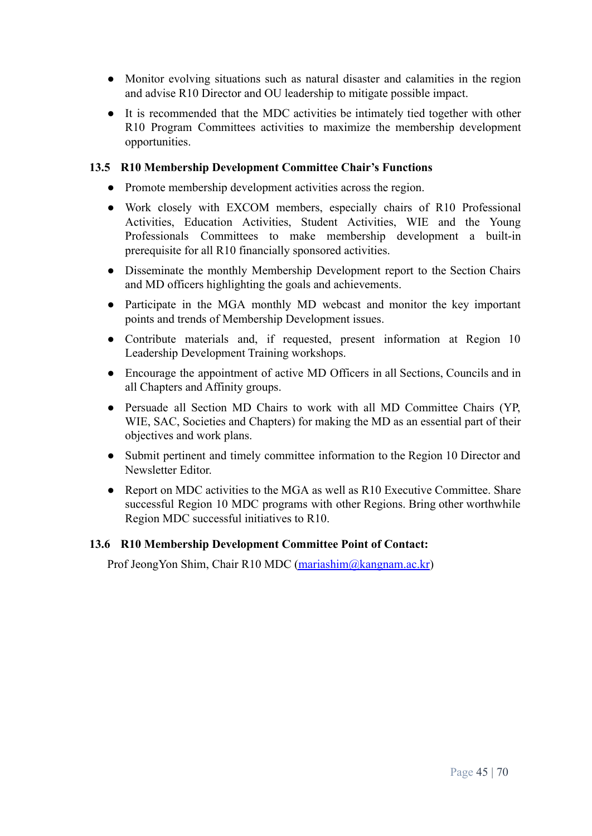- Monitor evolving situations such as natural disaster and calamities in the region and advise R10 Director and OU leadership to mitigate possible impact.
- It is recommended that the MDC activities be intimately tied together with other R10 Program Committees activities to maximize the membership development opportunities.

## <span id="page-44-0"></span>**13.5 R10 Membership Development Committee Chair's Functions**

- Promote membership development activities across the region.
- Work closely with EXCOM members, especially chairs of R10 Professional Activities, Education Activities, Student Activities, WIE and the Young Professionals Committees to make membership development a built-in prerequisite for all R10 financially sponsored activities.
- Disseminate the monthly Membership Development report to the Section Chairs and MD officers highlighting the goals and achievements.
- Participate in the MGA monthly MD webcast and monitor the key important points and trends of Membership Development issues.
- Contribute materials and, if requested, present information at Region 10 Leadership Development Training workshops.
- Encourage the appointment of active MD Officers in all Sections, Councils and in all Chapters and Affinity groups.
- Persuade all Section MD Chairs to work with all MD Committee Chairs (YP, WIE, SAC, Societies and Chapters) for making the MD as an essential part of their objectives and work plans.
- Submit pertinent and timely committee information to the Region 10 Director and Newsletter Editor.
- Report on MDC activities to the MGA as well as R10 Executive Committee. Share successful Region 10 MDC programs with other Regions. Bring other worthwhile Region MDC successful initiatives to R10.

#### <span id="page-44-1"></span>**13.6 R10 Membership Development Committee Point of Contact:**

Prof JeongYon Shim, Chair R10 MDC [\(mariashim@kangnam.ac.kr\)](mailto:mariashim@kangnam.ac.kr)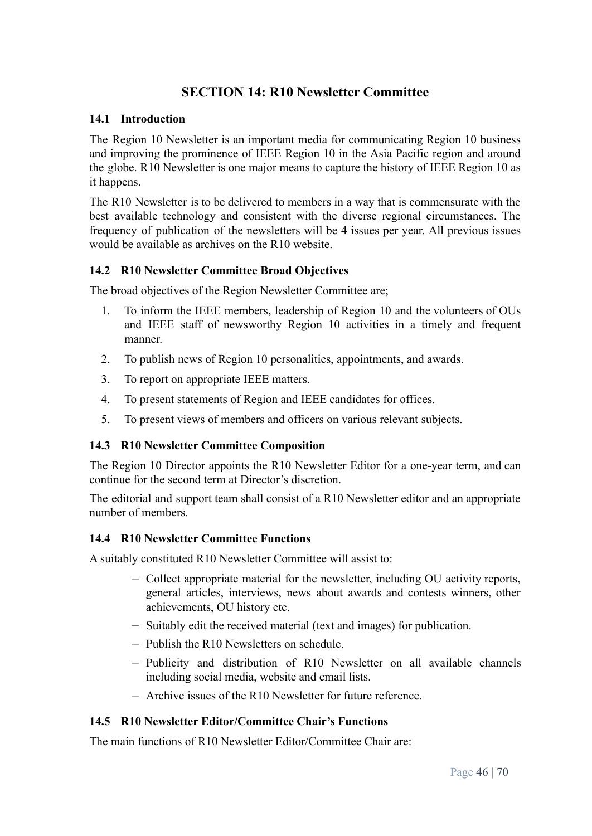# **SECTION 14: R10 Newsletter Committee**

#### <span id="page-45-1"></span><span id="page-45-0"></span>**14.1 Introduction**

The Region 10 Newsletter is an important media for communicating Region 10 business and improving the prominence of IEEE Region 10 in the Asia Pacific region and around the globe. R10 Newsletter is one major means to capture the history of IEEE Region 10 as it happens.

The R10 Newsletter is to be delivered to members in a way that is commensurate with the best available technology and consistent with the diverse regional circumstances. The frequency of publication of the newsletters will be 4 issues per year. All previous issues would be available as archives on the R10 website.

#### <span id="page-45-2"></span>**14.2 R10 Newsletter Committee Broad Objectives**

The broad objectives of the Region Newsletter Committee are;

- 1. To inform the IEEE members, leadership of Region 10 and the volunteers of OUs and IEEE staff of newsworthy Region 10 activities in a timely and frequent manner.
- 2. To publish news of Region 10 personalities, appointments, and awards.
- 3. To report on appropriate IEEE matters.
- 4. To present statements of Region and IEEE candidates for offices.
- 5. To present views of members and officers on various relevant subjects.

#### <span id="page-45-3"></span>**14.3 R10 Newsletter Committee Composition**

The Region 10 Director appoints the R10 Newsletter Editor for a one-year term, and can continue for the second term at Director's discretion.

The editorial and support team shall consist of a R10 Newsletter editor and an appropriate number of members.

#### <span id="page-45-4"></span>**14.4 R10 Newsletter Committee Functions**

A suitably constituted R10 Newsletter Committee will assist to:

- Collect appropriate material for the newsletter, including OU activity reports, general articles, interviews, news about awards and contests winners, other achievements, OU history etc.
- Suitably edit the received material (text and images) for publication.
- Publish the R10 Newsletters on schedule.
- Publicity and distribution of R10 Newsletter on all available channels including social media, website and email lists.
- Archive issues of the R10 Newsletter for future reference.

#### <span id="page-45-5"></span>**14.5 R10 Newsletter Editor/Committee Chair's Functions**

The main functions of R10 Newsletter Editor/Committee Chair are: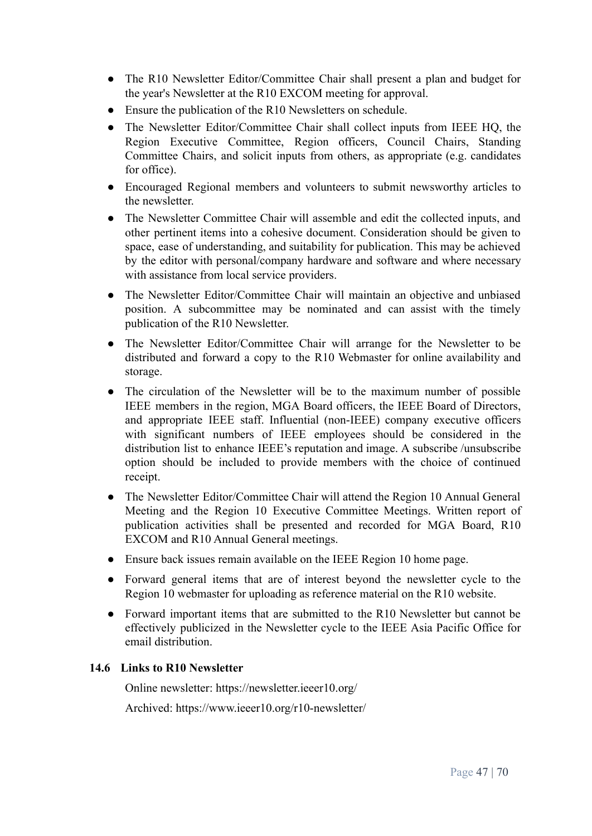- The R10 Newsletter Editor/Committee Chair shall present a plan and budget for the year's Newsletter at the R10 EXCOM meeting for approval.
- Ensure the publication of the R10 Newsletters on schedule.
- The Newsletter Editor/Committee Chair shall collect inputs from IEEE HO, the Region Executive Committee, Region officers, Council Chairs, Standing Committee Chairs, and solicit inputs from others, as appropriate (e.g. candidates for office).
- Encouraged Regional members and volunteers to submit newsworthy articles to the newsletter.
- The Newsletter Committee Chair will assemble and edit the collected inputs, and other pertinent items into a cohesive document. Consideration should be given to space, ease of understanding, and suitability for publication. This may be achieved by the editor with personal/company hardware and software and where necessary with assistance from local service providers.
- The Newsletter Editor/Committee Chair will maintain an objective and unbiased position. A subcommittee may be nominated and can assist with the timely publication of the R10 Newsletter.
- The Newsletter Editor/Committee Chair will arrange for the Newsletter to be distributed and forward a copy to the R10 Webmaster for online availability and storage.
- The circulation of the Newsletter will be to the maximum number of possible IEEE members in the region, MGA Board officers, the IEEE Board of Directors, and appropriate IEEE staff. Influential (non-IEEE) company executive officers with significant numbers of IEEE employees should be considered in the distribution list to enhance IEEE's reputation and image. A subscribe /unsubscribe option should be included to provide members with the choice of continued receipt.
- The Newsletter Editor/Committee Chair will attend the Region 10 Annual General Meeting and the Region 10 Executive Committee Meetings. Written report of publication activities shall be presented and recorded for MGA Board, R10 EXCOM and R10 Annual General meetings.
- Ensure back issues remain available on the IEEE Region 10 home page.
- Forward general items that are of interest beyond the newsletter cycle to the Region 10 webmaster for uploading as reference material on the R10 website.
- Forward important items that are submitted to the R10 Newsletter but cannot be effectively publicized in the Newsletter cycle to the IEEE Asia Pacific Office for email distribution.

#### <span id="page-46-0"></span>**14.6 Links to R10 Newsletter**

Online newsletter: https://newsletter.ieeer10.org/

Archived: https://www.ieeer10.org/r10-newsletter/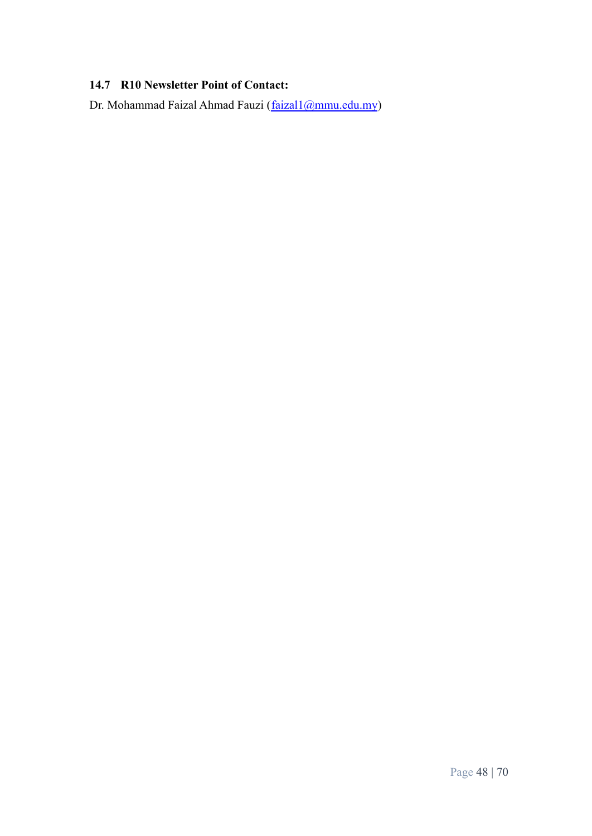# <span id="page-47-0"></span>**14.7 R10 Newsletter Point of Contact:**

Dr. Mohammad Faizal Ahmad Fauzi ([faizal1@mmu.edu.my](mailto:faizal1@mmu.edu.my))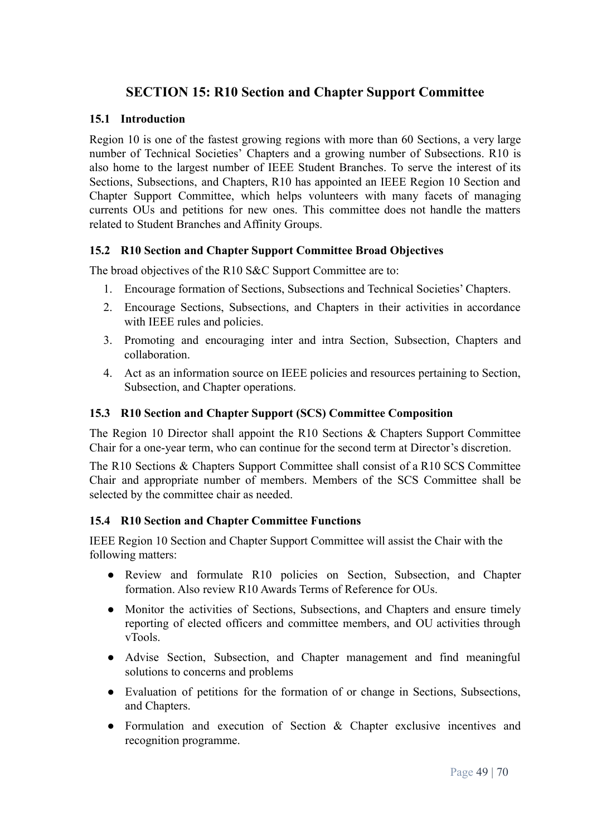# <span id="page-48-0"></span>**SECTION 15: R10 Section and Chapter Support Committee**

#### <span id="page-48-1"></span>**15.1 Introduction**

Region 10 is one of the fastest growing regions with more than 60 Sections, a very large number of Technical Societies' Chapters and a growing number of Subsections. R10 is also home to the largest number of IEEE Student Branches. To serve the interest of its Sections, Subsections, and Chapters, R10 has appointed an IEEE Region 10 Section and Chapter Support Committee, which helps volunteers with many facets of managing currents OUs and petitions for new ones. This committee does not handle the matters related to Student Branches and Affinity Groups.

#### <span id="page-48-2"></span>**15.2 R10 Section and Chapter Support Committee Broad Objectives**

The broad objectives of the R10 S&C Support Committee are to:

- 1. Encourage formation of Sections, Subsections and Technical Societies' Chapters.
- 2. Encourage Sections, Subsections, and Chapters in their activities in accordance with IEEE rules and policies.
- 3. Promoting and encouraging inter and intra Section, Subsection, Chapters and collaboration.
- 4. Act as an information source on IEEE policies and resources pertaining to Section, Subsection, and Chapter operations.

#### <span id="page-48-3"></span>**15.3 R10 Section and Chapter Support (SCS) Committee Composition**

The Region 10 Director shall appoint the R10 Sections & Chapters Support Committee Chair for a one-year term, who can continue for the second term at Director's discretion.

The R10 Sections & Chapters Support Committee shall consist of a R10 SCS Committee Chair and appropriate number of members. Members of the SCS Committee shall be selected by the committee chair as needed.

#### <span id="page-48-4"></span>**15.4 R10 Section and Chapter Committee Functions**

IEEE Region 10 Section and Chapter Support Committee will assist the Chair with the following matters:

- Review and formulate R10 policies on Section, Subsection, and Chapter formation. Also review R10 Awards Terms of Reference for OUs.
- Monitor the activities of Sections, Subsections, and Chapters and ensure timely reporting of elected officers and committee members, and OU activities through vTools.
- Advise Section, Subsection, and Chapter management and find meaningful solutions to concerns and problems
- Evaluation of petitions for the formation of or change in Sections, Subsections, and Chapters.
- Formulation and execution of Section & Chapter exclusive incentives and recognition programme.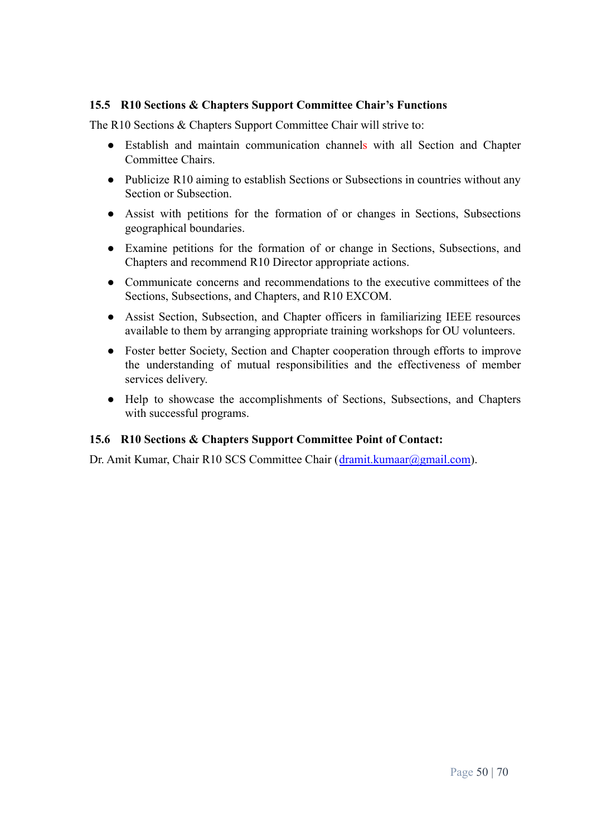## <span id="page-49-0"></span>**15.5 R10 Sections & Chapters Support Committee Chair's Functions**

The R10 Sections & Chapters Support Committee Chair will strive to:

- Establish and maintain communication channels with all Section and Chapter Committee Chairs.
- Publicize R10 aiming to establish Sections or Subsections in countries without any Section or Subsection.
- Assist with petitions for the formation of or changes in Sections, Subsections geographical boundaries.
- Examine petitions for the formation of or change in Sections, Subsections, and Chapters and recommend R10 Director appropriate actions.
- Communicate concerns and recommendations to the executive committees of the Sections, Subsections, and Chapters, and R10 EXCOM.
- Assist Section, Subsection, and Chapter officers in familiarizing IEEE resources available to them by arranging appropriate training workshops for OU volunteers.
- Foster better Society, Section and Chapter cooperation through efforts to improve the understanding of mutual responsibilities and the effectiveness of member services delivery.
- Help to showcase the accomplishments of Sections, Subsections, and Chapters with successful programs.

#### <span id="page-49-1"></span>**15.6 R10 Sections & Chapters Support Committee Point of Contact:**

Dr. Amit Kumar, Chair R10 SCS Committee Chair ([dramit.kumaar@gmail.com\)](mailto:dramit.kumaar@gmail.com).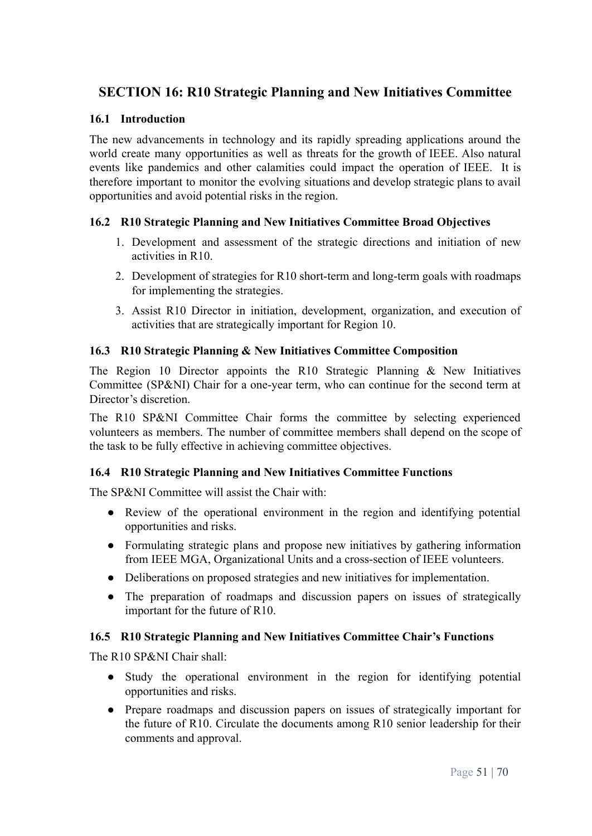# <span id="page-50-0"></span>**SECTION 16: R10 Strategic Planning and New Initiatives Committee**

#### <span id="page-50-1"></span>**16.1 Introduction**

The new advancements in technology and its rapidly spreading applications around the world create many opportunities as well as threats for the growth of IEEE. Also natural events like pandemics and other calamities could impact the operation of IEEE. It is therefore important to monitor the evolving situations and develop strategic plans to avail opportunities and avoid potential risks in the region.

#### <span id="page-50-2"></span>**16.2 R10 Strategic Planning and New Initiatives Committee Broad Objectives**

- 1. Development and assessment of the strategic directions and initiation of new activities in R10.
- 2. Development of strategies for R10 short-term and long-term goals with roadmaps for implementing the strategies.
- 3. Assist R10 Director in initiation, development, organization, and execution of activities that are strategically important for Region 10.

#### <span id="page-50-3"></span>**16.3 R10 Strategic Planning & New Initiatives Committee Composition**

The Region 10 Director appoints the R10 Strategic Planning & New Initiatives Committee (SP&NI) Chair for a one-year term, who can continue for the second term at Director's discretion.

The R10 SP&NI Committee Chair forms the committee by selecting experienced volunteers as members. The number of committee members shall depend on the scope of the task to be fully effective in achieving committee objectives.

#### <span id="page-50-4"></span>**16.4 R10 Strategic Planning and New Initiatives Committee Functions**

The SP&NI Committee will assist the Chair with:

- Review of the operational environment in the region and identifying potential opportunities and risks.
- Formulating strategic plans and propose new initiatives by gathering information from IEEE MGA, Organizational Units and a cross-section of IEEE volunteers.
- Deliberations on proposed strategies and new initiatives for implementation.
- The preparation of roadmaps and discussion papers on issues of strategically important for the future of R10.

#### <span id="page-50-5"></span>**16.5 R10 Strategic Planning and New Initiatives Committee Chair's Functions**

The R10 SP&NI Chair shall:

- Study the operational environment in the region for identifying potential opportunities and risks.
- Prepare roadmaps and discussion papers on issues of strategically important for the future of R10. Circulate the documents among R10 senior leadership for their comments and approval.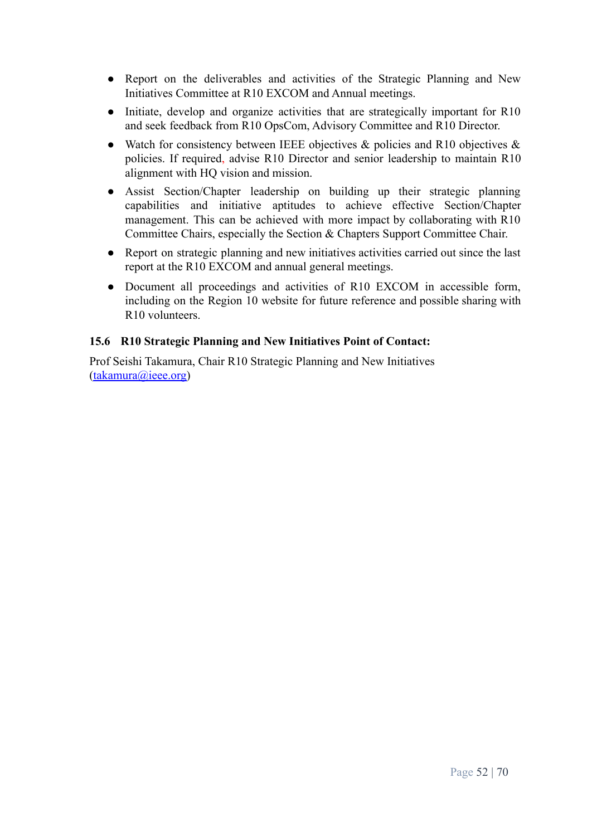- Report on the deliverables and activities of the Strategic Planning and New Initiatives Committee at R10 EXCOM and Annual meetings.
- Initiate, develop and organize activities that are strategically important for R10 and seek feedback from R10 OpsCom, Advisory Committee and R10 Director.
- Watch for consistency between IEEE objectives  $\&$  policies and R10 objectives  $\&$ policies. If required, advise R10 Director and senior leadership to maintain R10 alignment with HQ vision and mission.
- Assist Section/Chapter leadership on building up their strategic planning capabilities and initiative aptitudes to achieve effective Section/Chapter management. This can be achieved with more impact by collaborating with R10 Committee Chairs, especially the Section & Chapters Support Committee Chair.
- Report on strategic planning and new initiatives activities carried out since the last report at the R10 EXCOM and annual general meetings.
- Document all proceedings and activities of R10 EXCOM in accessible form, including on the Region 10 website for future reference and possible sharing with R10 volunteers.

## <span id="page-51-0"></span>**15.6 R10 Strategic Planning and New Initiatives Point of Contact:**

Prof Seishi Takamura, Chair R10 Strategic Planning and New Initiatives ([takamura@ieee.org\)](mailto:takamura@ieee.org)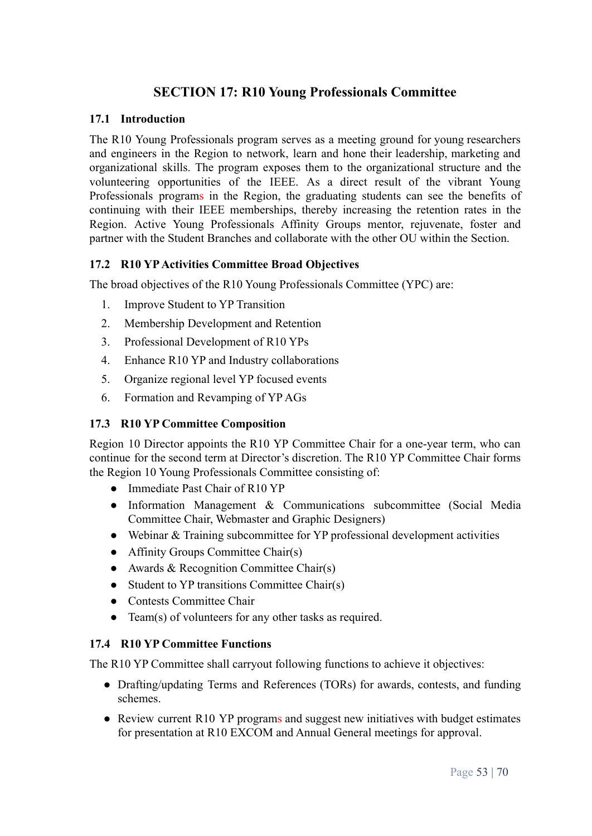# **SECTION 17: R10 Young Professionals Committee**

#### <span id="page-52-1"></span><span id="page-52-0"></span>**17.1 Introduction**

The R10 Young Professionals program serves as a meeting ground for young researchers and engineers in the Region to network, learn and hone their leadership, marketing and organizational skills. The program exposes them to the organizational structure and the volunteering opportunities of the IEEE. As a direct result of the vibrant Young Professionals programs in the Region, the graduating students can see the benefits of continuing with their IEEE memberships, thereby increasing the retention rates in the Region. Active Young Professionals Affinity Groups mentor, rejuvenate, foster and partner with the Student Branches and collaborate with the other OU within the Section.

#### <span id="page-52-2"></span>**17.2 R10 YPActivities Committee Broad Objectives**

The broad objectives of the R10 Young Professionals Committee (YPC) are:

- 1. Improve Student to YP Transition
- 2. Membership Development and Retention
- 3. Professional Development of R10 YPs
- 4. Enhance R10 YP and Industry collaborations
- 5. Organize regional level YP focused events
- 6. Formation and Revamping of YP AGs

#### <span id="page-52-3"></span>**17.3 R10 YP Committee Composition**

Region 10 Director appoints the R10 YP Committee Chair for a one-year term, who can continue for the second term at Director's discretion. The R10 YP Committee Chair forms the Region 10 Young Professionals Committee consisting of:

- Immediate Past Chair of R10 YP
- Information Management & Communications subcommittee (Social Media Committee Chair, Webmaster and Graphic Designers)
- Webinar & Training subcommittee for YP professional development activities
- Affinity Groups Committee Chair(s)
- Awards  $& Recognition Committee Chair(s)$
- Student to YP transitions Committee Chair(s)
- Contests Committee Chair
- Team(s) of volunteers for any other tasks as required.

#### <span id="page-52-4"></span>**17.4 R10 YP Committee Functions**

The R10 YP Committee shall carryout following functions to achieve it objectives:

- Drafting/updating Terms and References (TORs) for awards, contests, and funding schemes.
- Review current R10 YP programs and suggest new initiatives with budget estimates for presentation at R10 EXCOM and Annual General meetings for approval.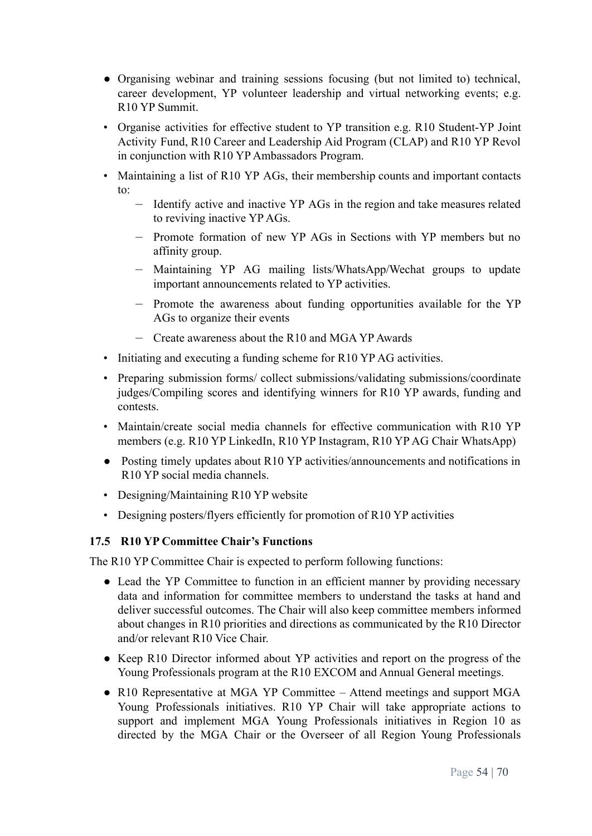- Organising webinar and training sessions focusing (but not limited to) technical, career development, YP volunteer leadership and virtual networking events; e.g. R10 YP Summit.
- Organise activities for effective student to YP transition e.g. R10 Student-YP Joint Activity Fund, R10 Career and Leadership Aid Program (CLAP) and R10 YP Revol in conjunction with R10 YP Ambassadors Program.
- Maintaining a list of R10 YP AGs, their membership counts and important contacts to:
	- Identify active and inactive YP AGs in the region and take measures related to reviving inactive YP AGs.
	- Promote formation of new YP AGs in Sections with YP members but no affinity group.
	- Maintaining YP AG mailing lists/WhatsApp/Wechat groups to update important announcements related to YP activities.
	- Promote the awareness about funding opportunities available for the YP AGs to organize their events
	- Create awareness about the R10 and MGA YP Awards
- Initiating and executing a funding scheme for R10 YP AG activities.
- Preparing submission forms/ collect submissions/validating submissions/coordinate judges/Compiling scores and identifying winners for R10 YP awards, funding and contests.
- Maintain/create social media channels for effective communication with R10 YP members (e.g. R10 YP LinkedIn, R10 YP Instagram, R10 YP AG Chair WhatsApp)
- Posting timely updates about R10 YP activities/announcements and notifications in R10 YP social media channels.
- Designing/Maintaining R10 YP website
- Designing posters/flyers efficiently for promotion of R10 YP activities

#### <span id="page-53-0"></span>**17.5 R10 YP Committee Chair's Functions**

The R10 YP Committee Chair is expected to perform following functions:

- Lead the YP Committee to function in an efficient manner by providing necessary data and information for committee members to understand the tasks at hand and deliver successful outcomes. The Chair will also keep committee members informed about changes in R10 priorities and directions as communicated by the R10 Director and/or relevant R10 Vice Chair.
- Keep R10 Director informed about YP activities and report on the progress of the Young Professionals program at the R10 EXCOM and Annual General meetings.
- R10 Representative at MGA YP Committee Attend meetings and support MGA Young Professionals initiatives. R10 YP Chair will take appropriate actions to support and implement MGA Young Professionals initiatives in Region 10 as directed by the MGA Chair or the Overseer of all Region Young Professionals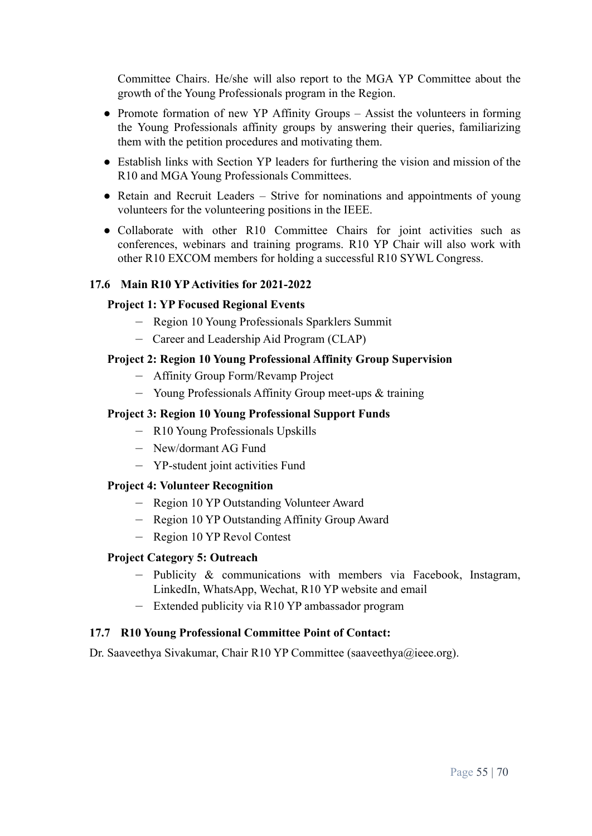Committee Chairs. He/she will also report to the MGA YP Committee about the growth of the Young Professionals program in the Region.

- Promote formation of new YP Affinity Groups Assist the volunteers in forming the Young Professionals affinity groups by answering their queries, familiarizing them with the petition procedures and motivating them.
- Establish links with Section YP leaders for furthering the vision and mission of the R10 and MGA Young Professionals Committees.
- Retain and Recruit Leaders Strive for nominations and appointments of young volunteers for the volunteering positions in the IEEE.
- Collaborate with other R10 Committee Chairs for joint activities such as conferences, webinars and training programs. R10 YP Chair will also work with other R10 EXCOM members for holding a successful R10 SYWL Congress.

#### <span id="page-54-0"></span>**17.6 Main R10 YPActivities for 2021-2022**

#### **Project 1: YP Focused Regional Events**

- Region 10 Young Professionals Sparklers Summit
- Career and Leadership Aid Program (CLAP)

#### **Project 2: Region 10 Young Professional Affinity Group Supervision**

- Affinity Group Form/Revamp Project
- Young Professionals Affinity Group meet-ups & training

## **Project 3: Region 10 Young Professional Support Funds**

- R10 Young Professionals Upskills
- New/dormant AG Fund
- YP-student joint activities Fund

#### **Project 4: Volunteer Recognition**

- Region 10 YP Outstanding Volunteer Award
- Region 10 YP Outstanding Affinity Group Award
- Region 10 YP Revol Contest

#### **Project Category 5: Outreach**

- Publicity & communications with members via Facebook, Instagram, LinkedIn, WhatsApp, Wechat, R10 YP website and email
- Extended publicity via R10 YP ambassador program

#### <span id="page-54-1"></span>**17.7 R10 Young Professional Committee Point of Contact:**

Dr. Saaveethya Sivakumar, Chair R10 YP Committee (saaveethya@ieee.org).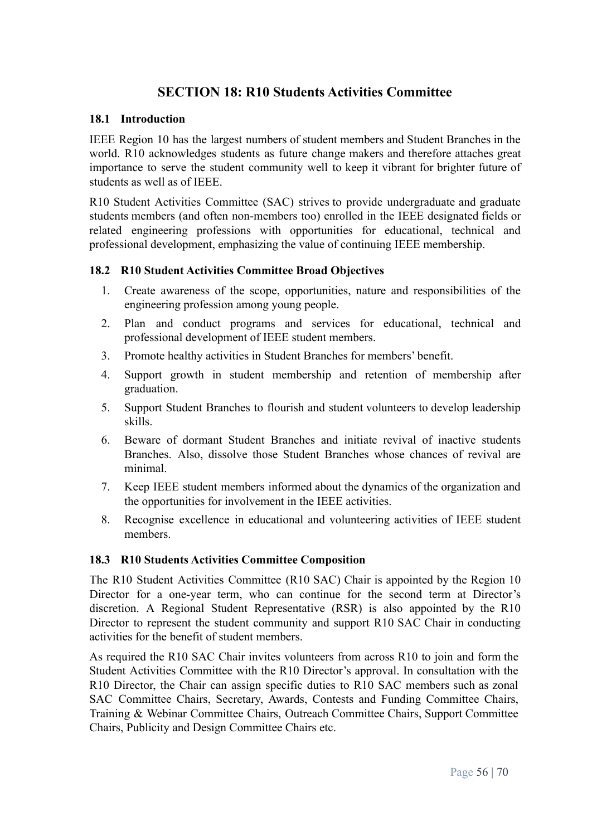# **SECTION 18: R10 Students Activities Committee**

#### <span id="page-55-1"></span><span id="page-55-0"></span>**18.1 Introduction**

IEEE Region 10 has the largest numbers of student members and Student Branches in the world. R10 acknowledges students as future change makers and therefore attaches great importance to serve the student community well to keep it vibrant for brighter future of students as well as of IEEE.

R10 Student Activities Committee (SAC) strives to provide undergraduate and graduate students members (and often non-members too) enrolled in the IEEE designated fields or related engineering professions with opportunities for educational, technical and professional development, emphasizing the value of continuing IEEE membership.

#### <span id="page-55-2"></span>**18.2 R10 Student Activities Committee Broad Objectives**

- 1. Create awareness of the scope, opportunities, nature and responsibilities of the engineering profession among young people.
- 2. Plan and conduct programs and services for educational, technical and professional development of IEEE student members.
- 3. Promote healthy activities in Student Branches for members' benefit.
- 4. Support growth in student membership and retention of membership after graduation.
- 5. Support Student Branches to flourish and student volunteers to develop leadership skills.
- 6. Beware of dormant Student Branches and initiate revival of inactive students Branches. Also, dissolve those Student Branches whose chances of revival are minimal.
- 7. Keep IEEE student members informed about the dynamics of the organization and the opportunities for involvement in the IEEE activities.
- 8. Recognise excellence in educational and volunteering activities of IEEE student members.

#### <span id="page-55-3"></span>**18.3 R10 Students Activities Committee Composition**

The R10 Student Activities Committee (R10 SAC) Chair is appointed by the Region 10 Director for a one-year term, who can continue for the second term at Director's discretion. A Regional Student Representative (RSR) is also appointed by the R10 Director to represent the student community and support R10 SAC Chair in conducting activities for the benefit of student members.

As required the R10 SAC Chair invites volunteers from across R10 to join and form the Student Activities Committee with the R10 Director's approval. In consultation with the R10 Director, the Chair can assign specific duties to R10 SAC members such as zonal SAC Committee Chairs, Secretary, Awards, Contests and Funding Committee Chairs, Training & Webinar Committee Chairs, Outreach Committee Chairs, Support Committee Chairs, Publicity and Design Committee Chairs etc.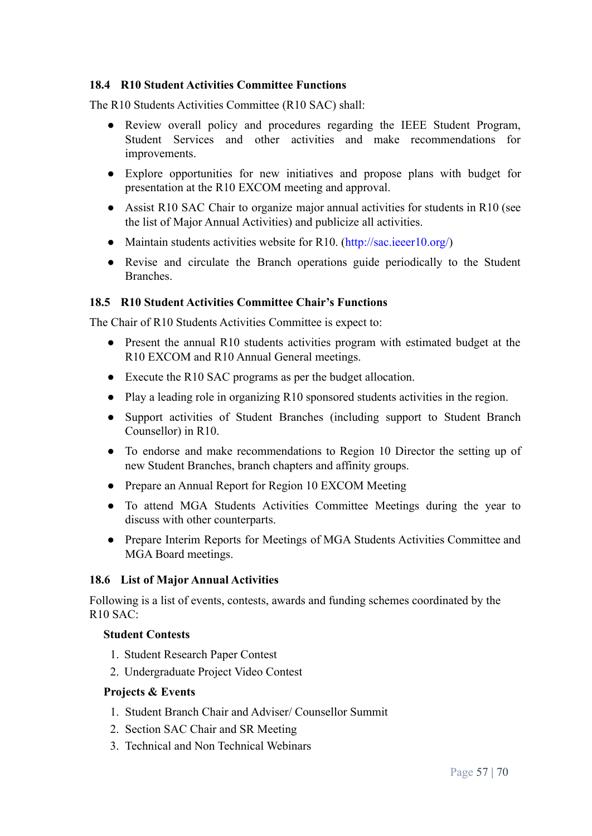#### <span id="page-56-0"></span>**18.4 R10 Student Activities Committee Functions**

The R10 Students Activities Committee (R10 SAC) shall:

- Review overall policy and procedures regarding the IEEE Student Program, Student Services and other activities and make recommendations for improvements.
- **●** Explore opportunities for new initiatives and propose plans with budget for presentation at the R10 EXCOM meeting and approval.
- **●** Assist R10 SAC Chair to organize major annual activities for students in R10 (see the list of Major Annual Activities) and publicize all activities.
- Maintain students activities website for R10. (http://sac.ieeer10.org/)
- Revise and circulate the Branch operations guide periodically to the Student **Branches**

#### <span id="page-56-1"></span>**18.5 R10 Student Activities Committee Chair's Functions**

The Chair of R10 Students Activities Committee is expect to:

- Present the annual R10 students activities program with estimated budget at the R10 EXCOM and R10 Annual General meetings.
- Execute the R10 SAC programs as per the budget allocation.
- Play a leading role in organizing R10 sponsored students activities in the region.
- Support activities of Student Branches (including support to Student Branch Counsellor) in R10.
- To endorse and make recommendations to Region 10 Director the setting up of new Student Branches, branch chapters and affinity groups.
- Prepare an Annual Report for Region 10 EXCOM Meeting
- To attend MGA Students Activities Committee Meetings during the year to discuss with other counterparts.
- Prepare Interim Reports for Meetings of MGA Students Activities Committee and MGA Board meetings.

#### <span id="page-56-2"></span>**18.6 List of Major Annual Activities**

Following is a list of events, contests, awards and funding schemes coordinated by the R10 SAC:

#### **Student Contests**

- 1. Student Research Paper Contest
- 2. Undergraduate Project Video Contest

#### **Projects & Events**

- 1. Student Branch Chair and Adviser/ Counsellor Summit
- 2. Section SAC Chair and SR Meeting
- 3. Technical and Non Technical Webinars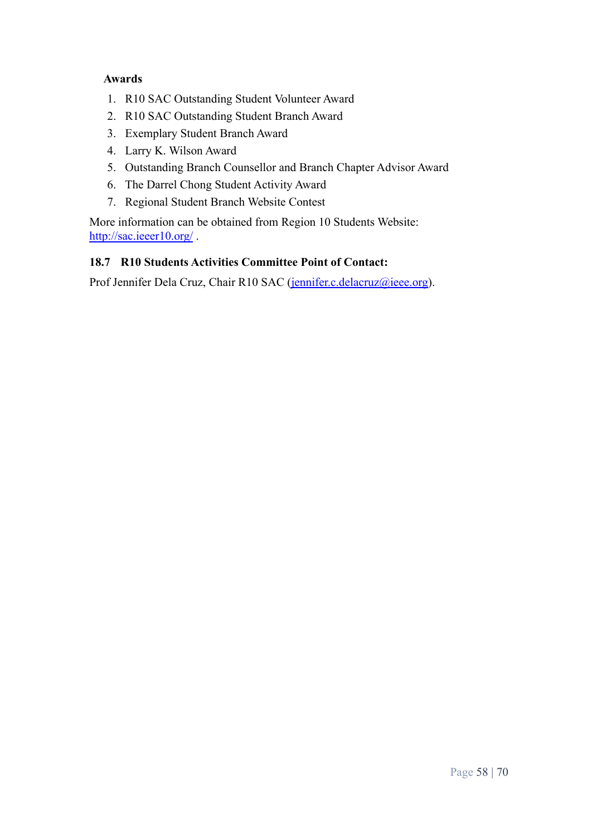## **Awards**

- 1. R10 SAC Outstanding Student Volunteer Award
- 2. R10 SAC Outstanding Student Branch Award
- 3. Exemplary Student Branch Award
- 4. Larry K. Wilson Award
- 5. Outstanding Branch Counsellor and Branch Chapter Advisor Award
- 6. The Darrel Chong Student Activity Award
- 7. Regional Student Branch Website Contest

More information can be obtained from Region 10 Students Website: <http://sac.ieeer10.org/>.

# <span id="page-57-0"></span>**18.7 R10 Students Activities Committee Point of Contact:**

Prof Jennifer Dela Cruz, Chair R10 SAC [\(jennifer.c.delacruz@ieee.org](mailto:jennifer.c.delacruz@ieee.org)).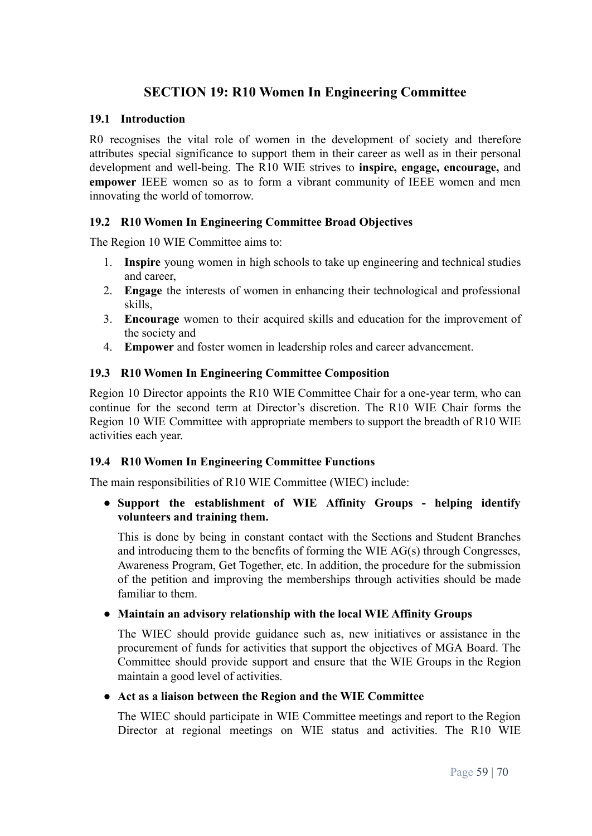# **SECTION 19: R10 Women In Engineering Committee**

#### <span id="page-58-1"></span><span id="page-58-0"></span>**19.1 Introduction**

R0 recognises the vital role of women in the development of society and therefore attributes special significance to support them in their career as well as in their personal development and well-being. The R10 WIE strives to **inspire, engage, encourage,** and **empower** IEEE women so as to form a vibrant community of IEEE women and men innovating the world of tomorrow.

#### <span id="page-58-2"></span>**19.2 R10 Women In Engineering Committee Broad Objectives**

The Region 10 WIE Committee aims to:

- 1. **Inspire** young women in high schools to take up engineering and technical studies and career,
- 2. **Engage** the interests of women in enhancing their technological and professional skills,
- 3. **Encourage** women to their acquired skills and education for the improvement of the society and
- 4. **Empower** and foster women in leadership roles and career advancement.

#### <span id="page-58-3"></span>**19.3 R10 Women In Engineering Committee Composition**

Region 10 Director appoints the R10 WIE Committee Chair for a one-year term, who can continue for the second term at Director's discretion. The R10 WIE Chair forms the Region 10 WIE Committee with appropriate members to support the breadth of R10 WIE activities each year.

#### <span id="page-58-4"></span>**19.4 R10 Women In Engineering Committee Functions**

The main responsibilities of R10 WIE Committee (WIEC) include:

#### ● **Support the establishment of WIE Affinity Groups - helping identify volunteers and training them.**

This is done by being in constant contact with the Sections and Student Branches and introducing them to the benefits of forming the WIE AG(s) through Congresses, Awareness Program, Get Together, etc. In addition, the procedure for the submission of the petition and improving the memberships through activities should be made familiar to them.

#### **● Maintain an advisory relationship with the local WIE Affinity Groups**

The WIEC should provide guidance such as, new initiatives or assistance in the procurement of funds for activities that support the objectives of MGA Board. The Committee should provide support and ensure that the WIE Groups in the Region maintain a good level of activities.

#### **● Act as a liaison between the Region and the WIE Committee**

The WIEC should participate in WIE Committee meetings and report to the Region Director at regional meetings on WIE status and activities. The R10 WIE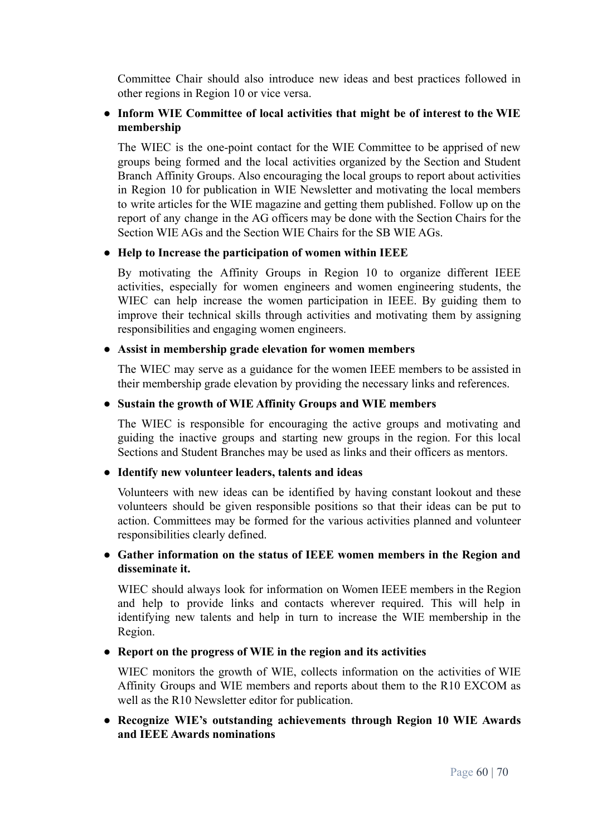Committee Chair should also introduce new ideas and best practices followed in other regions in Region 10 or vice versa.

## **● Inform WIE Committee of local activities that might be of interest to the WIE membership**

The WIEC is the one-point contact for the WIE Committee to be apprised of new groups being formed and the local activities organized by the Section and Student Branch Affinity Groups. Also encouraging the local groups to report about activities in Region 10 for publication in WIE Newsletter and motivating the local members to write articles for the WIE magazine and getting them published. Follow up on the report of any change in the AG officers may be done with the Section Chairs for the Section WIE AGs and the Section WIE Chairs for the SB WIE AGs.

#### **● Help to Increase the participation of women within IEEE**

By motivating the Affinity Groups in Region 10 to organize different IEEE activities, especially for women engineers and women engineering students, the WIEC can help increase the women participation in IEEE. By guiding them to improve their technical skills through activities and motivating them by assigning responsibilities and engaging women engineers.

#### **● Assist in membership grade elevation for women members**

The WIEC may serve as a guidance for the women IEEE members to be assisted in their membership grade elevation by providing the necessary links and references.

## **● Sustain the growth of WIE Affinity Groups and WIE members**

The WIEC is responsible for encouraging the active groups and motivating and guiding the inactive groups and starting new groups in the region. For this local Sections and Student Branches may be used as links and their officers as mentors.

# **● Identify new volunteer leaders, talents and ideas**

Volunteers with new ideas can be identified by having constant lookout and these volunteers should be given responsible positions so that their ideas can be put to action. Committees may be formed for the various activities planned and volunteer responsibilities clearly defined.

## **● Gather information on the status of IEEE women members in the Region and disseminate it.**

WIEC should always look for information on Women IEEE members in the Region and help to provide links and contacts wherever required. This will help in identifying new talents and help in turn to increase the WIE membership in the Region.

# **● Report on the progress of WIE in the region and its activities**

WIEC monitors the growth of WIE, collects information on the activities of WIE Affinity Groups and WIE members and reports about them to the R10 EXCOM as well as the R10 Newsletter editor for publication.

## **● Recognize WIE's outstanding achievements through Region 10 WIE Awards and IEEE Awards nominations**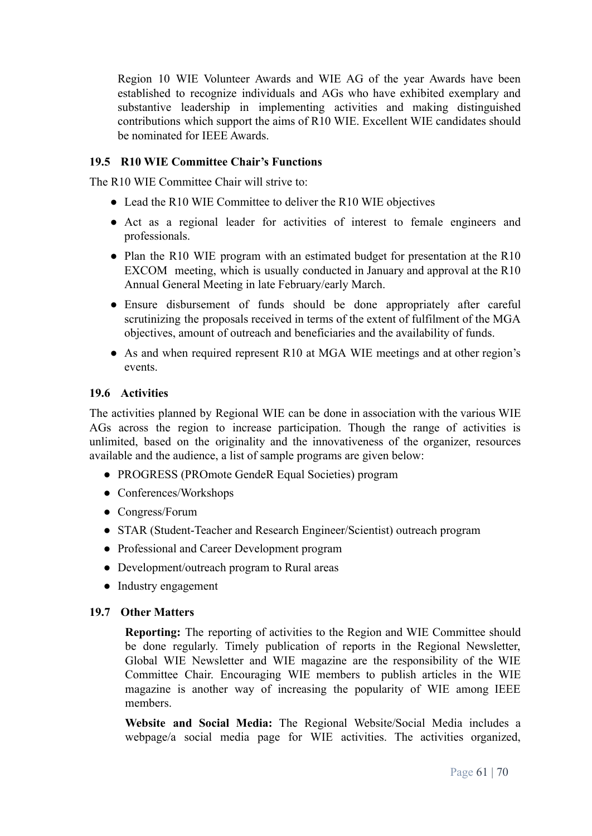Region 10 WIE Volunteer Awards and WIE AG of the year Awards have been established to recognize individuals and AGs who have exhibited exemplary and substantive leadership in implementing activities and making distinguished contributions which support the aims of R10 WIE. Excellent WIE candidates should be nominated for IEEE Awards.

## <span id="page-60-0"></span>**19.5 R10 WIE Committee Chair's Functions**

The R10 WIE Committee Chair will strive to:

- Lead the R10 WIE Committee to deliver the R10 WIE objectives
- Act as a regional leader for activities of interest to female engineers and professionals.
- Plan the R10 WIE program with an estimated budget for presentation at the R10 EXCOM meeting, which is usually conducted in January and approval at the R10 Annual General Meeting in late February/early March.
- Ensure disbursement of funds should be done appropriately after careful scrutinizing the proposals received in terms of the extent of fulfilment of the MGA objectives, amount of outreach and beneficiaries and the availability of funds.
- As and when required represent R10 at MGA WIE meetings and at other region's events.

#### <span id="page-60-1"></span>**19.6 Activities**

The activities planned by Regional WIE can be done in association with the various WIE AGs across the region to increase participation. Though the range of activities is unlimited, based on the originality and the innovativeness of the organizer, resources available and the audience, a list of sample programs are given below:

- PROGRESS (PROmote GendeR Equal Societies) program
- Conferences/Workshops
- Congress/Forum
- STAR (Student-Teacher and Research Engineer/Scientist) outreach program
- Professional and Career Development program
- Development/outreach program to Rural areas
- Industry engagement

#### <span id="page-60-2"></span>**19.7 Other Matters**

**Reporting:** The reporting of activities to the Region and WIE Committee should be done regularly. Timely publication of reports in the Regional Newsletter, Global WIE Newsletter and WIE magazine are the responsibility of the WIE Committee Chair. Encouraging WIE members to publish articles in the WIE magazine is another way of increasing the popularity of WIE among IEEE members.

**Website and Social Media:** The Regional Website/Social Media includes a webpage/a social media page for WIE activities. The activities organized,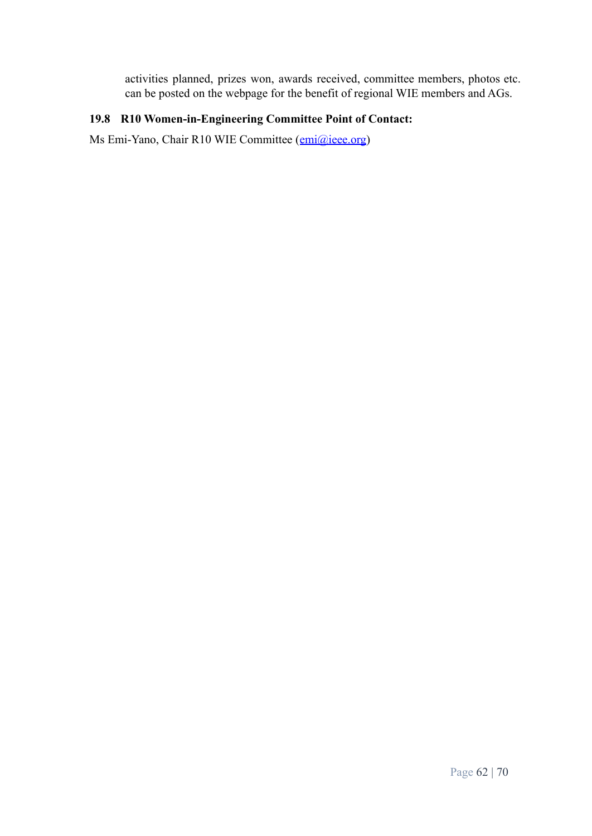activities planned, prizes won, awards received, committee members, photos etc. can be posted on the webpage for the benefit of regional WIE members and AGs.

# <span id="page-61-0"></span>**19.8 R10 Women-in-Engineering Committee Point of Contact:**

<span id="page-61-1"></span>Ms Emi-Yano, Chair R10 WIE Committee ([emi@ieee.org\)](mailto:emi@ieee.org)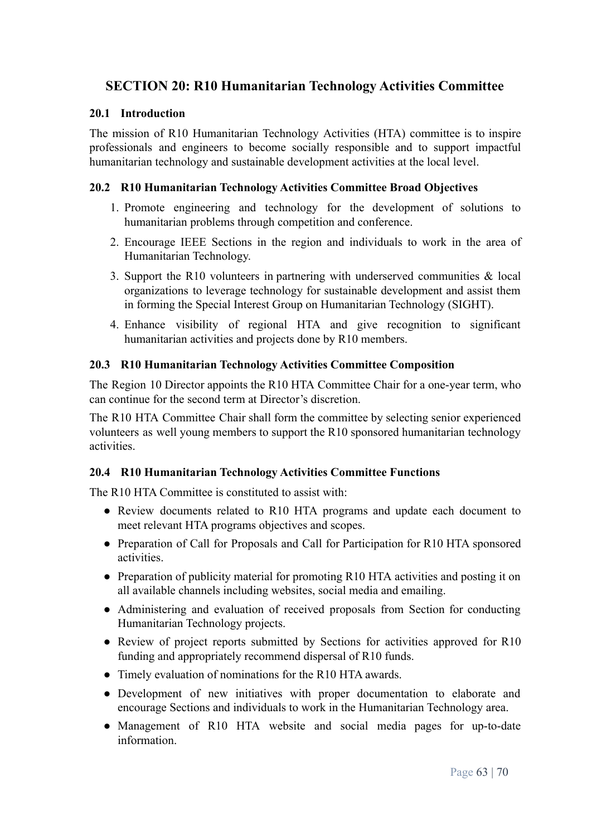# **SECTION 20: R10 Humanitarian Technology Activities Committee**

#### <span id="page-62-0"></span>**20.1 Introduction**

The mission of R10 Humanitarian Technology Activities (HTA) committee is to inspire professionals and engineers to become socially responsible and to support impactful humanitarian technology and sustainable development activities at the local level.

#### <span id="page-62-1"></span>**20.2 R10 Humanitarian Technology Activities Committee Broad Objectives**

- 1. Promote engineering and technology for the development of solutions to humanitarian problems through competition and conference.
- 2. Encourage IEEE Sections in the region and individuals to work in the area of Humanitarian Technology.
- 3. Support the R10 volunteers in partnering with underserved communities & local organizations to leverage technology for sustainable development and assist them in forming the Special Interest Group on Humanitarian Technology (SIGHT).
- 4. Enhance visibility of regional HTA and give recognition to significant humanitarian activities and projects done by R10 members.

#### <span id="page-62-2"></span>**20.3 R10 Humanitarian Technology Activities Committee Composition**

The Region 10 Director appoints the R10 HTA Committee Chair for a one-year term, who can continue for the second term at Director's discretion.

The R10 HTA Committee Chair shall form the committee by selecting senior experienced volunteers as well young members to support the R10 sponsored humanitarian technology activities.

#### <span id="page-62-3"></span>**20.4 R10 Humanitarian Technology Activities Committee Functions**

The R10 HTA Committee is constituted to assist with:

- Review documents related to R10 HTA programs and update each document to meet relevant HTA programs objectives and scopes.
- Preparation of Call for Proposals and Call for Participation for R10 HTA sponsored activities.
- Preparation of publicity material for promoting R10 HTA activities and posting it on all available channels including websites, social media and emailing.
- Administering and evaluation of received proposals from Section for conducting Humanitarian Technology projects.
- Review of project reports submitted by Sections for activities approved for R10 funding and appropriately recommend dispersal of R10 funds.
- Timely evaluation of nominations for the R10 HTA awards.
- Development of new initiatives with proper documentation to elaborate and encourage Sections and individuals to work in the Humanitarian Technology area.
- Management of R10 HTA website and social media pages for up-to-date information.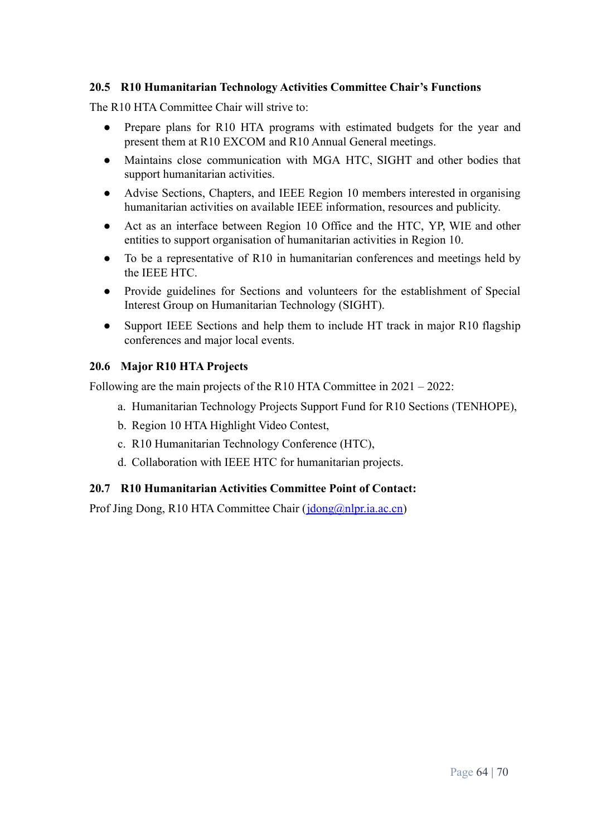#### <span id="page-63-0"></span>**20.5 R10 Humanitarian Technology Activities Committee Chair's Functions**

The R10 HTA Committee Chair will strive to:

- Prepare plans for R10 HTA programs with estimated budgets for the year and present them at R10 EXCOM and R10 Annual General meetings.
- Maintains close communication with MGA HTC, SIGHT and other bodies that support humanitarian activities.
- Advise Sections, Chapters, and IEEE Region 10 members interested in organising humanitarian activities on available IEEE information, resources and publicity.
- Act as an interface between Region 10 Office and the HTC, YP, WIE and other entities to support organisation of humanitarian activities in Region 10.
- To be a representative of R10 in humanitarian conferences and meetings held by the IEEE HTC.
- Provide guidelines for Sections and volunteers for the establishment of Special Interest Group on Humanitarian Technology (SIGHT).
- Support IEEE Sections and help them to include HT track in major R10 flagship conferences and major local events.

#### <span id="page-63-1"></span>**20.6 Major R10 HTA Projects**

Following are the main projects of the R10 HTA Committee in 2021 – 2022:

- a. Humanitarian Technology Projects Support Fund for R10 Sections (TENHOPE),
- b. Region 10 HTA Highlight Video Contest,
- c. R10 Humanitarian Technology Conference (HTC),
- d. Collaboration with IEEE HTC for humanitarian projects.

#### <span id="page-63-2"></span>**20.7 R10 Humanitarian Activities Committee Point of Contact:**

Prof Jing Dong, R10 HTA Committee Chair ( $\frac{\text{idong@nlpr.ia.ac.cn}}{\text{idong@nlpr.ia.ac.cn}}$ )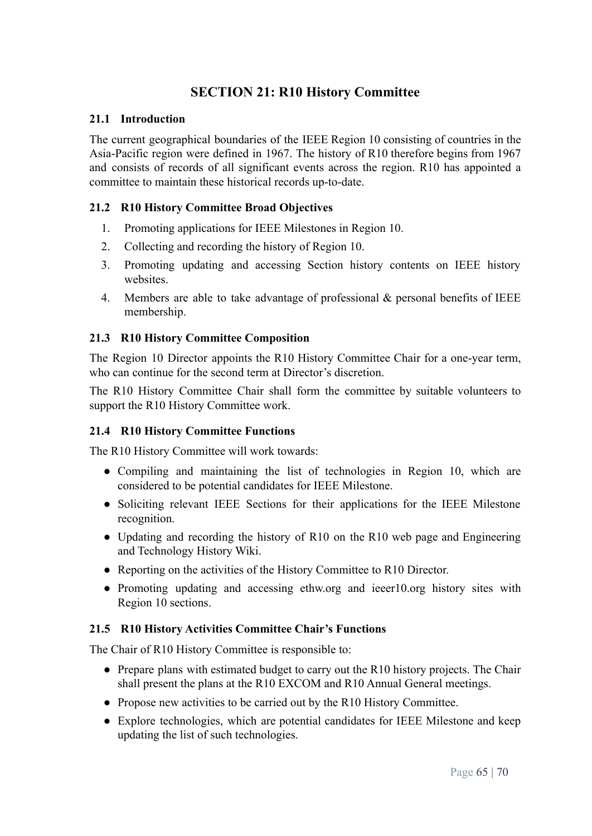# **SECTION 21: R10 History Committee**

#### <span id="page-64-1"></span><span id="page-64-0"></span>**21.1 Introduction**

The current geographical boundaries of the IEEE Region 10 consisting of countries in the Asia-Pacific region were defined in 1967. The history of R10 therefore begins from 1967 and consists of records of all significant events across the region. R10 has appointed a committee to maintain these historical records up-to-date.

#### <span id="page-64-2"></span>**21.2 R10 History Committee Broad Objectives**

- 1. Promoting applications for IEEE Milestones in Region 10.
- 2. Collecting and recording the history of Region 10.
- 3. Promoting updating and accessing Section history contents on IEEE history websites.
- 4. Members are able to take advantage of professional & personal benefits of IEEE membership.

#### <span id="page-64-3"></span>**21.3 R10 History Committee Composition**

The Region 10 Director appoints the R10 History Committee Chair for a one-year term, who can continue for the second term at Director's discretion.

The R10 History Committee Chair shall form the committee by suitable volunteers to support the R10 History Committee work.

#### <span id="page-64-4"></span>**21.4 R10 History Committee Functions**

The R10 History Committee will work towards:

- Compiling and maintaining the list of technologies in Region 10, which are considered to be potential candidates for IEEE Milestone.
- Soliciting relevant IEEE Sections for their applications for the IEEE Milestone recognition.
- Updating and recording the history of R10 on the R10 web page and Engineering and Technology History Wiki.
- Reporting on the activities of the History Committee to R10 Director.
- Promoting updating and accessing ethw.org and ieeer10.org history sites with Region 10 sections.

#### <span id="page-64-5"></span>**21.5 R10 History Activities Committee Chair's Functions**

The Chair of R10 History Committee is responsible to:

- Prepare plans with estimated budget to carry out the R10 history projects. The Chair shall present the plans at the R10 EXCOM and R10 Annual General meetings.
- Propose new activities to be carried out by the R10 History Committee.
- Explore technologies, which are potential candidates for IEEE Milestone and keep updating the list of such technologies.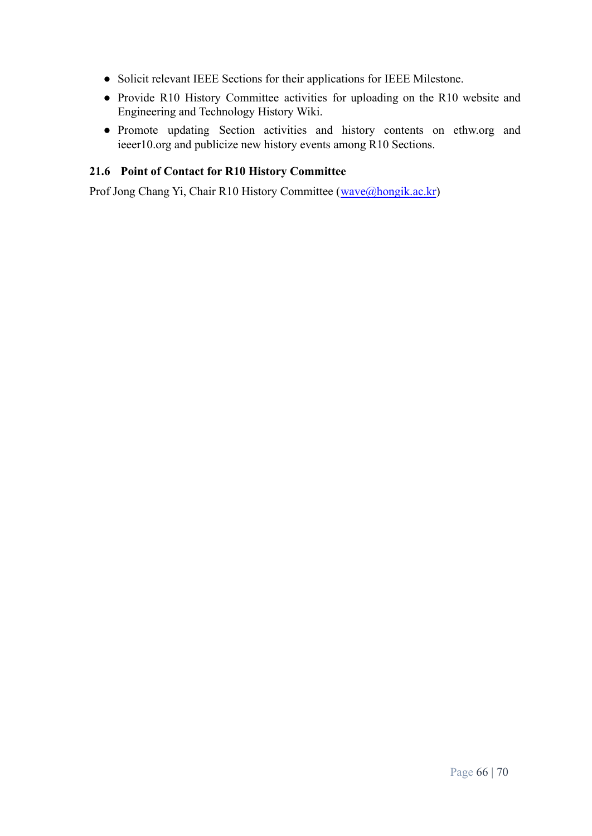- Solicit relevant IEEE Sections for their applications for IEEE Milestone.
- Provide R10 History Committee activities for uploading on the R10 website and Engineering and Technology History Wiki.
- Promote updating Section activities and history contents on ethw.org and ieeer10.org and publicize new history events among R10 Sections.

# <span id="page-65-0"></span>**21.6 Point of Contact for R10 History Committee**

Prof Jong Chang Yi, Chair R10 History Committee ([wave@hongik.ac.kr](mailto:wave@hongik.ac.kr))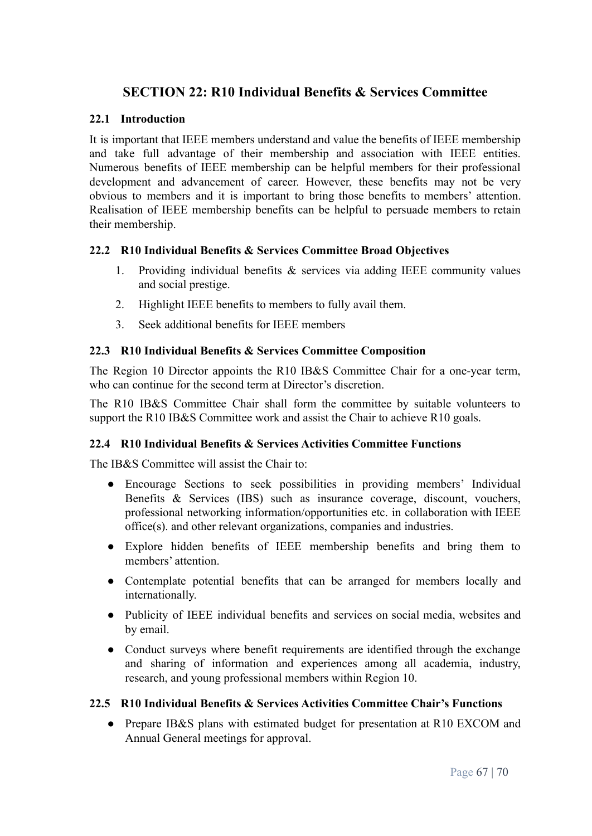# <span id="page-66-0"></span>**SECTION 22: R10 Individual Benefits & Services Committee**

#### <span id="page-66-1"></span>**22.1 Introduction**

It is important that IEEE members understand and value the benefits of IEEE membership and take full advantage of their membership and association with IEEE entities. Numerous benefits of IEEE membership can be helpful members for their professional development and advancement of career. However, these benefits may not be very obvious to members and it is important to bring those benefits to members' attention. Realisation of IEEE membership benefits can be helpful to persuade members to retain their membership.

#### <span id="page-66-2"></span>**22.2 R10 Individual Benefits & Services Committee Broad Objectives**

- 1. Providing individual benefits & services via adding IEEE community values and social prestige.
- 2. Highlight IEEE benefits to members to fully avail them.
- 3. Seek additional benefits for IEEE members

#### <span id="page-66-3"></span>**22.3 R10 Individual Benefits & Services Committee Composition**

The Region 10 Director appoints the R10 IB&S Committee Chair for a one-year term, who can continue for the second term at Director's discretion.

The R10 IB&S Committee Chair shall form the committee by suitable volunteers to support the R<sub>10</sub> IB&S Committee work and assist the Chair to achieve R<sub>10</sub> goals.

#### <span id="page-66-4"></span>**22.4 R10 Individual Benefits & Services Activities Committee Functions**

The IB&S Committee will assist the Chair to:

- Encourage Sections to seek possibilities in providing members' Individual Benefits & Services (IBS) such as insurance coverage, discount, vouchers, professional networking information/opportunities etc. in collaboration with IEEE office(s). and other relevant organizations, companies and industries.
- Explore hidden benefits of IEEE membership benefits and bring them to members' attention.
- Contemplate potential benefits that can be arranged for members locally and internationally.
- Publicity of IEEE individual benefits and services on social media, websites and by email.
- Conduct surveys where benefit requirements are identified through the exchange and sharing of information and experiences among all academia, industry, research, and young professional members within Region 10.

#### <span id="page-66-5"></span>**22.5 R10 Individual Benefits & Services Activities Committee Chair's Functions**

• Prepare IB&S plans with estimated budget for presentation at R10 EXCOM and Annual General meetings for approval.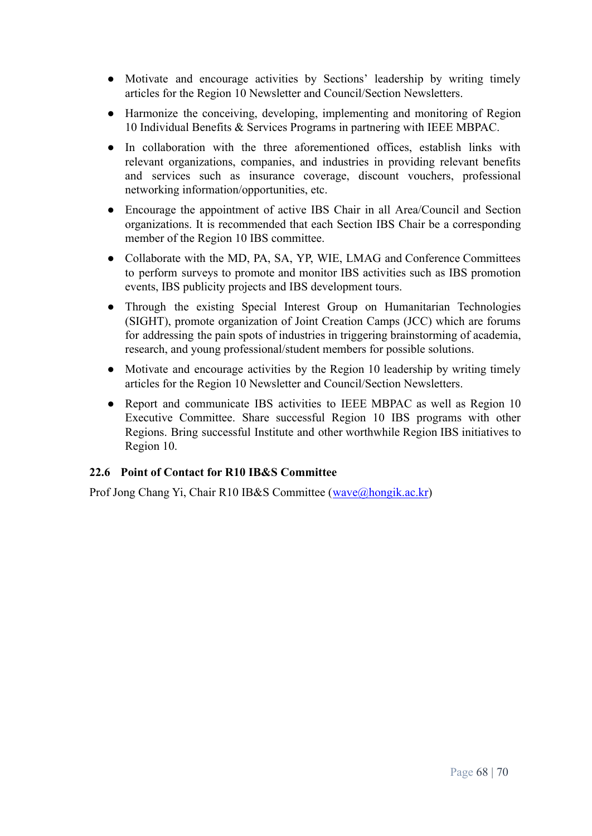- Motivate and encourage activities by Sections' leadership by writing timely articles for the Region 10 Newsletter and Council/Section Newsletters.
- Harmonize the conceiving, developing, implementing and monitoring of Region 10 Individual Benefits & Services Programs in partnering with IEEE MBPAC.
- In collaboration with the three aforementioned offices, establish links with relevant organizations, companies, and industries in providing relevant benefits and services such as insurance coverage, discount vouchers, professional networking information/opportunities, etc.
- Encourage the appointment of active IBS Chair in all Area/Council and Section organizations. It is recommended that each Section IBS Chair be a corresponding member of the Region 10 IBS committee.
- Collaborate with the MD, PA, SA, YP, WIE, LMAG and Conference Committees to perform surveys to promote and monitor IBS activities such as IBS promotion events, IBS publicity projects and IBS development tours.
- Through the existing Special Interest Group on Humanitarian Technologies (SIGHT), promote organization of Joint Creation Camps (JCC) which are forums for addressing the pain spots of industries in triggering brainstorming of academia, research, and young professional/student members for possible solutions.
- Motivate and encourage activities by the Region 10 leadership by writing timely articles for the Region 10 Newsletter and Council/Section Newsletters.
- Report and communicate IBS activities to IEEE MBPAC as well as Region 10 Executive Committee. Share successful Region 10 IBS programs with other Regions. Bring successful Institute and other worthwhile Region IBS initiatives to Region 10.

# <span id="page-67-0"></span>**22.6 Point of Contact for R10 IB&S Committee**

Prof Jong Chang Yi, Chair R10 IB&S Committee ([wave@hongik.ac.kr](mailto:wave@hongik.ac.kr))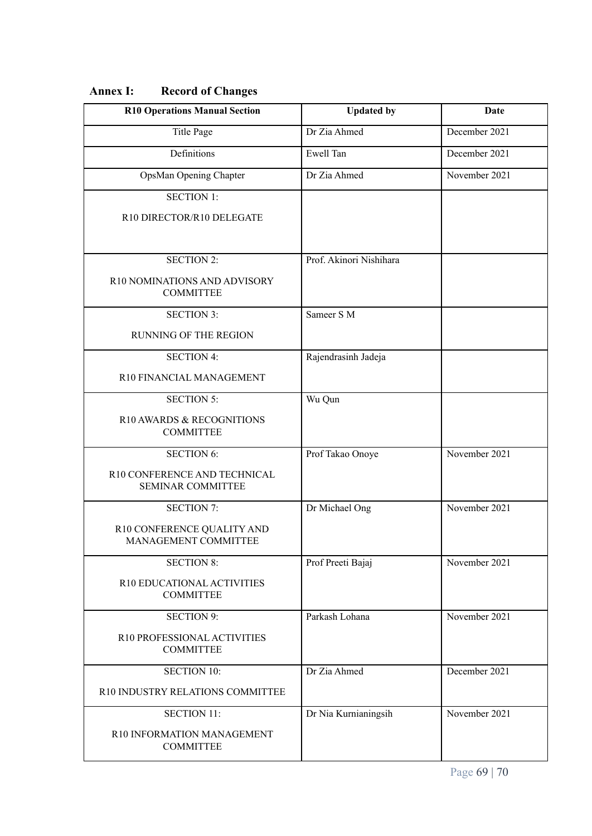| <b>R10 Operations Manual Section</b>                     | <b>Updated by</b>       | Date          |
|----------------------------------------------------------|-------------------------|---------------|
| <b>Title Page</b>                                        | Dr Zia Ahmed            | December 2021 |
| Definitions                                              | Ewell Tan               | December 2021 |
| OpsMan Opening Chapter                                   | Dr Zia Ahmed            | November 2021 |
| <b>SECTION 1:</b>                                        |                         |               |
| R10 DIRECTOR/R10 DELEGATE                                |                         |               |
|                                                          |                         |               |
| <b>SECTION 2:</b>                                        | Prof. Akinori Nishihara |               |
| R10 NOMINATIONS AND ADVISORY<br><b>COMMITTEE</b>         |                         |               |
| <b>SECTION 3:</b>                                        | Sameer S M              |               |
| <b>RUNNING OF THE REGION</b>                             |                         |               |
| <b>SECTION 4:</b>                                        | Rajendrasinh Jadeja     |               |
| R10 FINANCIAL MANAGEMENT                                 |                         |               |
| <b>SECTION 5:</b>                                        | Wu Qun                  |               |
| R10 AWARDS & RECOGNITIONS<br><b>COMMITTEE</b>            |                         |               |
| <b>SECTION 6:</b>                                        | Prof Takao Onoye        | November 2021 |
| R10 CONFERENCE AND TECHNICAL<br><b>SEMINAR COMMITTEE</b> |                         |               |
| <b>SECTION 7:</b>                                        | Dr Michael Ong          | November 2021 |
| R10 CONFERENCE QUALITY AND<br>MANAGEMENT COMMITTEE       |                         |               |
| <b>SECTION 8:</b>                                        | Prof Preeti Bajaj       | November 2021 |
| R10 EDUCATIONAL ACTIVITIES<br><b>COMMITTEE</b>           |                         |               |
| <b>SECTION 9:</b>                                        | Parkash Lohana          | November 2021 |
| R10 PROFESSIONAL ACTIVITIES<br><b>COMMITTEE</b>          |                         |               |
| <b>SECTION 10:</b>                                       | Dr Zia Ahmed            | December 2021 |
| R10 INDUSTRY RELATIONS COMMITTEE                         |                         |               |
| <b>SECTION 11:</b>                                       | Dr Nia Kurnianingsih    | November 2021 |
| R10 INFORMATION MANAGEMENT<br><b>COMMITTEE</b>           |                         |               |

# <span id="page-68-0"></span>**Annex I: Record of Changes**